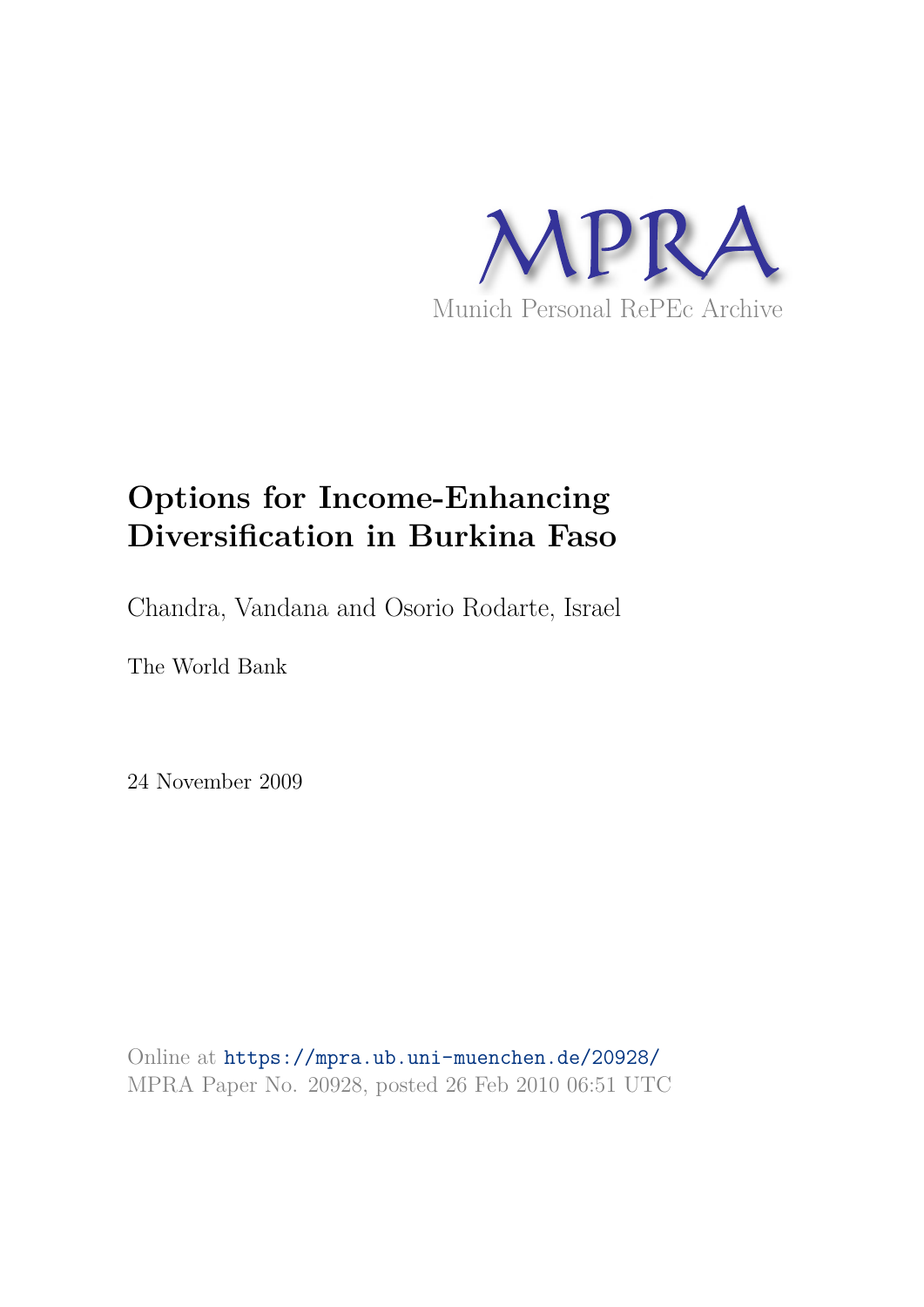

# **Options for Income-Enhancing Diversification in Burkina Faso**

Chandra, Vandana and Osorio Rodarte, Israel

The World Bank

24 November 2009

Online at https://mpra.ub.uni-muenchen.de/20928/ MPRA Paper No. 20928, posted 26 Feb 2010 06:51 UTC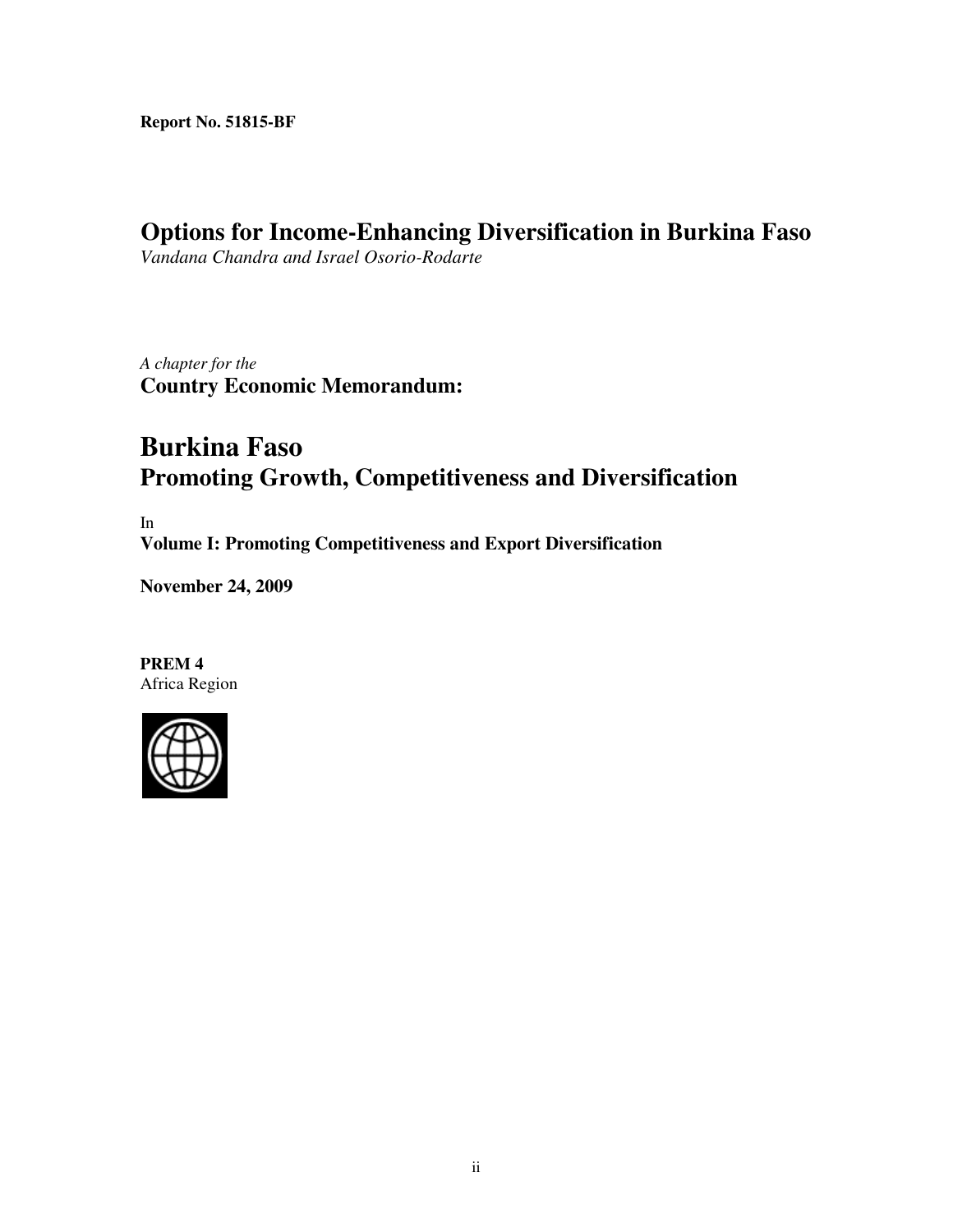**Report No. 51815-BF**

## **Options for Income-Enhancing Diversification in Burkina Faso**

*Vandana Chandra and Israel Osorio-Rodarte* 

*A chapter for the*  **Country Economic Memorandum:** 

## **Burkina Faso Promoting Growth, Competitiveness and Diversification**

In **Volume I: Promoting Competitiveness and Export Diversification** 

**November 24, 2009** 

**PREM 4**  Africa Region

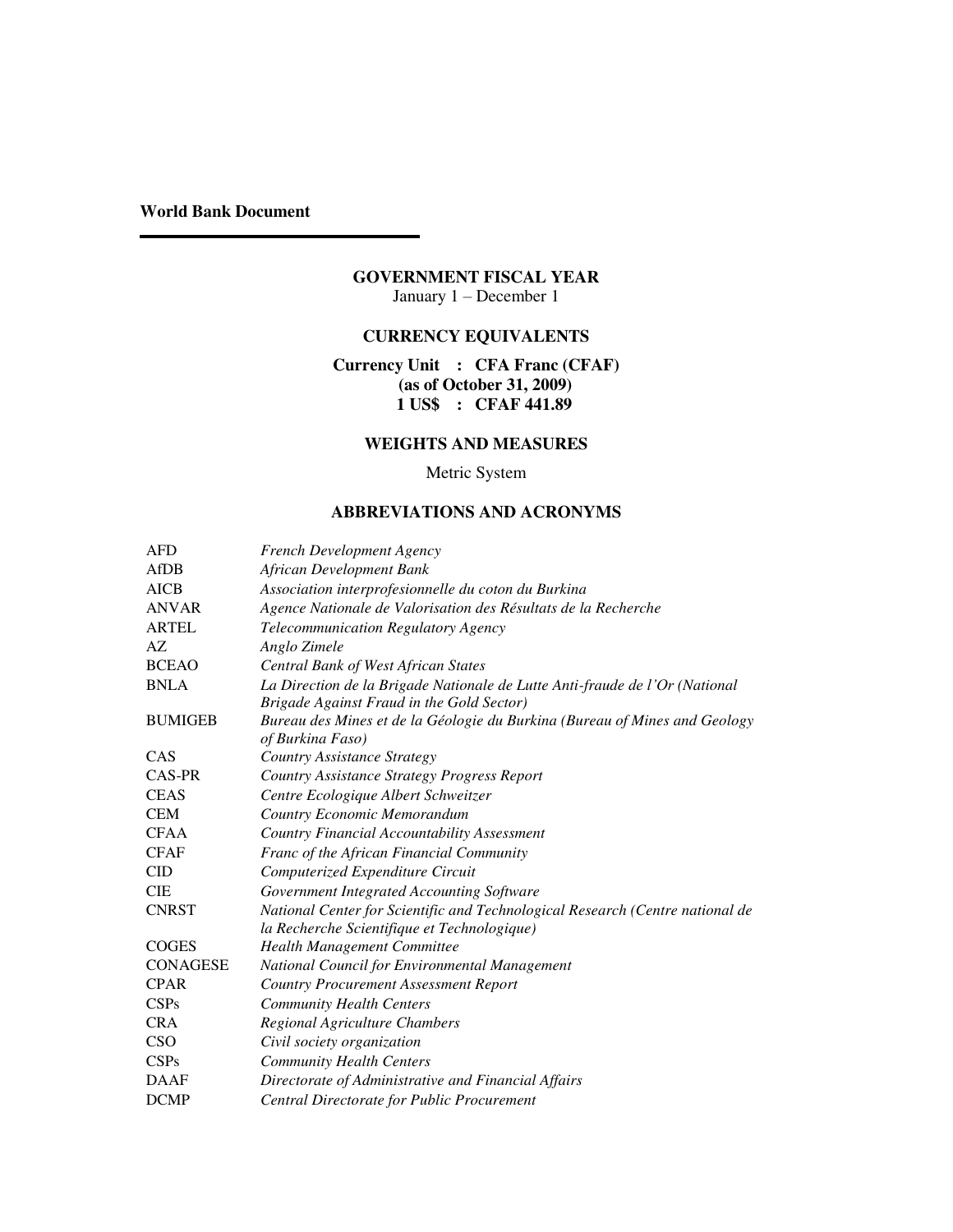**World Bank Document** 

#### **GOVERNMENT FISCAL YEAR**  January 1 – December 1

## **CURRENCY EQUIVALENTS**

#### **Currency Unit : CFA Franc (CFAF) (as of October 31, 2009) 1 US\$ : CFAF 441.89**

#### **WEIGHTS AND MEASURES**

### Metric System

#### **ABBREVIATIONS AND ACRONYMS**

| <b>AFD</b>      | <b>French Development Agency</b>                                                                                             |
|-----------------|------------------------------------------------------------------------------------------------------------------------------|
| <b>AfDB</b>     | African Development Bank                                                                                                     |
| <b>AICB</b>     | Association interprofesionnelle du coton du Burkina                                                                          |
| <b>ANVAR</b>    | Agence Nationale de Valorisation des Résultats de la Recherche                                                               |
| <b>ARTEL</b>    | Telecommunication Regulatory Agency                                                                                          |
| AZ              | Anglo Zimele                                                                                                                 |
| <b>BCEAO</b>    | Central Bank of West African States                                                                                          |
| <b>BNLA</b>     | La Direction de la Brigade Nationale de Lutte Anti-fraude de l'Or (National<br>Brigade Against Fraud in the Gold Sector)     |
| <b>BUMIGEB</b>  | Bureau des Mines et de la Géologie du Burkina (Bureau of Mines and Geology<br>of Burkina Faso)                               |
| CAS             | <b>Country Assistance Strategy</b>                                                                                           |
| CAS-PR          | Country Assistance Strategy Progress Report                                                                                  |
| <b>CEAS</b>     | Centre Ecologique Albert Schweitzer                                                                                          |
| <b>CEM</b>      | Country Economic Memorandum                                                                                                  |
| <b>CFAA</b>     | <b>Country Financial Accountability Assessment</b>                                                                           |
| <b>CFAF</b>     | Franc of the African Financial Community                                                                                     |
| <b>CID</b>      | Computerized Expenditure Circuit                                                                                             |
| <b>CIE</b>      | Government Integrated Accounting Software                                                                                    |
| <b>CNRST</b>    | National Center for Scientific and Technological Research (Centre national de<br>la Recherche Scientifique et Technologique) |
| <b>COGES</b>    | <b>Health Management Committee</b>                                                                                           |
| <b>CONAGESE</b> | National Council for Environmental Management                                                                                |
| <b>CPAR</b>     | <b>Country Procurement Assessment Report</b>                                                                                 |
| CSPs            | <b>Community Health Centers</b>                                                                                              |
| <b>CRA</b>      | Regional Agriculture Chambers                                                                                                |
| CSO             | Civil society organization                                                                                                   |
| CSPs            | <b>Community Health Centers</b>                                                                                              |
| <b>DAAF</b>     | Directorate of Administrative and Financial Affairs                                                                          |
| <b>DCMP</b>     | Central Directorate for Public Procurement                                                                                   |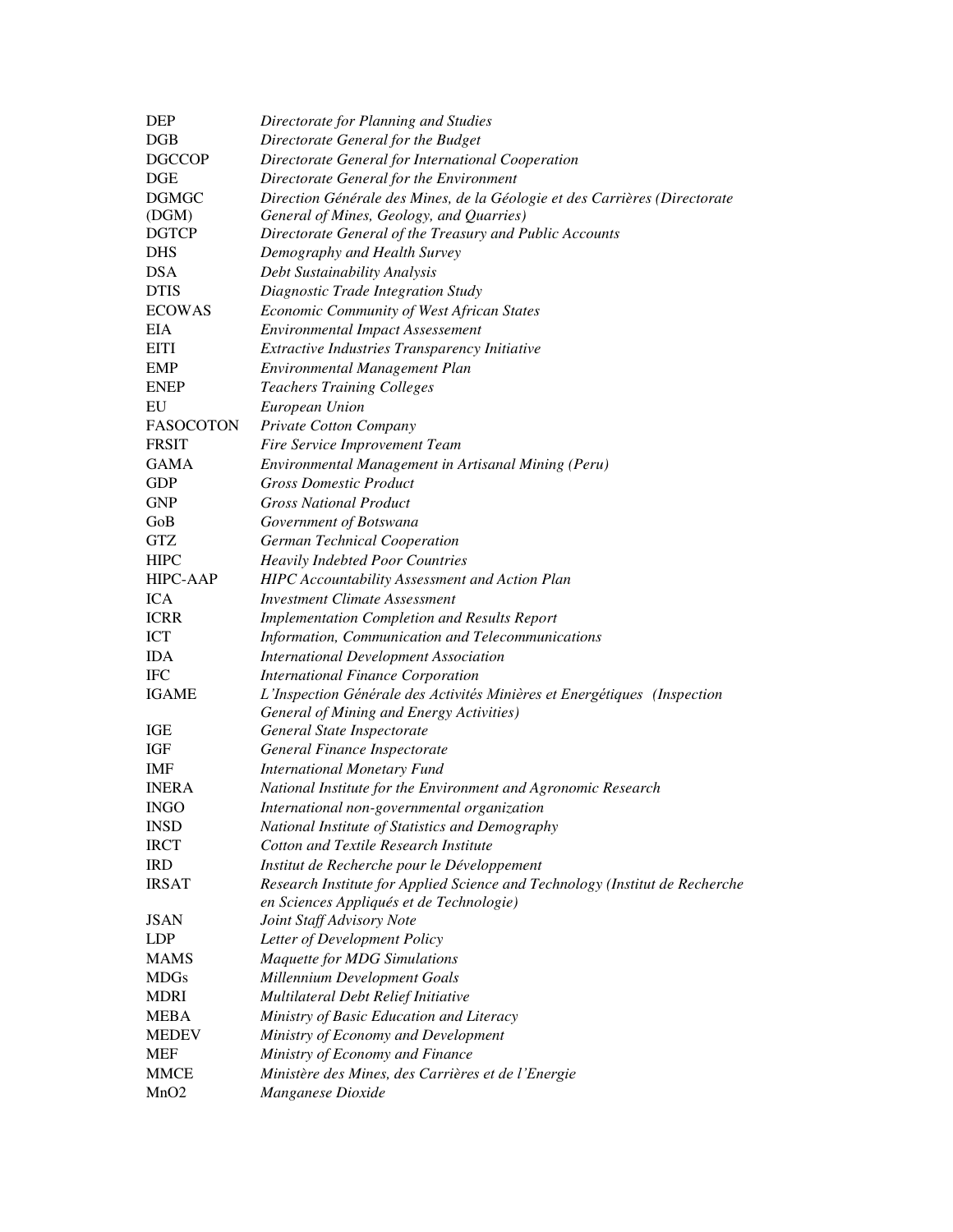| <b>DEP</b>       | Directorate for Planning and Studies                                         |
|------------------|------------------------------------------------------------------------------|
| DGB              | Directorate General for the Budget                                           |
| <b>DGCCOP</b>    | Directorate General for International Cooperation                            |
| DGE              | Directorate General for the Environment                                      |
| <b>DGMGC</b>     | Direction Générale des Mines, de la Géologie et des Carrières (Directorate   |
| (DGM)            | General of Mines, Geology, and Quarries)                                     |
| <b>DGTCP</b>     | Directorate General of the Treasury and Public Accounts                      |
| <b>DHS</b>       | Demography and Health Survey                                                 |
| <b>DSA</b>       | Debt Sustainability Analysis                                                 |
| <b>DTIS</b>      | Diagnostic Trade Integration Study                                           |
| <b>ECOWAS</b>    | Economic Community of West African States                                    |
| EIA              | <b>Environmental Impact Assessement</b>                                      |
| <b>EITI</b>      | Extractive Industries Transparency Initiative                                |
| <b>EMP</b>       | Environmental Management Plan                                                |
| <b>ENEP</b>      | <b>Teachers Training Colleges</b>                                            |
| EU               | European Union                                                               |
| <b>FASOCOTON</b> | Private Cotton Company                                                       |
| <b>FRSIT</b>     | Fire Service Improvement Team                                                |
| <b>GAMA</b>      | Environmental Management in Artisanal Mining (Peru)                          |
| <b>GDP</b>       | <b>Gross Domestic Product</b>                                                |
| <b>GNP</b>       | <b>Gross National Product</b>                                                |
| GoB              | Government of Botswana                                                       |
| <b>GTZ</b>       | German Technical Cooperation                                                 |
| <b>HIPC</b>      | <b>Heavily Indebted Poor Countries</b>                                       |
| <b>HIPC-AAP</b>  | HIPC Accountability Assessment and Action Plan                               |
| <b>ICA</b>       | <b>Investment Climate Assessment</b>                                         |
| <b>ICRR</b>      | <b>Implementation Completion and Results Report</b>                          |
| ICT              | Information, Communication and Telecommunications                            |
| <b>IDA</b>       | <b>International Development Association</b>                                 |
| <b>IFC</b>       | <b>International Finance Corporation</b>                                     |
| <b>IGAME</b>     | L'Inspection Générale des Activités Minières et Energétiques (Inspection     |
|                  | General of Mining and Energy Activities)                                     |
| IGE              | General State Inspectorate                                                   |
| IGF              | General Finance Inspectorate                                                 |
| <b>IMF</b>       | <b>International Monetary Fund</b>                                           |
| <b>INERA</b>     | National Institute for the Environment and Agronomic Research                |
| <b>INGO</b>      | International non-governmental organization                                  |
| <b>INSD</b>      | National Institute of Statistics and Demography                              |
| <b>IRCT</b>      | Cotton and Textile Research Institute                                        |
| <b>IRD</b>       | Institut de Recherche pour le Développement                                  |
| <b>IRSAT</b>     | Research Institute for Applied Science and Technology (Institut de Recherche |
|                  | en Sciences Appliqués et de Technologie)                                     |
| <b>JSAN</b>      | Joint Staff Advisory Note                                                    |
| <b>LDP</b>       | Letter of Development Policy                                                 |
| <b>MAMS</b>      | <b>Maquette for MDG Simulations</b>                                          |
| <b>MDGs</b>      | Millennium Development Goals                                                 |
| <b>MDRI</b>      | Multilateral Debt Relief Initiative                                          |
| <b>MEBA</b>      | Ministry of Basic Education and Literacy                                     |
| <b>MEDEV</b>     | Ministry of Economy and Development                                          |
| MEF              | Ministry of Economy and Finance                                              |
| <b>MMCE</b>      | Ministère des Mines, des Carrières et de l'Energie                           |
| MnO <sub>2</sub> | Manganese Dioxide                                                            |
|                  |                                                                              |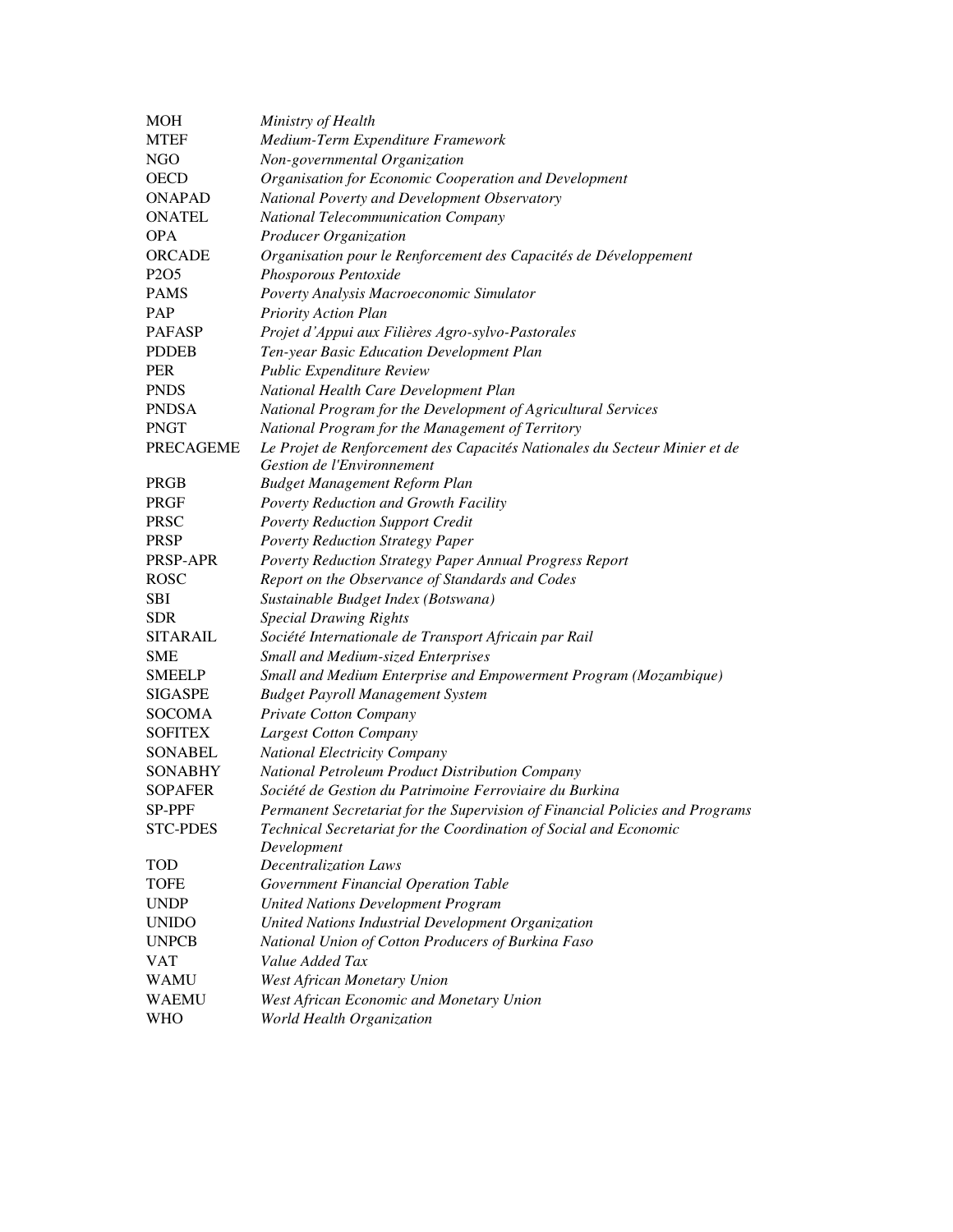| MOH                           | Ministry of Health                                                           |
|-------------------------------|------------------------------------------------------------------------------|
| <b>MTEF</b>                   | Medium-Term Expenditure Framework                                            |
| <b>NGO</b>                    | Non-governmental Organization                                                |
| <b>OECD</b>                   | Organisation for Economic Cooperation and Development                        |
| <b>ONAPAD</b>                 | National Poverty and Development Observatory                                 |
| <b>ONATEL</b>                 | <b>National Telecommunication Company</b>                                    |
| <b>OPA</b>                    | <b>Producer Organization</b>                                                 |
| <b>ORCADE</b>                 | Organisation pour le Renforcement des Capacités de Développement             |
| P <sub>2</sub> O <sub>5</sub> | Phosporous Pentoxide                                                         |
| <b>PAMS</b>                   | Poverty Analysis Macroeconomic Simulator                                     |
| PAP                           | <b>Priority Action Plan</b>                                                  |
| <b>PAFASP</b>                 | Projet d'Appui aux Filières Agro-sylvo-Pastorales                            |
| <b>PDDEB</b>                  | Ten-year Basic Education Development Plan                                    |
| <b>PER</b>                    | Public Expenditure Review                                                    |
| <b>PNDS</b>                   | National Health Care Development Plan                                        |
| <b>PNDSA</b>                  | National Program for the Development of Agricultural Services                |
| <b>PNGT</b>                   | National Program for the Management of Territory                             |
| <b>PRECAGEME</b>              | Le Projet de Renforcement des Capacités Nationales du Secteur Minier et de   |
|                               | Gestion de l'Environnement                                                   |
| PRGB                          | <b>Budget Management Reform Plan</b>                                         |
| <b>PRGF</b>                   | Poverty Reduction and Growth Facility                                        |
| <b>PRSC</b>                   | <b>Poverty Reduction Support Credit</b>                                      |
| <b>PRSP</b>                   | <b>Poverty Reduction Strategy Paper</b>                                      |
| PRSP-APR                      | Poverty Reduction Strategy Paper Annual Progress Report                      |
| <b>ROSC</b>                   | Report on the Observance of Standards and Codes                              |
| <b>SBI</b>                    | Sustainable Budget Index (Botswana)                                          |
| <b>SDR</b>                    | <b>Special Drawing Rights</b>                                                |
| <b>SITARAIL</b>               | Société Internationale de Transport Africain par Rail                        |
| <b>SME</b>                    | <b>Small and Medium-sized Enterprises</b>                                    |
| <b>SMEELP</b>                 | Small and Medium Enterprise and Empowerment Program (Mozambique)             |
| <b>SIGASPE</b>                | <b>Budget Payroll Management System</b>                                      |
| <b>SOCOMA</b>                 | Private Cotton Company                                                       |
| <b>SOFITEX</b>                | <b>Largest Cotton Company</b>                                                |
| <b>SONABEL</b>                | National Electricity Company                                                 |
| <b>SONABHY</b>                | National Petroleum Product Distribution Company                              |
| <b>SOPAFER</b>                | Société de Gestion du Patrimoine Ferroviaire du Burkina                      |
| SP-PPF                        | Permanent Secretariat for the Supervision of Financial Policies and Programs |
| <b>STC-PDES</b>               | Technical Secretariat for the Coordination of Social and Economic            |
|                               | Development                                                                  |
| TOD                           | <b>Decentralization Laws</b>                                                 |
| <b>TOFE</b>                   | Government Financial Operation Table                                         |
| <b>UNDP</b>                   | <b>United Nations Development Program</b>                                    |
| <b>UNIDO</b>                  | United Nations Industrial Development Organization                           |
| <b>UNPCB</b>                  | National Union of Cotton Producers of Burkina Faso                           |
| <b>VAT</b>                    | Value Added Tax                                                              |
| <b>WAMU</b>                   | <b>West African Monetary Union</b>                                           |
| <b>WAEMU</b>                  | West African Economic and Monetary Union                                     |
| <b>WHO</b>                    | World Health Organization                                                    |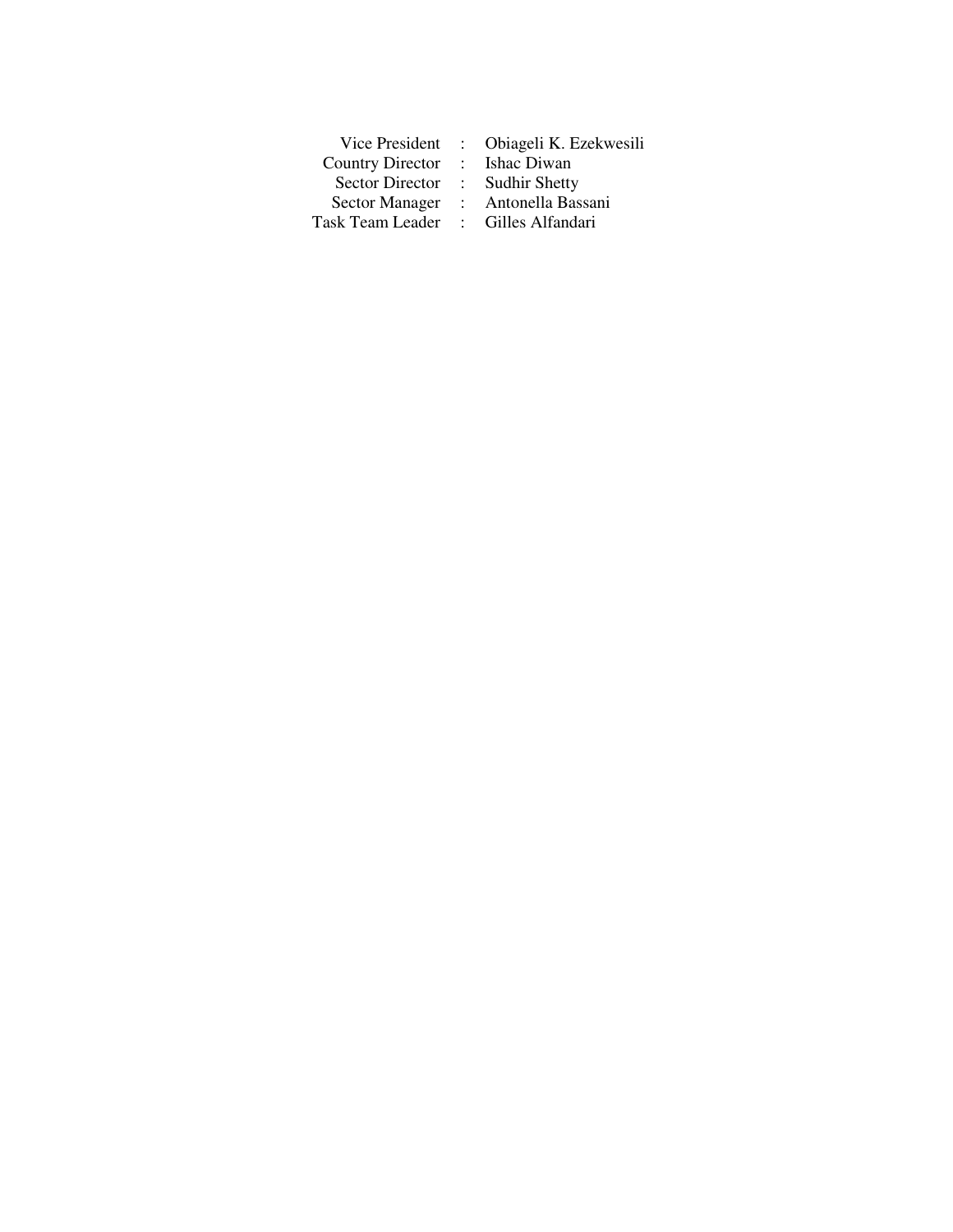|                         |                   | Vice President : Obiageli K. Ezekwesili |
|-------------------------|-------------------|-----------------------------------------|
| <b>Country Director</b> | $\sim$ 100 $\sim$ | Ishac Diwan                             |
| Sector Director         |                   | : Sudhir Shetty                         |
| <b>Sector Manager</b>   | $\mathcal{L}$     | Antonella Bassani                       |
| Task Team Leader        | $\sim$ $-$        | Gilles Alfandari                        |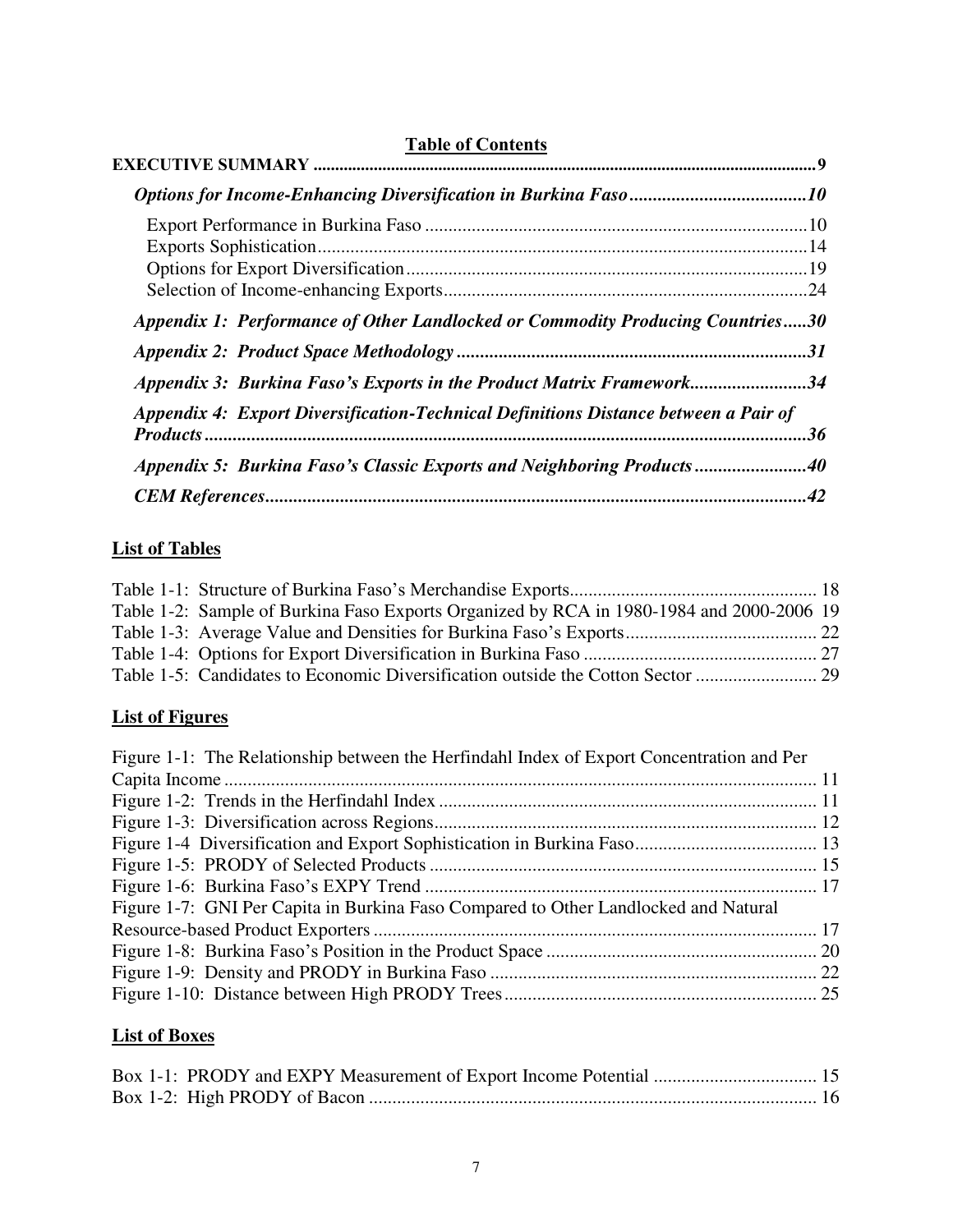| <b>Table of Contents</b>                                                            |    |
|-------------------------------------------------------------------------------------|----|
|                                                                                     |    |
|                                                                                     |    |
|                                                                                     |    |
|                                                                                     |    |
|                                                                                     |    |
|                                                                                     |    |
| Appendix 1: Performance of Other Landlocked or Commodity Producing Countries30      |    |
|                                                                                     |    |
| Appendix 3: Burkina Faso's Exports in the Product Matrix Framework34                |    |
| Appendix 4: Export Diversification-Technical Definitions Distance between a Pair of |    |
|                                                                                     | 36 |
| Appendix 5: Burkina Faso's Classic Exports and Neighboring Products40               |    |
|                                                                                     |    |

## **List of Tables**

| Table 1-2: Sample of Burkina Faso Exports Organized by RCA in 1980-1984 and 2000-2006 19 |  |
|------------------------------------------------------------------------------------------|--|
|                                                                                          |  |
|                                                                                          |  |
|                                                                                          |  |

## **List of Figures**

| Figure 1-1: The Relationship between the Herfindahl Index of Export Concentration and Per |  |
|-------------------------------------------------------------------------------------------|--|
|                                                                                           |  |
|                                                                                           |  |
|                                                                                           |  |
|                                                                                           |  |
|                                                                                           |  |
|                                                                                           |  |
| Figure 1-7: GNI Per Capita in Burkina Faso Compared to Other Landlocked and Natural       |  |
|                                                                                           |  |
|                                                                                           |  |
|                                                                                           |  |
|                                                                                           |  |

## **List of Boxes**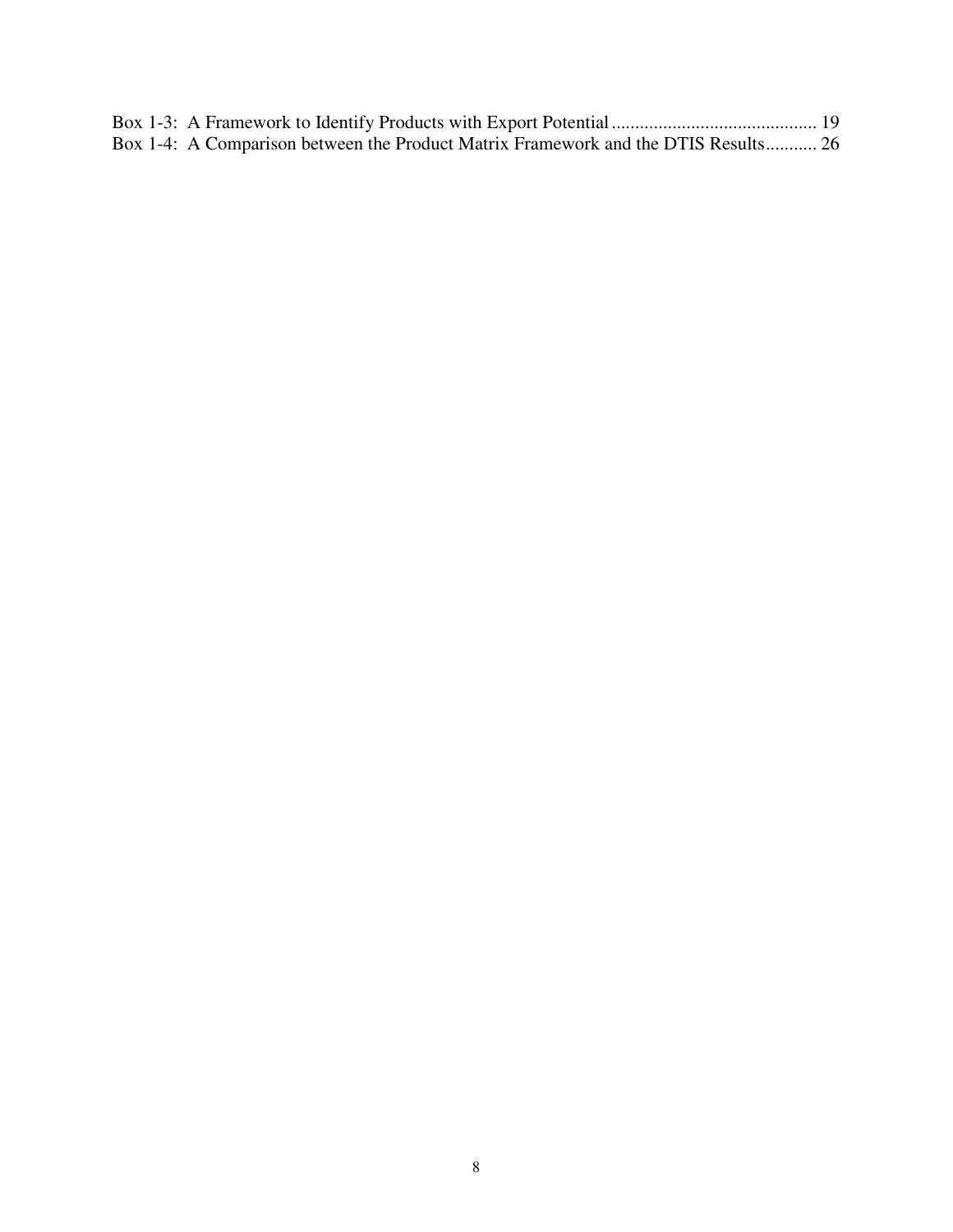| Box 1-4: A Comparison between the Product Matrix Framework and the DTIS Results 26 |  |
|------------------------------------------------------------------------------------|--|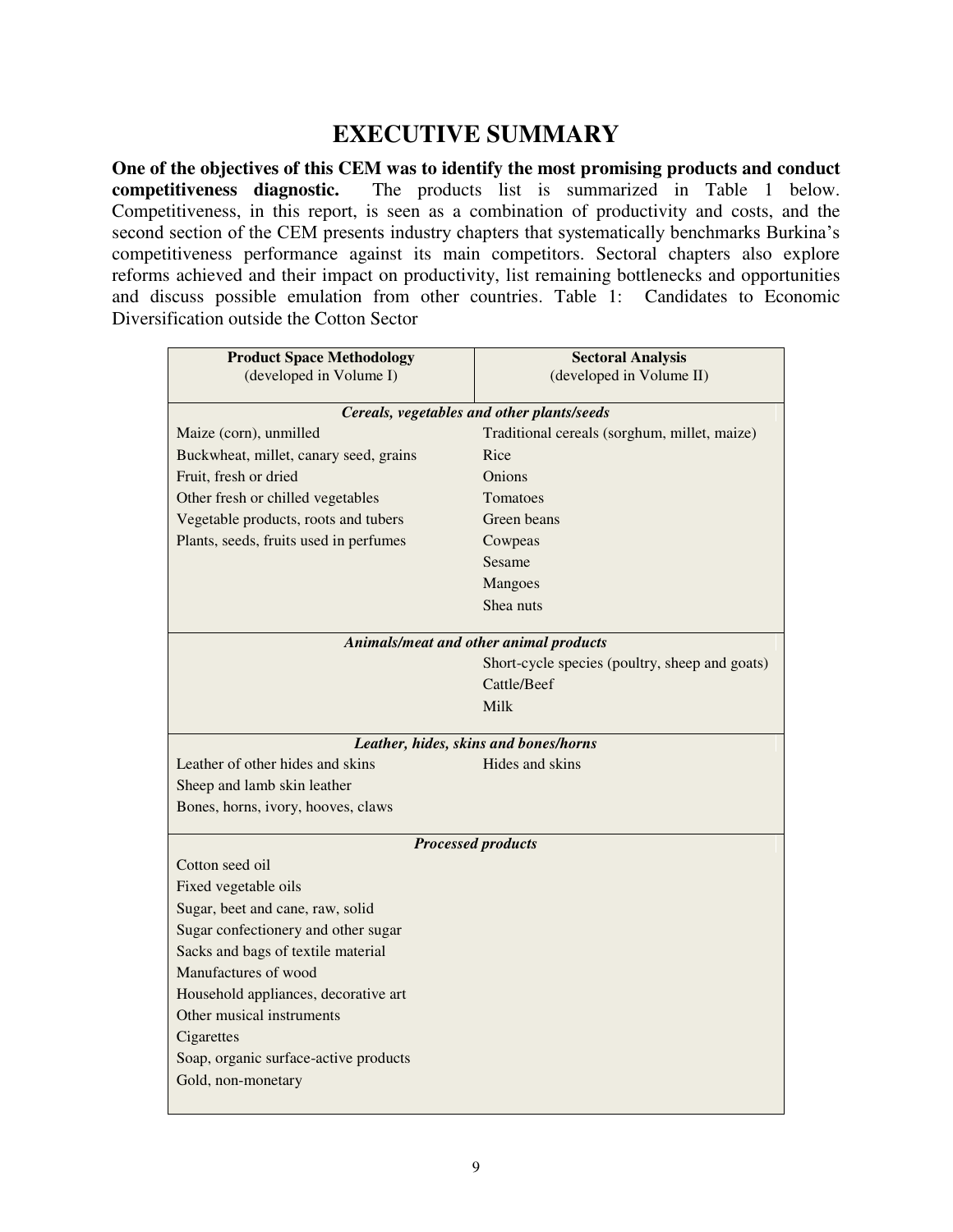## **EXECUTIVE SUMMARY**

<span id="page-8-0"></span>**One of the objectives of this CEM was to identify the most promising products and conduct competitiveness diagnostic.** The products list is summarized in Table 1 below. Competitiveness, in this report, is seen as a combination of productivity and costs, and the second section of the CEM presents industry chapters that systematically benchmarks Burkina's competitiveness performance against its main competitors. Sectoral chapters also explore reforms achieved and their impact on productivity, list remaining bottlenecks and opportunities and discuss possible emulation from other countries. Table 1: Candidates to Economic Diversification outside the Cotton Sector

| <b>Product Space Methodology</b>       | <b>Sectoral Analysis</b>                                 |  |  |  |  |
|----------------------------------------|----------------------------------------------------------|--|--|--|--|
| (developed in Volume I)                | (developed in Volume II)                                 |  |  |  |  |
|                                        | Cereals, vegetables and other plants/seeds               |  |  |  |  |
| Maize (corn), unmilled                 | Traditional cereals (sorghum, millet, maize)             |  |  |  |  |
| Buckwheat, millet, canary seed, grains | Rice                                                     |  |  |  |  |
| Fruit, fresh or dried                  | Onions                                                   |  |  |  |  |
| Other fresh or chilled vegetables      | <b>Tomatoes</b>                                          |  |  |  |  |
| Vegetable products, roots and tubers   | Green beans                                              |  |  |  |  |
| Plants, seeds, fruits used in perfumes | Cowpeas                                                  |  |  |  |  |
|                                        | Sesame                                                   |  |  |  |  |
|                                        | Mangoes                                                  |  |  |  |  |
|                                        | Shea nuts                                                |  |  |  |  |
|                                        | Animals/meat and other animal products                   |  |  |  |  |
|                                        | Short-cycle species (poultry, sheep and goats)           |  |  |  |  |
|                                        | Cattle/Beef                                              |  |  |  |  |
|                                        | Milk                                                     |  |  |  |  |
|                                        |                                                          |  |  |  |  |
| Leather of other hides and skins       | Leather, hides, skins and bones/horns<br>Hides and skins |  |  |  |  |
| Sheep and lamb skin leather            |                                                          |  |  |  |  |
| Bones, horns, ivory, hooves, claws     |                                                          |  |  |  |  |
|                                        |                                                          |  |  |  |  |
|                                        | <b>Processed products</b>                                |  |  |  |  |
| Cotton seed oil                        |                                                          |  |  |  |  |
| Fixed vegetable oils                   |                                                          |  |  |  |  |
| Sugar, beet and cane, raw, solid       |                                                          |  |  |  |  |
| Sugar confectionery and other sugar    |                                                          |  |  |  |  |
| Sacks and bags of textile material     |                                                          |  |  |  |  |
| Manufactures of wood                   |                                                          |  |  |  |  |
| Household appliances, decorative art   |                                                          |  |  |  |  |
| Other musical instruments              |                                                          |  |  |  |  |
| Cigarettes                             |                                                          |  |  |  |  |
| Soap, organic surface-active products  |                                                          |  |  |  |  |
| Gold, non-monetary                     |                                                          |  |  |  |  |
|                                        |                                                          |  |  |  |  |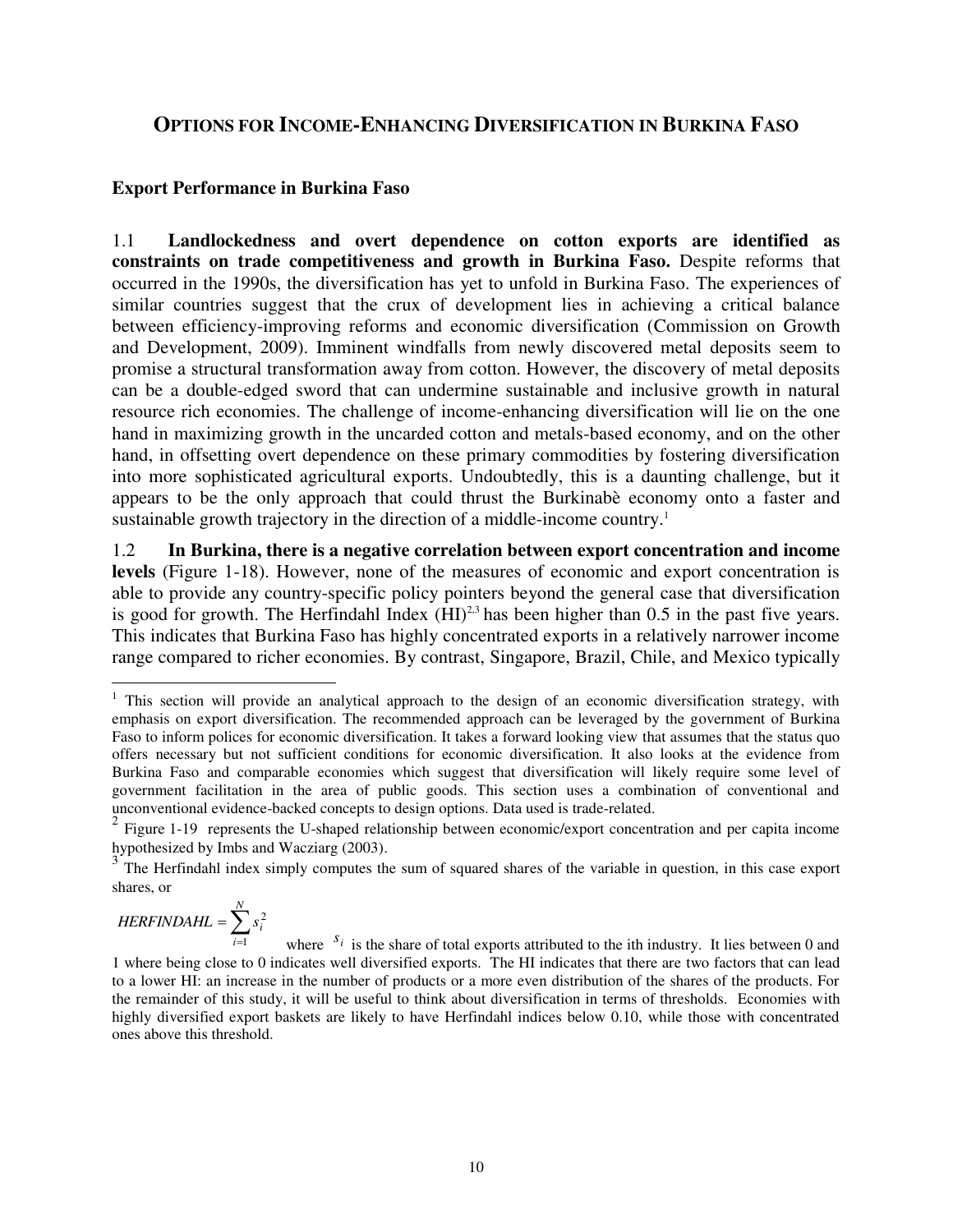## <span id="page-9-0"></span>**OPTIONS FOR INCOME-ENHANCING DIVERSIFICATION IN BURKINA FASO**

### <span id="page-9-1"></span>**Export Performance in Burkina Faso**

1.1 **Landlockedness and overt dependence on cotton exports are identified as constraints on trade competitiveness and growth in Burkina Faso.** Despite reforms that occurred in the 1990s, the diversification has yet to unfold in Burkina Faso. The experiences of similar countries suggest that the crux of development lies in achieving a critical balance between efficiency-improving reforms and economic diversification (Commission on Growth and Development, 2009). Imminent windfalls from newly discovered metal deposits seem to promise a structural transformation away from cotton. However, the discovery of metal deposits can be a double-edged sword that can undermine sustainable and inclusive growth in natural resource rich economies. The challenge of income-enhancing diversification will lie on the one hand in maximizing growth in the uncarded cotton and metals-based economy, and on the other hand, in offsetting overt dependence on these primary commodities by fostering diversification into more sophisticated agricultural exports. Undoubtedly, this is a daunting challenge, but it appears to be the only approach that could thrust the Burkinabè economy onto a faster and sustainable growth trajectory in the direction of a middle-income country.<sup>1</sup>

1.2 **In Burkina, there is a negative correlation between export concentration and income levels** (Figure 1-18). However, none of the measures of economic and export concentration is able to provide any country-specific policy pointers beyond the general case that diversification is good for growth. The Herfindahl Index  $(HI)^{2,3}$  has been higher than 0.5 in the past five years. This indicates that Burkina Faso has highly concentrated exports in a relatively narrower income range compared to richer economies. By contrast, Singapore, Brazil, Chile, and Mexico typically

 $=\sum_{i=1}^{n}$ *N i HERFINDAHL* =  $\sum s_i$ 

2

 $\overline{a}$ 

<sup>&</sup>lt;sup>1</sup> This section will provide an analytical approach to the design of an economic diversification strategy, with emphasis on export diversification. The recommended approach can be leveraged by the government of Burkina Faso to inform polices for economic diversification. It takes a forward looking view that assumes that the status quo offers necessary but not sufficient conditions for economic diversification. It also looks at the evidence from Burkina Faso and comparable economies which suggest that diversification will likely require some level of government facilitation in the area of public goods. This section uses a combination of conventional and unconventional evidence-backed concepts to design options. Data used is trade-related.

<sup>&</sup>lt;sup>2</sup> Figure 1-19 represents the U-shaped relationship between economic/export concentration and per capita income hypothesized by Imbs and Wacziarg (2003).

<sup>3</sup> The Herfindahl index simply computes the sum of squared shares of the variable in question, in this case export shares, or

where  $s_i$  is the share of total exports attributed to the ith industry. It lies between 0 and 1 where being close to 0 indicates well diversified exports. The HI indicates that there are two factors that can lead to a lower HI: an increase in the number of products or a more even distribution of the shares of the products. For the remainder of this study, it will be useful to think about diversification in terms of thresholds. Economies with highly diversified export baskets are likely to have Herfindahl indices below 0.10, while those with concentrated ones above this threshold. *i* 1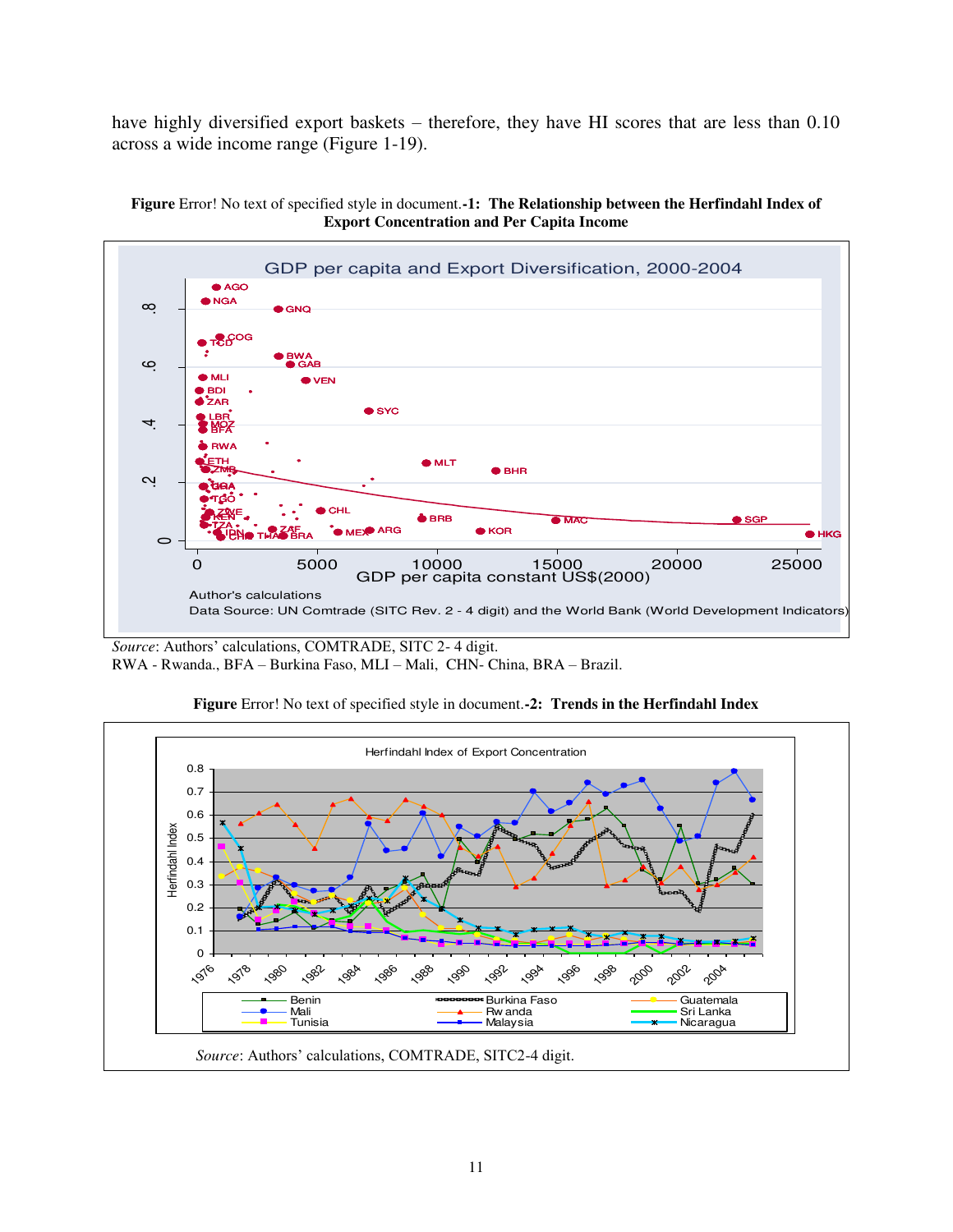have highly diversified export baskets – therefore, they have HI scores that are less than 0.10 across a wide income range (Figure 1-19).

<span id="page-10-0"></span>



*Source*: Authors' calculations, COMTRADE, SITC 2- 4 digit. RWA - Rwanda., BFA – Burkina Faso, MLI – Mali, CHN- China, BRA – Brazil.

<span id="page-10-1"></span>

**Figure** Error! No text of specified style in document.**-2: Trends in the Herfindahl Index**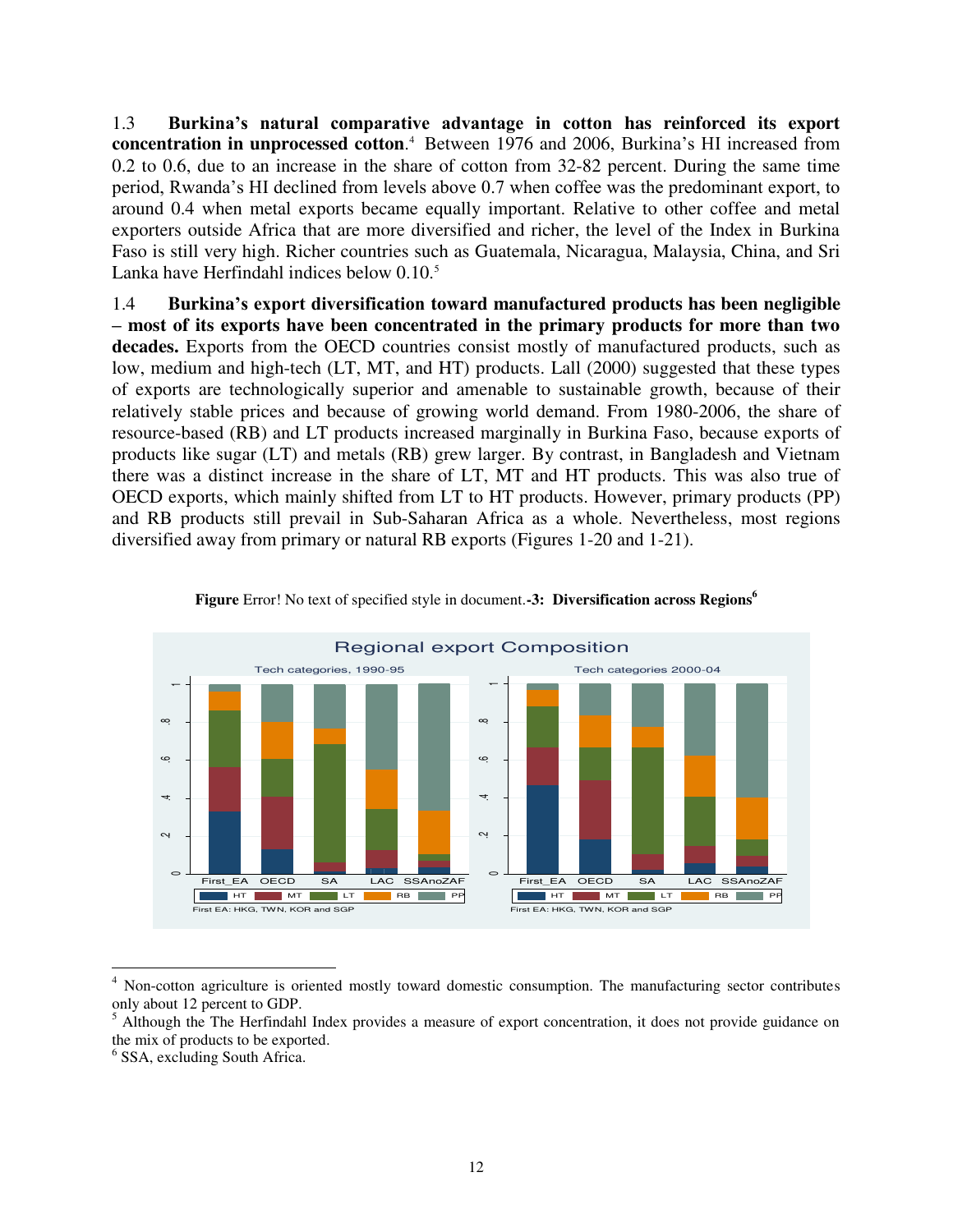1.3 **Burkina's natural comparative advantage in cotton has reinforced its export concentration in unprocessed cotton.**<sup>4</sup> Between 1976 and 2006, Burkina's HI increased from 0.2 to 0.6, due to an increase in the share of cotton from 32-82 percent. During the same time period, Rwanda's HI declined from levels above 0.7 when coffee was the predominant export, to around 0.4 when metal exports became equally important. Relative to other coffee and metal exporters outside Africa that are more diversified and richer, the level of the Index in Burkina Faso is still very high. Richer countries such as Guatemala, Nicaragua, Malaysia, China, and Sri Lanka have Herfindahl indices below 0.10.<sup>5</sup>

1.4 **Burkina's export diversification toward manufactured products has been negligible – most of its exports have been concentrated in the primary products for more than two decades.** Exports from the OECD countries consist mostly of manufactured products, such as low, medium and high-tech (LT, MT, and HT) products. Lall (2000) suggested that these types of exports are technologically superior and amenable to sustainable growth, because of their relatively stable prices and because of growing world demand. From 1980-2006, the share of resource-based (RB) and LT products increased marginally in Burkina Faso, because exports of products like sugar (LT) and metals (RB) grew larger. By contrast, in Bangladesh and Vietnam there was a distinct increase in the share of LT, MT and HT products. This was also true of OECD exports, which mainly shifted from LT to HT products. However, primary products (PP) and RB products still prevail in Sub-Saharan Africa as a whole. Nevertheless, most regions diversified away from primary or natural RB exports (Figures 1-20 and 1-21).

<span id="page-11-0"></span>

**Figure** Error! No text of specified style in document.**-3: Diversification across Regions<sup>6</sup>**

 $\overline{a}$ 

<sup>&</sup>lt;sup>4</sup> Non-cotton agriculture is oriented mostly toward domestic consumption. The manufacturing sector contributes only about 12 percent to GDP.

<sup>&</sup>lt;sup>5</sup> Although the The Herfindahl Index provides a measure of export concentration, it does not provide guidance on the mix of products to be exported.

<sup>6</sup> SSA, excluding South Africa.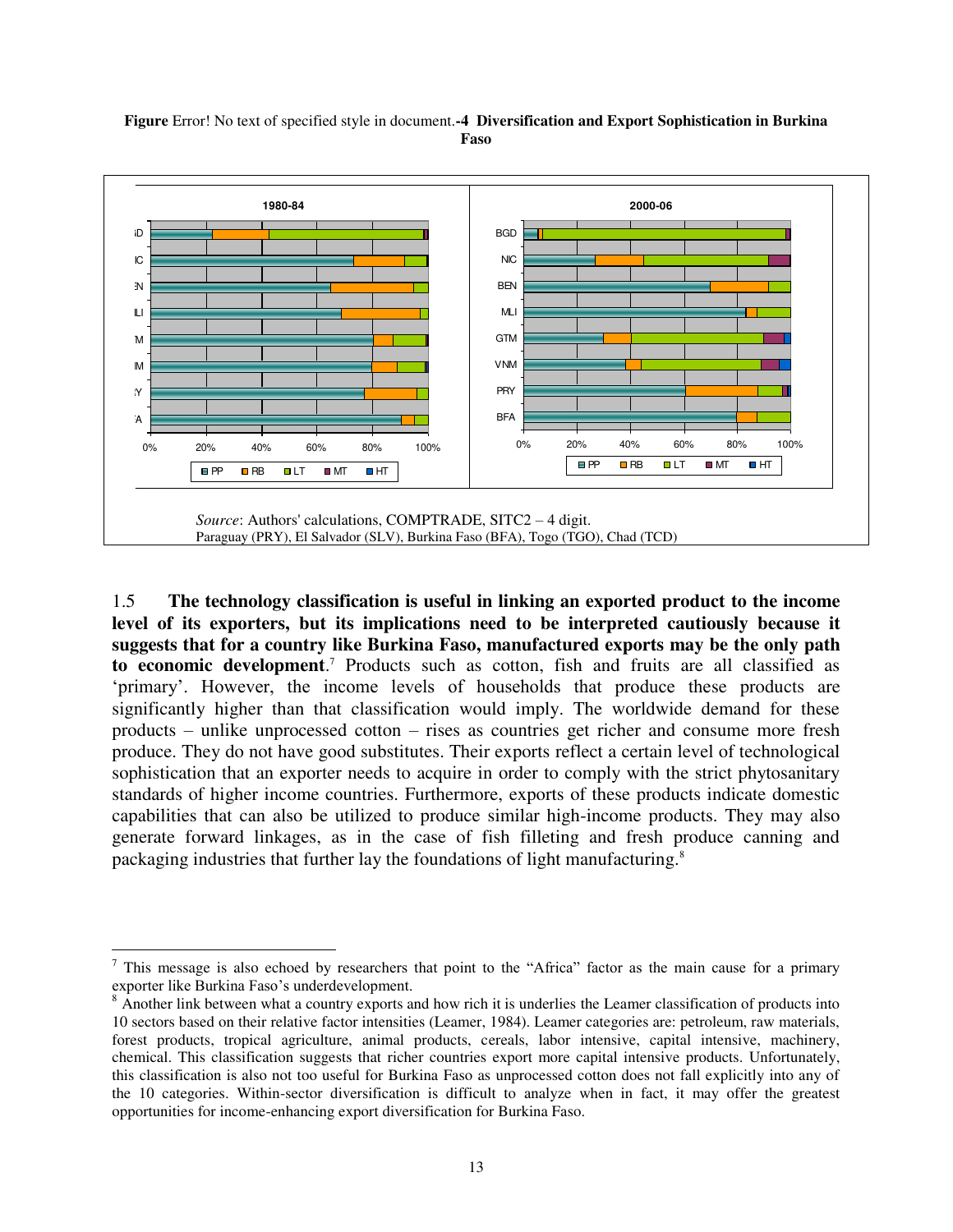<span id="page-12-0"></span>



1.5 **The technology classification is useful in linking an exported product to the income level of its exporters, but its implications need to be interpreted cautiously because it suggests that for a country like Burkina Faso, manufactured exports may be the only path to economic development**. 7 Products such as cotton, fish and fruits are all classified as ‗primary'. However, the income levels of households that produce these products are significantly higher than that classification would imply. The worldwide demand for these products – unlike unprocessed cotton – rises as countries get richer and consume more fresh produce. They do not have good substitutes. Their exports reflect a certain level of technological sophistication that an exporter needs to acquire in order to comply with the strict phytosanitary standards of higher income countries. Furthermore, exports of these products indicate domestic capabilities that can also be utilized to produce similar high-income products. They may also generate forward linkages, as in the case of fish filleting and fresh produce canning and packaging industries that further lay the foundations of light manufacturing.<sup>8</sup>

 $\overline{a}$ 

 $<sup>7</sup>$  This message is also echoed by researchers that point to the "Africa" factor as the main cause for a primary</sup> exporter like Burkina Faso's underdevelopment.

<sup>&</sup>lt;sup>8</sup> Another link between what a country exports and how rich it is underlies the Leamer classification of products into 10 sectors based on their relative factor intensities (Leamer, 1984). Leamer categories are: petroleum, raw materials, forest products, tropical agriculture, animal products, cereals, labor intensive, capital intensive, machinery, chemical. This classification suggests that richer countries export more capital intensive products. Unfortunately, this classification is also not too useful for Burkina Faso as unprocessed cotton does not fall explicitly into any of the 10 categories. Within-sector diversification is difficult to analyze when in fact, it may offer the greatest opportunities for income-enhancing export diversification for Burkina Faso.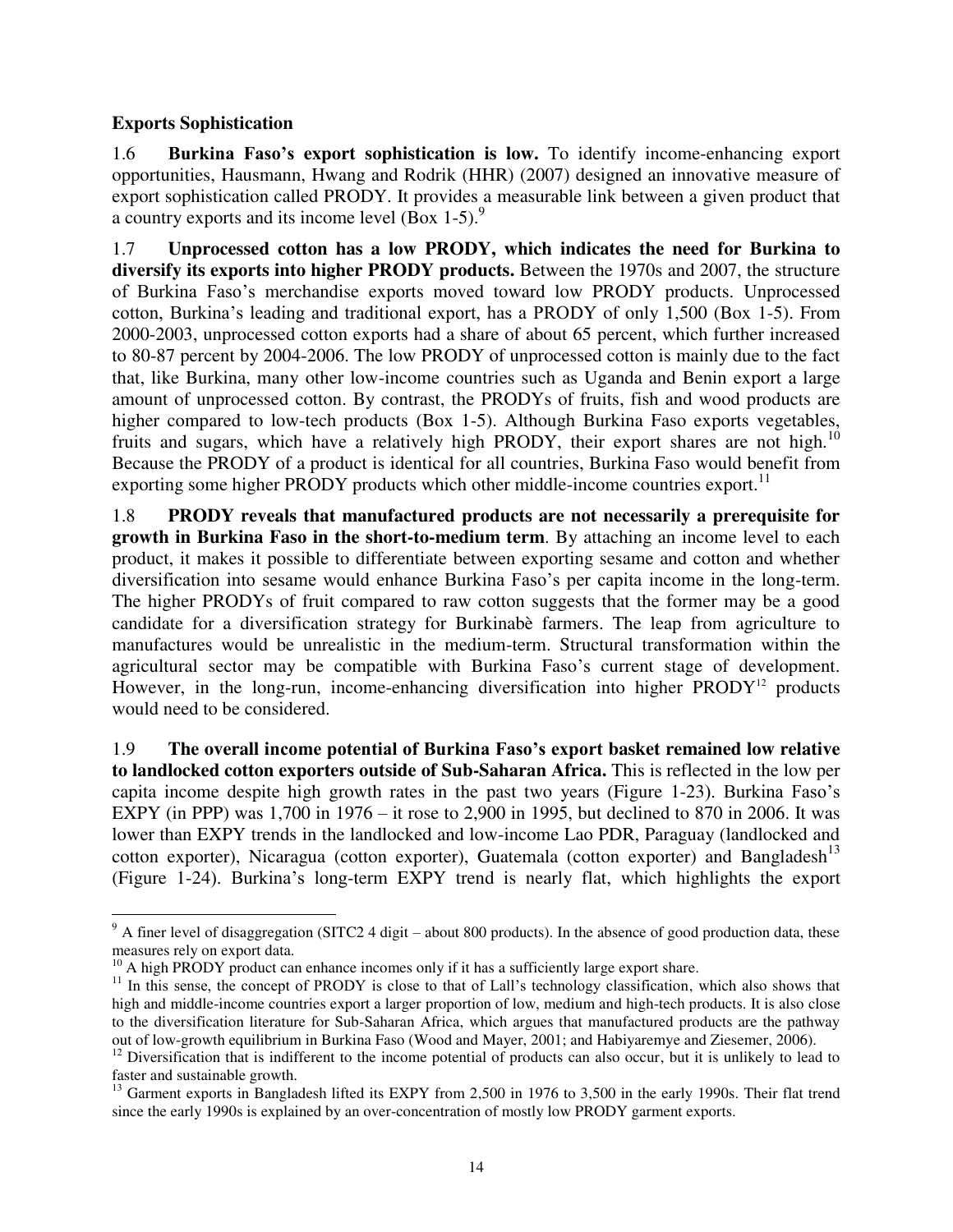### <span id="page-13-0"></span>**Exports Sophistication**

 $\overline{a}$ 

1.6 **Burkina Faso's export sophistication is low.** To identify income-enhancing export opportunities, Hausmann, Hwang and Rodrik (HHR) (2007) designed an innovative measure of export sophistication called PRODY. It provides a measurable link between a given product that a country exports and its income level  $(Box 1-5)$ .<sup>9</sup>

1.7 **Unprocessed cotton has a low PRODY, which indicates the need for Burkina to diversify its exports into higher PRODY products.** Between the 1970s and 2007, the structure of Burkina Faso's merchandise exports moved toward low PRODY products. Unprocessed cotton, Burkina's leading and traditional export, has a PRODY of only 1,500 (Box 1-5). From 2000-2003, unprocessed cotton exports had a share of about 65 percent, which further increased to 80-87 percent by 2004-2006. The low PRODY of unprocessed cotton is mainly due to the fact that, like Burkina, many other low-income countries such as Uganda and Benin export a large amount of unprocessed cotton. By contrast, the PRODYs of fruits, fish and wood products are higher compared to low-tech products (Box 1-5). Although Burkina Faso exports vegetables, fruits and sugars, which have a relatively high PRODY, their export shares are not high.<sup>10</sup> Because the PRODY of a product is identical for all countries, Burkina Faso would benefit from exporting some higher PRODY products which other middle-income countries export.<sup>11</sup>

1.8 **PRODY reveals that manufactured products are not necessarily a prerequisite for growth in Burkina Faso in the short-to-medium term**. By attaching an income level to each product, it makes it possible to differentiate between exporting sesame and cotton and whether diversification into sesame would enhance Burkina Faso's per capita income in the long-term. The higher PRODYs of fruit compared to raw cotton suggests that the former may be a good candidate for a diversification strategy for Burkinabè farmers. The leap from agriculture to manufactures would be unrealistic in the medium-term. Structural transformation within the agricultural sector may be compatible with Burkina Faso's current stage of development. However, in the long-run, income-enhancing diversification into higher  $PRODY<sup>12</sup>$  products would need to be considered.

1.9 **The overall income potential of Burkina Faso's export basket remained low relative to landlocked cotton exporters outside of Sub-Saharan Africa.** This is reflected in the low per capita income despite high growth rates in the past two years (Figure 1-23). Burkina Faso's EXPY (in PPP) was 1,700 in 1976 – it rose to 2,900 in 1995, but declined to 870 in 2006. It was lower than EXPY trends in the landlocked and low-income Lao PDR, Paraguay (landlocked and cotton exporter), Nicaragua (cotton exporter), Guatemala (cotton exporter) and Bangladesh<sup>13</sup> (Figure 1-24). Burkina's long-term EXPY trend is nearly flat, which highlights the export

 $9$  A finer level of disaggregation (SITC2 4 digit – about 800 products). In the absence of good production data, these measures rely on export data.

 $10$  A high PRODY product can enhance incomes only if it has a sufficiently large export share.

<sup>&</sup>lt;sup>11</sup> In this sense, the concept of PRODY is close to that of Lall's technology classification, which also shows that high and middle-income countries export a larger proportion of low, medium and high-tech products. It is also close to the diversification literature for Sub-Saharan Africa, which argues that manufactured products are the pathway out of low-growth equilibrium in Burkina Faso (Wood and Mayer, 2001; and Habiyaremye and Ziesemer, 2006).

<sup>&</sup>lt;sup>12</sup> Diversification that is indifferent to the income potential of products can also occur, but it is unlikely to lead to faster and sustainable growth.

<sup>&</sup>lt;sup>13</sup> Garment exports in Bangladesh lifted its EXPY from 2,500 in 1976 to 3,500 in the early 1990s. Their flat trend since the early 1990s is explained by an over-concentration of mostly low PRODY garment exports.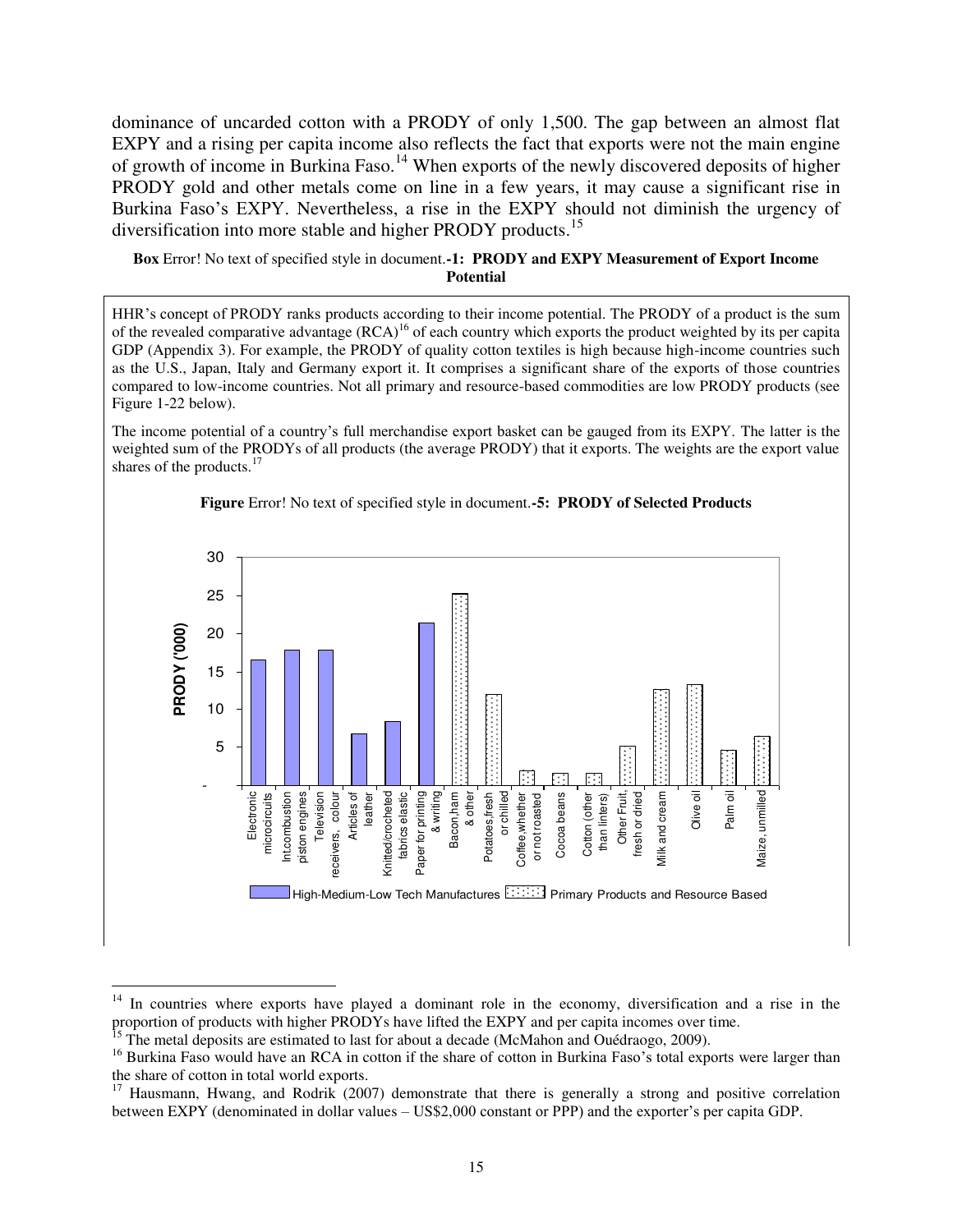dominance of uncarded cotton with a PRODY of only 1,500. The gap between an almost flat EXPY and a rising per capita income also reflects the fact that exports were not the main engine of growth of income in Burkina Faso.<sup>14</sup> When exports of the newly discovered deposits of higher PRODY gold and other metals come on line in a few years, it may cause a significant rise in Burkina Faso's EXPY. Nevertheless, a rise in the EXPY should not diminish the urgency of diversification into more stable and higher PRODY products.<sup>15</sup>

<span id="page-14-1"></span>**Box** Error! No text of specified style in document.**-1: PRODY and EXPY Measurement of Export Income Potential** 

HHR's concept of PRODY ranks products according to their income potential. The PRODY of a product is the sum of the revealed comparative advantage  $(RCA)^{16}$  of each country which exports the product weighted by its per capita GDP (Appendix 3). For example, the PRODY of quality cotton textiles is high because high-income countries such as the U.S., Japan, Italy and Germany export it. It comprises a significant share of the exports of those countries compared to low-income countries. Not all primary and resource-based commodities are low PRODY products (see Figure 1-22 below).

The income potential of a country's full merchandise export basket can be gauged from its EXPY. The latter is the weighted sum of the PRODYs of all products (the average PRODY) that it exports. The weights are the export value shares of the products. $17$ 

<span id="page-14-0"></span>

**Figure** Error! No text of specified style in document.**-5: PRODY of Selected Products** 

 $\overline{a}$ 

 $14$  In countries where exports have played a dominant role in the economy, diversification and a rise in the proportion of products with higher PRODYs have lifted the EXPY and per capita incomes over time.

 $15$  The metal deposits are estimated to last for about a decade (McMahon and Ouédraogo, 2009).

<sup>&</sup>lt;sup>16</sup> Burkina Faso would have an RCA in cotton if the share of cotton in Burkina Faso's total exports were larger than the share of cotton in total world exports.

<sup>&</sup>lt;sup>17</sup> Hausmann, Hwang, and Rodrik (2007) demonstrate that there is generally a strong and positive correlation between EXPY (denominated in dollar values – US\$2,000 constant or PPP) and the exporter's per capita GDP.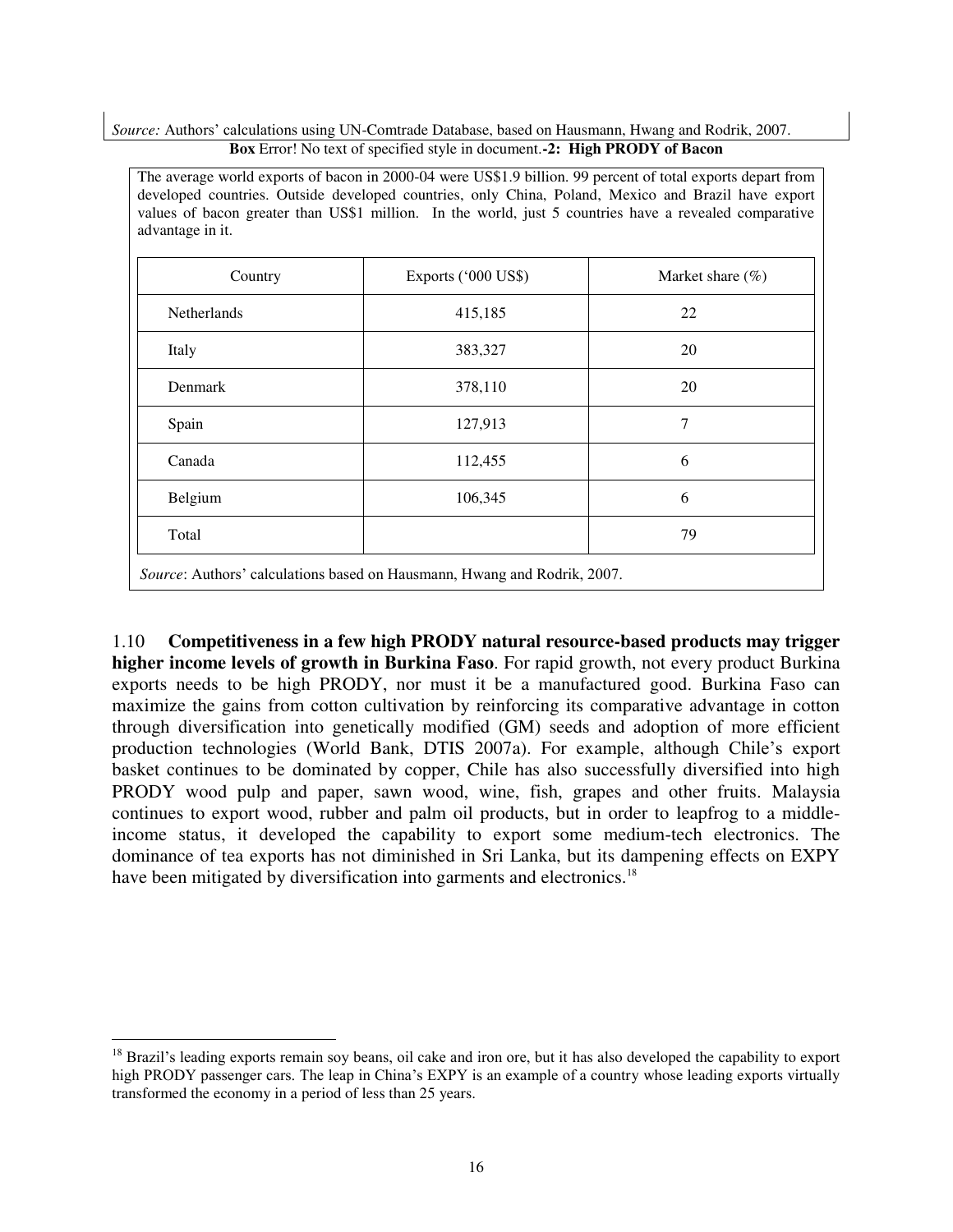<span id="page-15-0"></span>*Source:* Authors' calculations using UN-Comtrade Database, based on Hausmann, Hwang and Rodrik, 2007. **Box** Error! No text of specified style in document.**-2: High PRODY of Bacon** 

| Country            | Exports ('000 US\$) | Market share $(\% )$ |
|--------------------|---------------------|----------------------|
| <b>Netherlands</b> | 415,185             | 22                   |
| Italy              | 383,327             | 20                   |
| Denmark            | 378,110             | 20                   |
| Spain              | 127,913             | 7                    |
| Canada             | 112,455             | 6                    |
| Belgium            | 106,345             | 6                    |
| Total              |                     | 79                   |

1.10 **Competitiveness in a few high PRODY natural resource-based products may trigger higher income levels of growth in Burkina Faso**. For rapid growth, not every product Burkina exports needs to be high PRODY, nor must it be a manufactured good. Burkina Faso can maximize the gains from cotton cultivation by reinforcing its comparative advantage in cotton through diversification into genetically modified (GM) seeds and adoption of more efficient production technologies (World Bank, DTIS 2007a). For example, although Chile's export basket continues to be dominated by copper, Chile has also successfully diversified into high PRODY wood pulp and paper, sawn wood, wine, fish, grapes and other fruits. Malaysia continues to export wood, rubber and palm oil products, but in order to leapfrog to a middleincome status, it developed the capability to export some medium-tech electronics. The dominance of tea exports has not diminished in Sri Lanka, but its dampening effects on EXPY have been mitigated by diversification into garments and electronics.<sup>18</sup>

 $\overline{a}$ 

 $18$  Brazil's leading exports remain soy beans, oil cake and iron ore, but it has also developed the capability to export high PRODY passenger cars. The leap in China's EXPY is an example of a country whose leading exports virtually transformed the economy in a period of less than 25 years.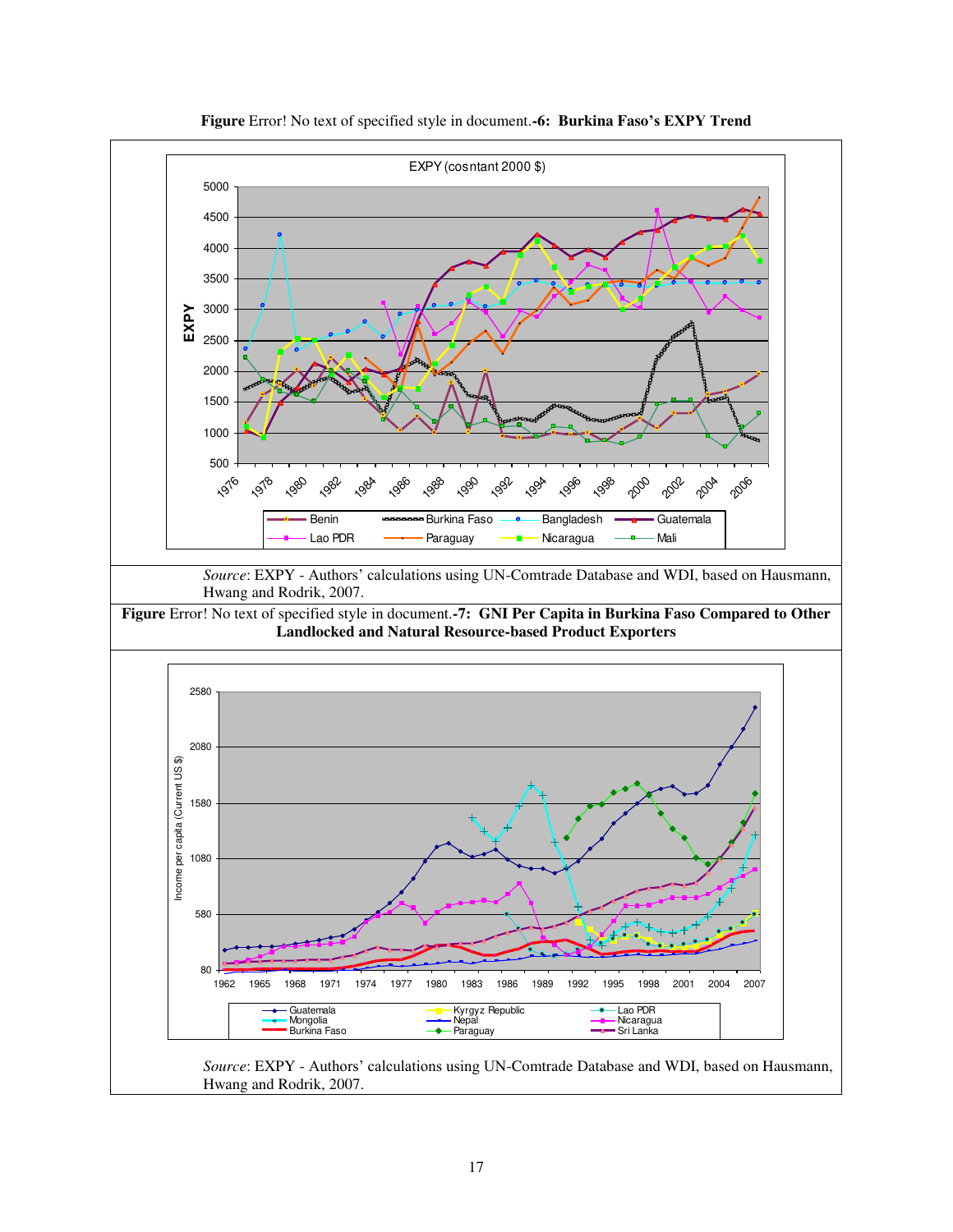<span id="page-16-1"></span><span id="page-16-0"></span>

**Figure** Error! No text of specified style in document.**-6: Burkina Faso's EXPY Trend** 

Hwang and Rodrik, 2007.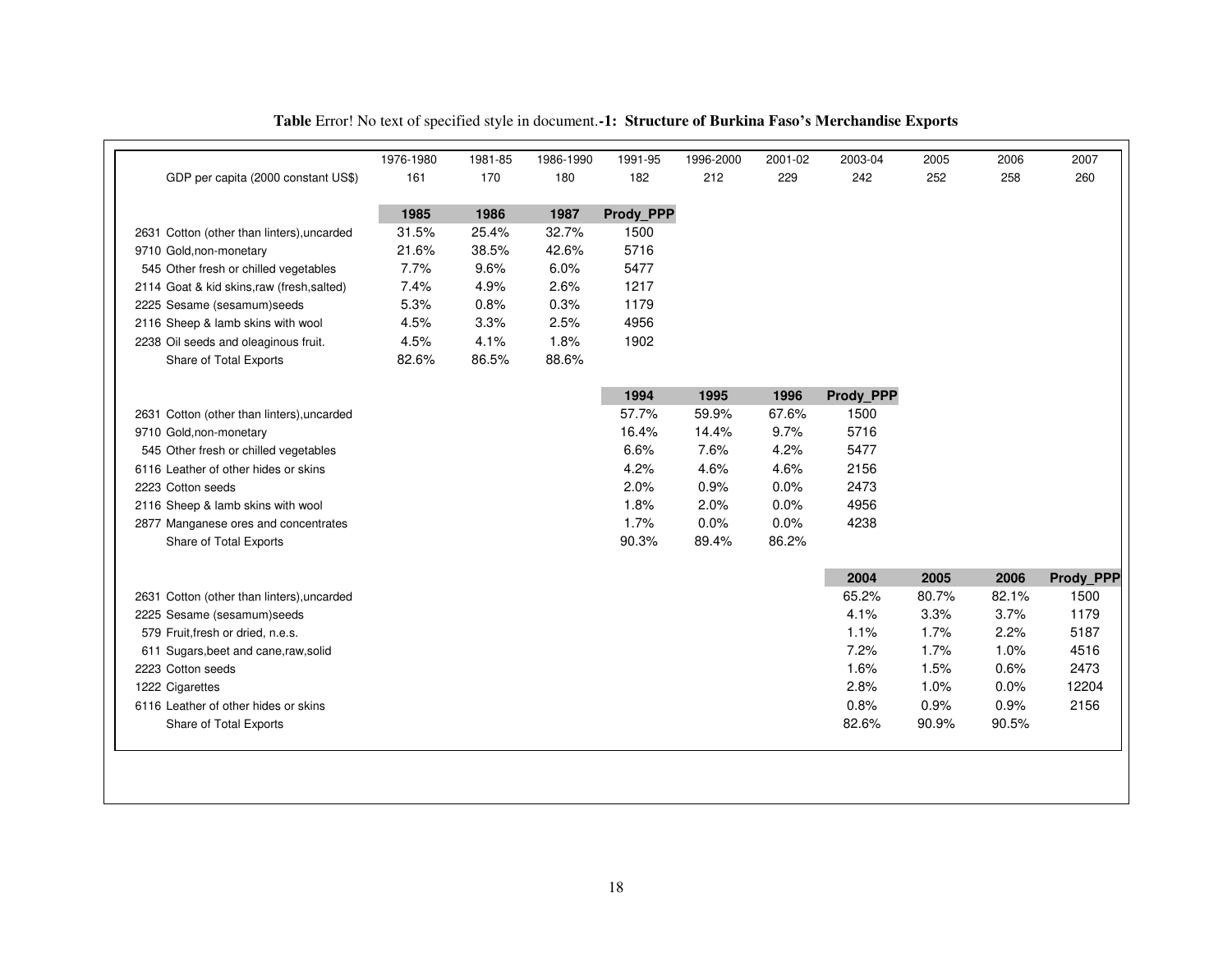<span id="page-17-0"></span>

|                                            | 1976-1980 | 1981-85 | 1986-1990 | 1991-95   | 1996-2000 | 2001-02 | 2003-04   | 2005  | 2006  | 2007      |
|--------------------------------------------|-----------|---------|-----------|-----------|-----------|---------|-----------|-------|-------|-----------|
| GDP per capita (2000 constant US\$)        | 161       | 170     | 180       | 182       | 212       | 229     | 242       | 252   | 258   | 260       |
|                                            | 1985      | 1986    | 1987      | Prody PPP |           |         |           |       |       |           |
| 2631 Cotton (other than linters), uncarded | 31.5%     | 25.4%   | 32.7%     | 1500      |           |         |           |       |       |           |
| 9710 Gold, non-monetary                    | 21.6%     | 38.5%   | 42.6%     | 5716      |           |         |           |       |       |           |
| 545 Other fresh or chilled vegetables      | 7.7%      | 9.6%    | 6.0%      | 5477      |           |         |           |       |       |           |
| 2114 Goat & kid skins, raw (fresh, salted) | 7.4%      | 4.9%    | 2.6%      | 1217      |           |         |           |       |       |           |
| 2225 Sesame (sesamum)seeds                 | 5.3%      | 0.8%    | 0.3%      | 1179      |           |         |           |       |       |           |
| 2116 Sheep & lamb skins with wool          | 4.5%      | 3.3%    | 2.5%      | 4956      |           |         |           |       |       |           |
| 2238 Oil seeds and oleaginous fruit.       | 4.5%      | 4.1%    | 1.8%      | 1902      |           |         |           |       |       |           |
| Share of Total Exports                     | 82.6%     | 86.5%   | 88.6%     |           |           |         |           |       |       |           |
|                                            |           |         |           | 1994      | 1995      | 1996    | Prody_PPP |       |       |           |
| 2631 Cotton (other than linters), uncarded |           |         |           | 57.7%     | 59.9%     | 67.6%   | 1500      |       |       |           |
| 9710 Gold, non-monetary                    |           |         |           | 16.4%     | 14.4%     | 9.7%    | 5716      |       |       |           |
| 545 Other fresh or chilled vegetables      |           |         |           | 6.6%      | 7.6%      | 4.2%    | 5477      |       |       |           |
| 6116 Leather of other hides or skins       |           |         |           | 4.2%      | 4.6%      | 4.6%    | 2156      |       |       |           |
| 2223 Cotton seeds                          |           |         |           | 2.0%      | 0.9%      | 0.0%    | 2473      |       |       |           |
| 2116 Sheep & lamb skins with wool          |           |         |           | 1.8%      | 2.0%      | 0.0%    | 4956      |       |       |           |
| 2877 Manganese ores and concentrates       |           |         |           | 1.7%      | 0.0%      | 0.0%    | 4238      |       |       |           |
| Share of Total Exports                     |           |         |           | 90.3%     | 89.4%     | 86.2%   |           |       |       |           |
|                                            |           |         |           |           |           |         | 2004      | 2005  | 2006  | Prody_PPP |
| 2631 Cotton (other than linters), uncarded |           |         |           |           |           |         | 65.2%     | 80.7% | 82.1% | 1500      |
| 2225 Sesame (sesamum)seeds                 |           |         |           |           |           |         | 4.1%      | 3.3%  | 3.7%  | 1179      |
| 579 Fruit, fresh or dried, n.e.s.          |           |         |           |           |           |         | 1.1%      | 1.7%  | 2.2%  | 5187      |
| 611 Sugars, beet and cane, raw, solid      |           |         |           |           |           |         | 7.2%      | 1.7%  | 1.0%  | 4516      |
| 2223 Cotton seeds                          |           |         |           |           |           |         | 1.6%      | 1.5%  | 0.6%  | 2473      |
| 1222 Cigarettes                            |           |         |           |           |           |         | 2.8%      | 1.0%  | 0.0%  | 12204     |
| 6116 Leather of other hides or skins       |           |         |           |           |           |         | 0.8%      | 0.9%  | 0.9%  | 2156      |
| Share of Total Exports                     |           |         |           |           |           |         | 82.6%     | 90.9% | 90.5% |           |
|                                            |           |         |           |           |           |         |           |       |       |           |

## **Table** Error! No text of specified style in document.**-1: Structure of Burkina Faso's Merchandise Exports**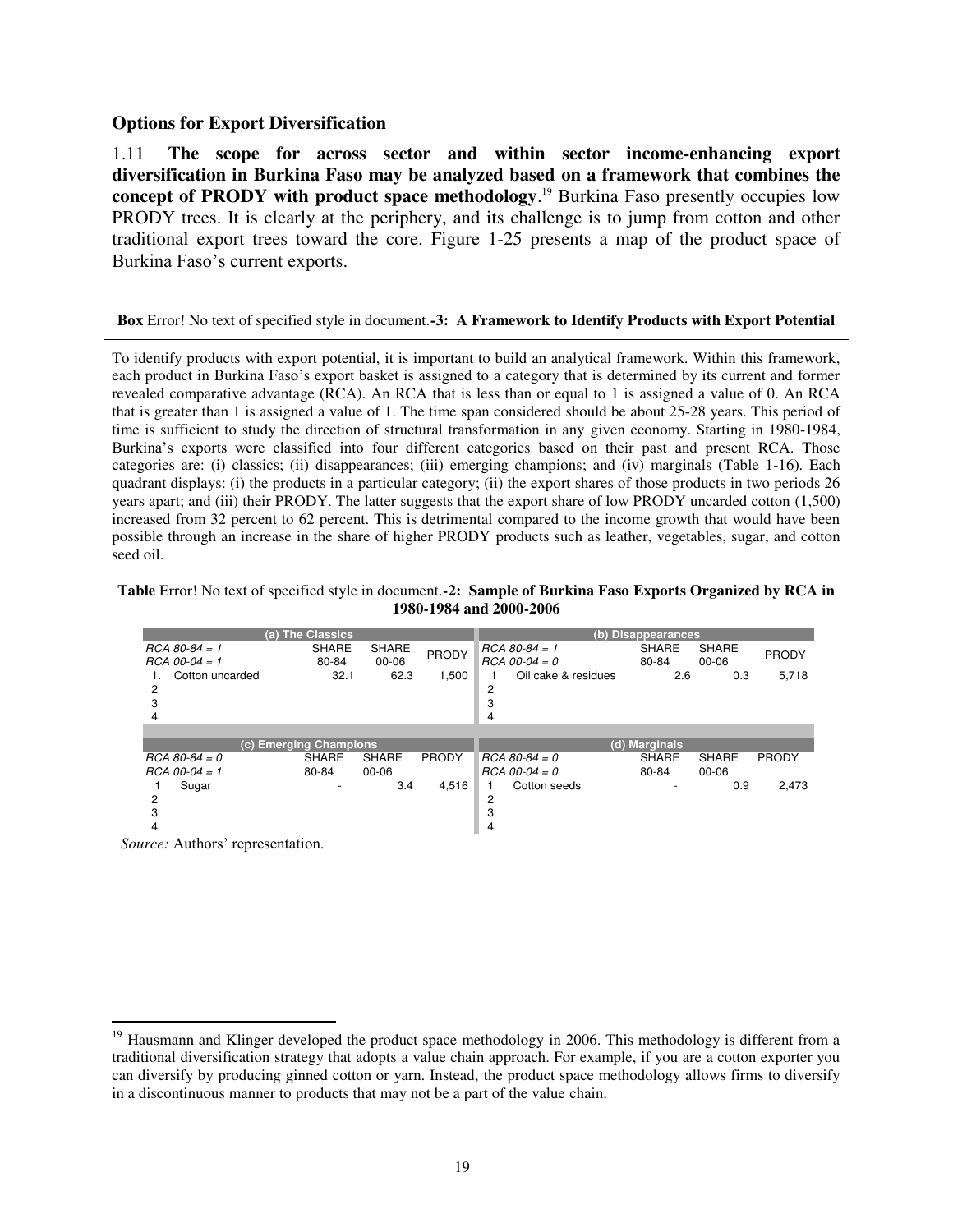#### <span id="page-18-0"></span>**Options for Export Diversification**

 $\overline{a}$ 

1.11 **The scope for across sector and within sector income-enhancing export diversification in Burkina Faso may be analyzed based on a framework that combines the concept of PRODY with product space methodology**. <sup>19</sup> Burkina Faso presently occupies low PRODY trees. It is clearly at the periphery, and its challenge is to jump from cotton and other traditional export trees toward the core. Figure 1-25 presents a map of the product space of Burkina Faso's current exports.

#### <span id="page-18-2"></span>**Box** Error! No text of specified style in document.**-3: A Framework to Identify Products with Export Potential**

To identify products with export potential, it is important to build an analytical framework. Within this framework, each product in Burkina Faso's export basket is assigned to a category that is determined by its current and former revealed comparative advantage (RCA). An RCA that is less than or equal to 1 is assigned a value of 0. An RCA that is greater than 1 is assigned a value of 1. The time span considered should be about 25-28 years. This period of time is sufficient to study the direction of structural transformation in any given economy. Starting in 1980-1984, Burkina's exports were classified into four different categories based on their past and present RCA. Those categories are: (i) classics; (ii) disappearances; (iii) emerging champions; and (iv) marginals (Table 1-16). Each quadrant displays: (i) the products in a particular category; (ii) the export shares of those products in two periods 26 years apart; and (iii) their PRODY. The latter suggests that the export share of low PRODY uncarded cotton (1,500) increased from 32 percent to 62 percent. This is detrimental compared to the income growth that would have been possible through an increase in the share of higher PRODY products such as leather, vegetables, sugar, and cotton seed oil.

<span id="page-18-1"></span>**Table** Error! No text of specified style in document.**-2: Sample of Burkina Faso Exports Organized by RCA in 1980-1984 and 2000-2006** 

|                                    | (a) The Classics       |                           |              |                                    | (b) Disappearances    |                           |              |
|------------------------------------|------------------------|---------------------------|--------------|------------------------------------|-----------------------|---------------------------|--------------|
| $RCA 80-84 = 1$<br>$RCA$ 00-04 = 1 | <b>SHARE</b><br>80-84  | <b>SHARE</b><br>$00 - 06$ | <b>PRODY</b> | $RCA 80-84 = 1$<br>$RCA$ 00-04 = 0 | <b>SHARE</b><br>80-84 | <b>SHARE</b><br>$00 - 06$ | <b>PRODY</b> |
| Cotton uncarded<br>2<br>3<br>4     | 32.1                   | 62.3                      | 1,500        | Oil cake & residues<br>2<br>3<br>4 | 2.6                   | 0.3                       | 5,718        |
|                                    | (c) Emerging Champions |                           |              |                                    | (d) Marginals         |                           |              |
| $RCA 80-84 = 0$<br>$RCA$ 00-04 = 1 | <b>SHARE</b><br>80-84  | <b>SHARE</b><br>00-06     | <b>PRODY</b> | $RCA 80-84 = 0$<br>$RCA$ 00-04 = 0 | <b>SHARE</b><br>80-84 | <b>SHARE</b><br>$00 - 06$ | <b>PRODY</b> |
| Sugar<br>2<br>3                    |                        | 3.4                       | 4,516        | Cotton seeds<br>2<br>3             |                       | 0.9                       | 2,473        |

<sup>&</sup>lt;sup>19</sup> Hausmann and Klinger developed the product space methodology in 2006. This methodology is different from a traditional diversification strategy that adopts a value chain approach. For example, if you are a cotton exporter you can diversify by producing ginned cotton or yarn. Instead, the product space methodology allows firms to diversify in a discontinuous manner to products that may not be a part of the value chain.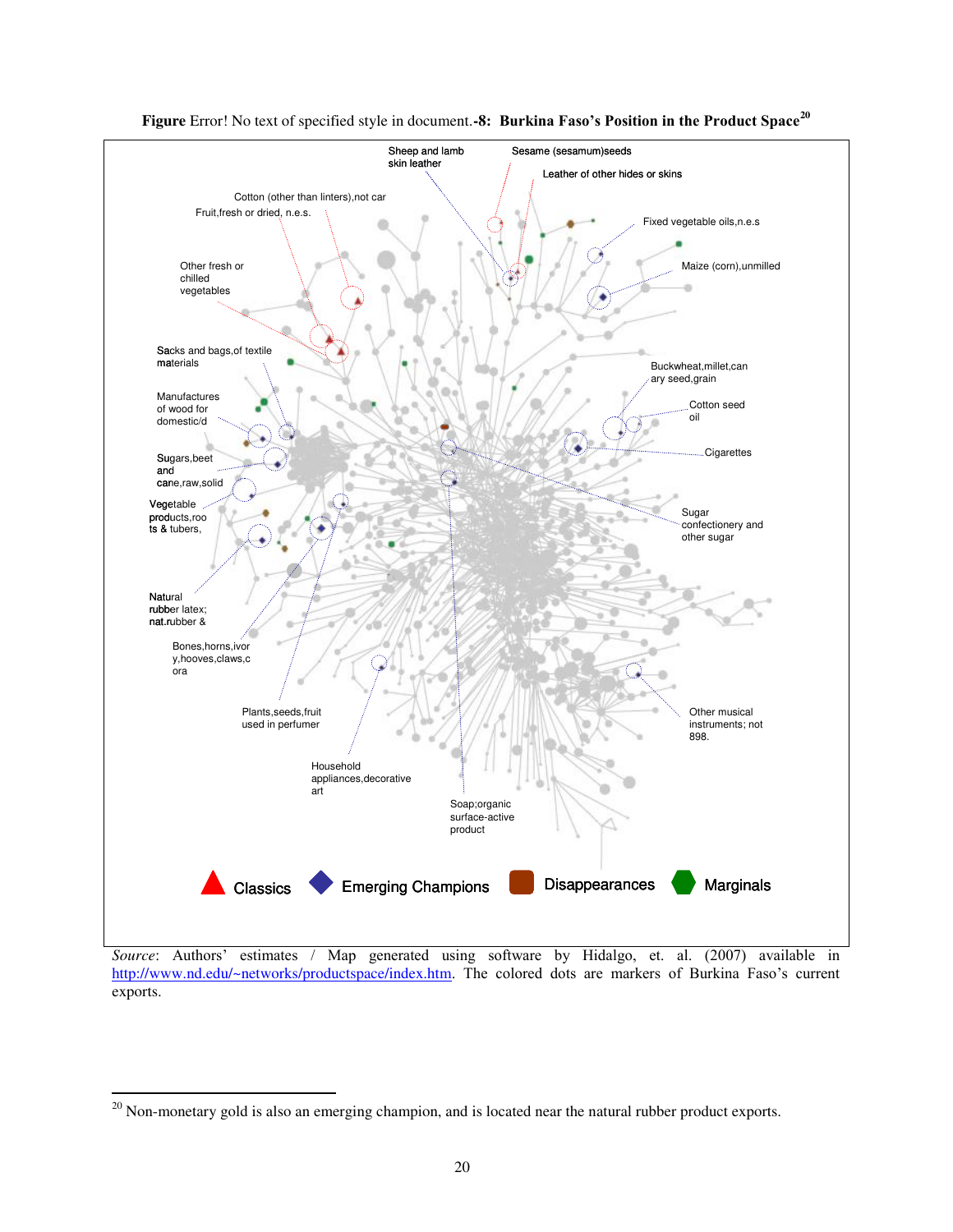<span id="page-19-0"></span>

**Figure** Error! No text of specified style in document.**-8: Burkina Faso's Position in the Product Space<sup>20</sup>**

*Source*: Authors' estimates / Map generated using software by Hidalgo, et. al. (2007) available in <http://www.nd.edu/~networks/productspace/index.htm>. The colored dots are markers of Burkina Faso's current exports.

 $\overline{a}$ 

 $20$  Non-monetary gold is also an emerging champion, and is located near the natural rubber product exports.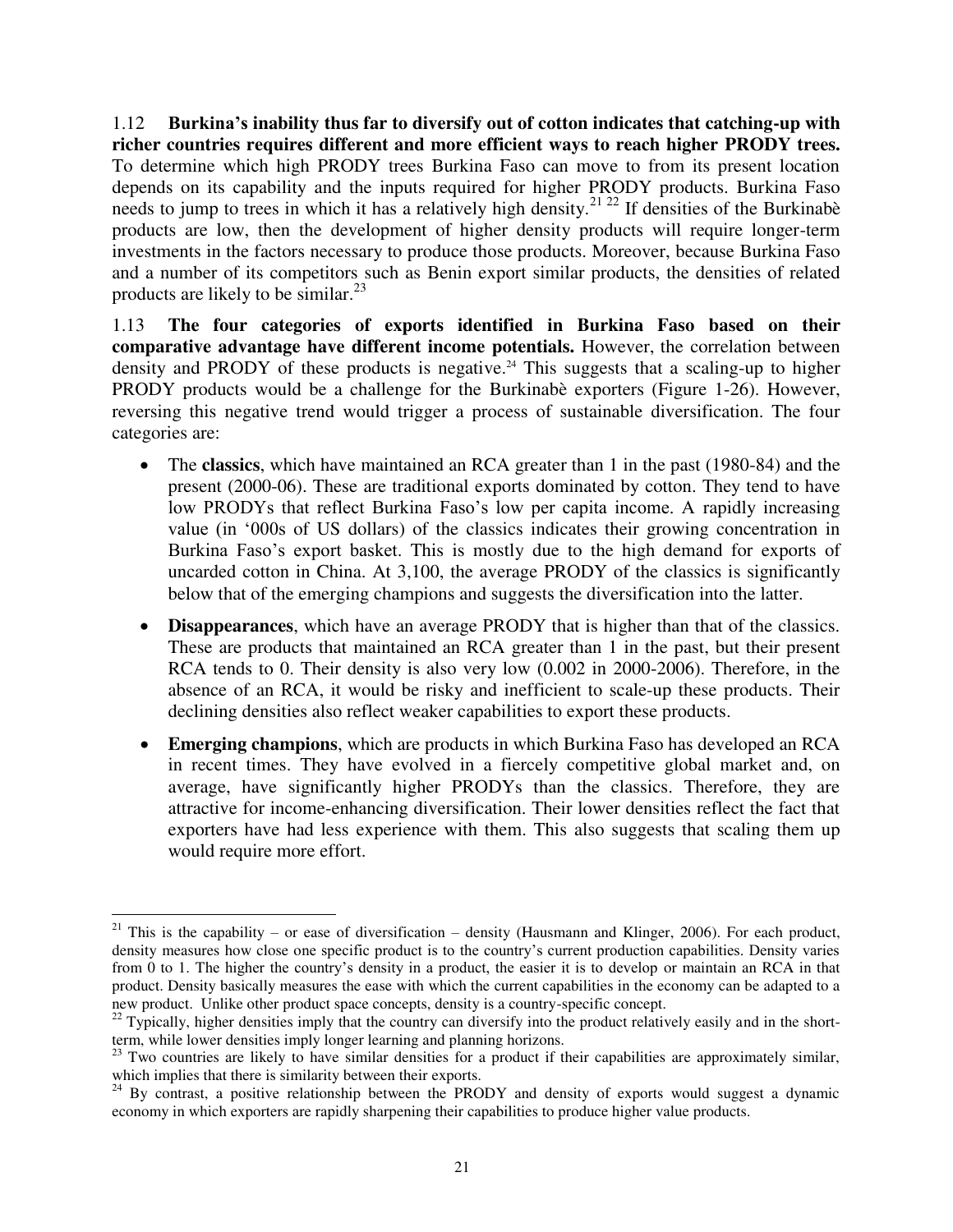1.12 **Burkina's inability thus far to diversify out of cotton indicates that catching-up with richer countries requires different and more efficient ways to reach higher PRODY trees.**  To determine which high PRODY trees Burkina Faso can move to from its present location depends on its capability and the inputs required for higher PRODY products. Burkina Faso needs to jump to trees in which it has a relatively high density.<sup>21 22</sup> If densities of the Burkinabè products are low, then the development of higher density products will require longer-term investments in the factors necessary to produce those products. Moreover, because Burkina Faso and a number of its competitors such as Benin export similar products, the densities of related products are likely to be similar. $^{23}$ 

1.13 **The four categories of exports identified in Burkina Faso based on their comparative advantage have different income potentials.** However, the correlation between density and PRODY of these products is negative.<sup>24</sup> This suggests that a scaling-up to higher PRODY products would be a challenge for the Burkinabè exporters (Figure 1-26). However, reversing this negative trend would trigger a process of sustainable diversification. The four categories are:

- The **classics**, which have maintained an RCA greater than 1 in the past (1980-84) and the present (2000-06). These are traditional exports dominated by cotton. They tend to have low PRODYs that reflect Burkina Faso's low per capita income. A rapidly increasing value (in ‗000s of US dollars) of the classics indicates their growing concentration in Burkina Faso's export basket. This is mostly due to the high demand for exports of uncarded cotton in China. At 3,100, the average PRODY of the classics is significantly below that of the emerging champions and suggests the diversification into the latter.
- **Disappearances**, which have an average PRODY that is higher than that of the classics. These are products that maintained an RCA greater than 1 in the past, but their present RCA tends to 0. Their density is also very low (0.002 in 2000-2006). Therefore, in the absence of an RCA, it would be risky and inefficient to scale-up these products. Their declining densities also reflect weaker capabilities to export these products.
- **Emerging champions**, which are products in which Burkina Faso has developed an RCA in recent times. They have evolved in a fiercely competitive global market and, on average, have significantly higher PRODYs than the classics. Therefore, they are attractive for income-enhancing diversification. Their lower densities reflect the fact that exporters have had less experience with them. This also suggests that scaling them up would require more effort.

 $\overline{a}$ <sup>21</sup> This is the capability – or ease of diversification – density (Hausmann and Klinger, 2006). For each product, density measures how close one specific product is to the country's current production capabilities. Density varies from 0 to 1. The higher the country's density in a product, the easier it is to develop or maintain an RCA in that product. Density basically measures the ease with which the current capabilities in the economy can be adapted to a new product. Unlike other product space concepts, density is a country-specific concept.

<sup>&</sup>lt;sup>22</sup> Typically, higher densities imply that the country can diversify into the product relatively easily and in the shortterm, while lower densities imply longer learning and planning horizons.

 $23$  Two countries are likely to have similar densities for a product if their capabilities are approximately similar, which implies that there is similarity between their exports.

<sup>&</sup>lt;sup>24</sup> By contrast, a positive relationship between the PRODY and density of exports would suggest a dynamic economy in which exporters are rapidly sharpening their capabilities to produce higher value products.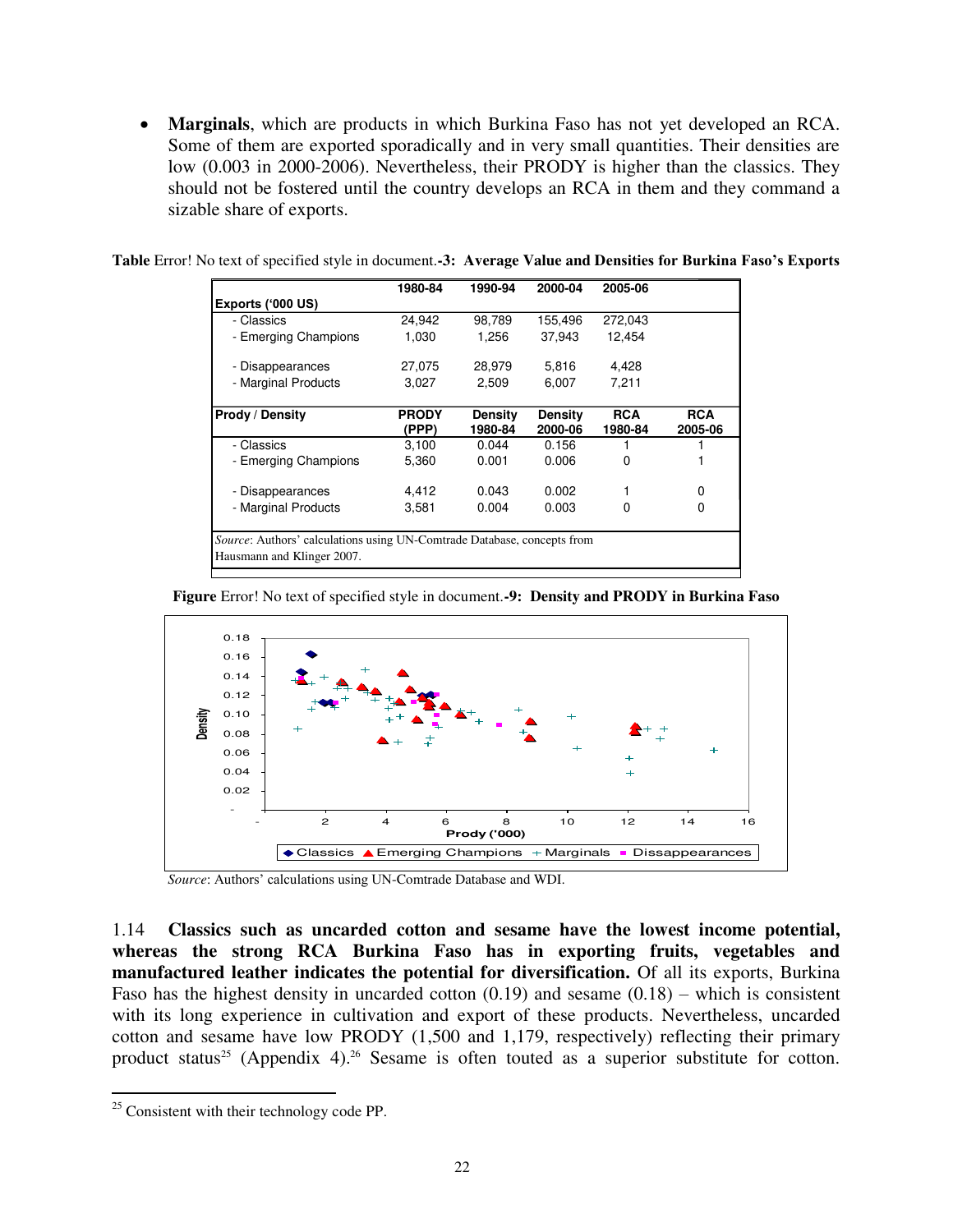**Marginals**, which are products in which Burkina Faso has not yet developed an RCA. Some of them are exported sporadically and in very small quantities. Their densities are low (0.003 in 2000-2006). Nevertheless, their PRODY is higher than the classics. They should not be fostered until the country develops an RCA in them and they command a sizable share of exports.

|                                                                                                       | 1980-84               | 1990-94                   | 2000-04            | 2005-06               |                       |
|-------------------------------------------------------------------------------------------------------|-----------------------|---------------------------|--------------------|-----------------------|-----------------------|
| Exports ('000 US)                                                                                     |                       |                           |                    |                       |                       |
| - Classics                                                                                            | 24,942                | 98,789                    | 155,496            | 272,043               |                       |
| - Emerging Champions                                                                                  | 1,030                 | 1,256                     | 37,943             | 12.454                |                       |
| - Disappearances                                                                                      | 27,075                | 28,979                    | 5,816              | 4,428                 |                       |
| - Marginal Products                                                                                   | 3,027                 | 2,509                     | 6,007              | 7,211                 |                       |
| Prody / Density                                                                                       | <b>PRODY</b><br>(PPP) | <b>Density</b><br>1980-84 | Density<br>2000-06 | <b>RCA</b><br>1980-84 | <b>RCA</b><br>2005-06 |
| - Classics                                                                                            | 3,100                 | 0.044                     | 0.156              |                       |                       |
| - Emerging Champions                                                                                  | 5,360                 | 0.001                     | 0.006              | 0                     |                       |
| - Disappearances                                                                                      | 4.412                 | 0.043                     | 0.002              |                       | 0                     |
| - Marginal Products                                                                                   | 3,581                 | 0.004                     | 0.003              | 0                     | 0                     |
| Source: Authors' calculations using UN-Comtrade Database, concepts from<br>Hausmann and Klinger 2007. |                       |                           |                    |                       |                       |

<span id="page-21-0"></span>**Table** Error! No text of specified style in document.**-3: Average Value and Densities for Burkina Faso's Exports**

<span id="page-21-1"></span>**Figure** Error! No text of specified style in document.**-9: Density and PRODY in Burkina Faso** 



*Source*: Authors' calculations using UN-Comtrade Database and WDI.

1.14 **Classics such as uncarded cotton and sesame have the lowest income potential, whereas the strong RCA Burkina Faso has in exporting fruits, vegetables and manufactured leather indicates the potential for diversification.** Of all its exports, Burkina Faso has the highest density in uncarded cotton  $(0.19)$  and sesame  $(0.18)$  – which is consistent with its long experience in cultivation and export of these products. Nevertheless, uncarded cotton and sesame have low PRODY (1,500 and 1,179, respectively) reflecting their primary product status<sup>25</sup> (Appendix 4).<sup>26</sup> Sesame is often touted as a superior substitute for cotton.

 $\overline{a}$ 

 $25$  Consistent with their technology code PP.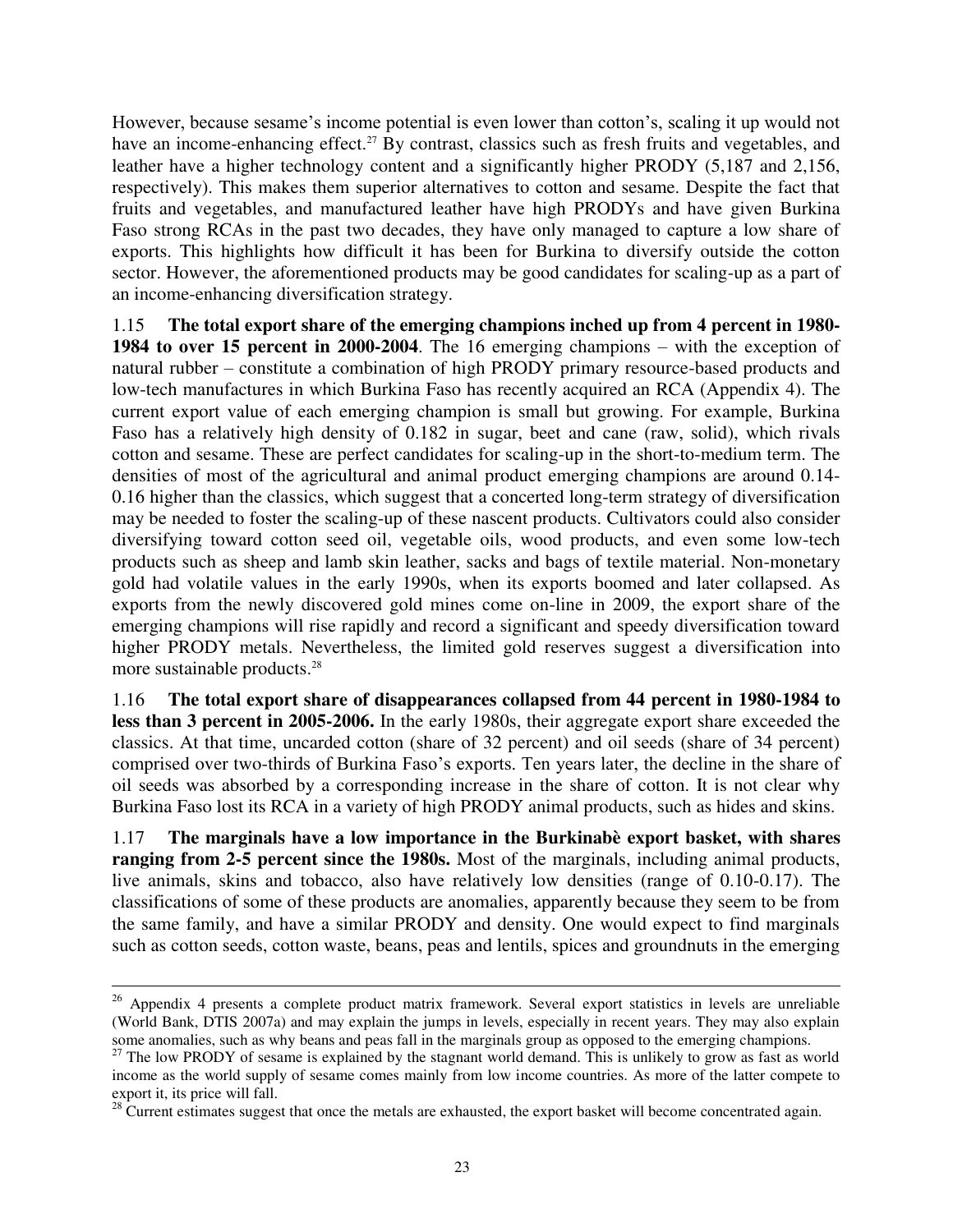However, because sesame's income potential is even lower than cotton's, scaling it up would not have an income-enhancing effect.<sup>27</sup> By contrast, classics such as fresh fruits and vegetables, and leather have a higher technology content and a significantly higher PRODY (5,187 and 2,156, respectively). This makes them superior alternatives to cotton and sesame. Despite the fact that fruits and vegetables, and manufactured leather have high PRODYs and have given Burkina Faso strong RCAs in the past two decades, they have only managed to capture a low share of exports. This highlights how difficult it has been for Burkina to diversify outside the cotton sector. However, the aforementioned products may be good candidates for scaling-up as a part of an income-enhancing diversification strategy.

1.15 **The total export share of the emerging champions inched up from 4 percent in 1980- 1984 to over 15 percent in 2000-2004**. The 16 emerging champions – with the exception of natural rubber – constitute a combination of high PRODY primary resource-based products and low-tech manufactures in which Burkina Faso has recently acquired an RCA (Appendix 4). The current export value of each emerging champion is small but growing. For example, Burkina Faso has a relatively high density of 0.182 in sugar, beet and cane (raw, solid), which rivals cotton and sesame. These are perfect candidates for scaling-up in the short-to-medium term. The densities of most of the agricultural and animal product emerging champions are around 0.14- 0.16 higher than the classics, which suggest that a concerted long-term strategy of diversification may be needed to foster the scaling-up of these nascent products. Cultivators could also consider diversifying toward cotton seed oil, vegetable oils, wood products, and even some low-tech products such as sheep and lamb skin leather, sacks and bags of textile material. Non-monetary gold had volatile values in the early 1990s, when its exports boomed and later collapsed. As exports from the newly discovered gold mines come on-line in 2009, the export share of the emerging champions will rise rapidly and record a significant and speedy diversification toward higher PRODY metals. Nevertheless, the limited gold reserves suggest a diversification into more sustainable products.<sup>28</sup>

1.16 **The total export share of disappearances collapsed from 44 percent in 1980-1984 to less than 3 percent in 2005-2006.** In the early 1980s, their aggregate export share exceeded the classics. At that time, uncarded cotton (share of 32 percent) and oil seeds (share of 34 percent) comprised over two-thirds of Burkina Faso's exports. Ten years later, the decline in the share of oil seeds was absorbed by a corresponding increase in the share of cotton. It is not clear why Burkina Faso lost its RCA in a variety of high PRODY animal products, such as hides and skins.

1.17 **The marginals have a low importance in the Burkinabè export basket, with shares ranging from 2-5 percent since the 1980s.** Most of the marginals, including animal products, live animals, skins and tobacco, also have relatively low densities (range of 0.10-0.17). The classifications of some of these products are anomalies, apparently because they seem to be from the same family, and have a similar PRODY and density. One would expect to find marginals such as cotton seeds, cotton waste, beans, peas and lentils, spices and groundnuts in the emerging

 $\overline{a}$ 

 $26$  Appendix 4 presents a complete product matrix framework. Several export statistics in levels are unreliable (World Bank, DTIS 2007a) and may explain the jumps in levels, especially in recent years. They may also explain some anomalies, such as why beans and peas fall in the marginals group as opposed to the emerging champions.

<sup>&</sup>lt;sup>27</sup> The low PRODY of sesame is explained by the stagnant world demand. This is unlikely to grow as fast as world income as the world supply of sesame comes mainly from low income countries. As more of the latter compete to export it, its price will fall.

<sup>&</sup>lt;sup>28</sup> Current estimates suggest that once the metals are exhausted, the export basket will become concentrated again.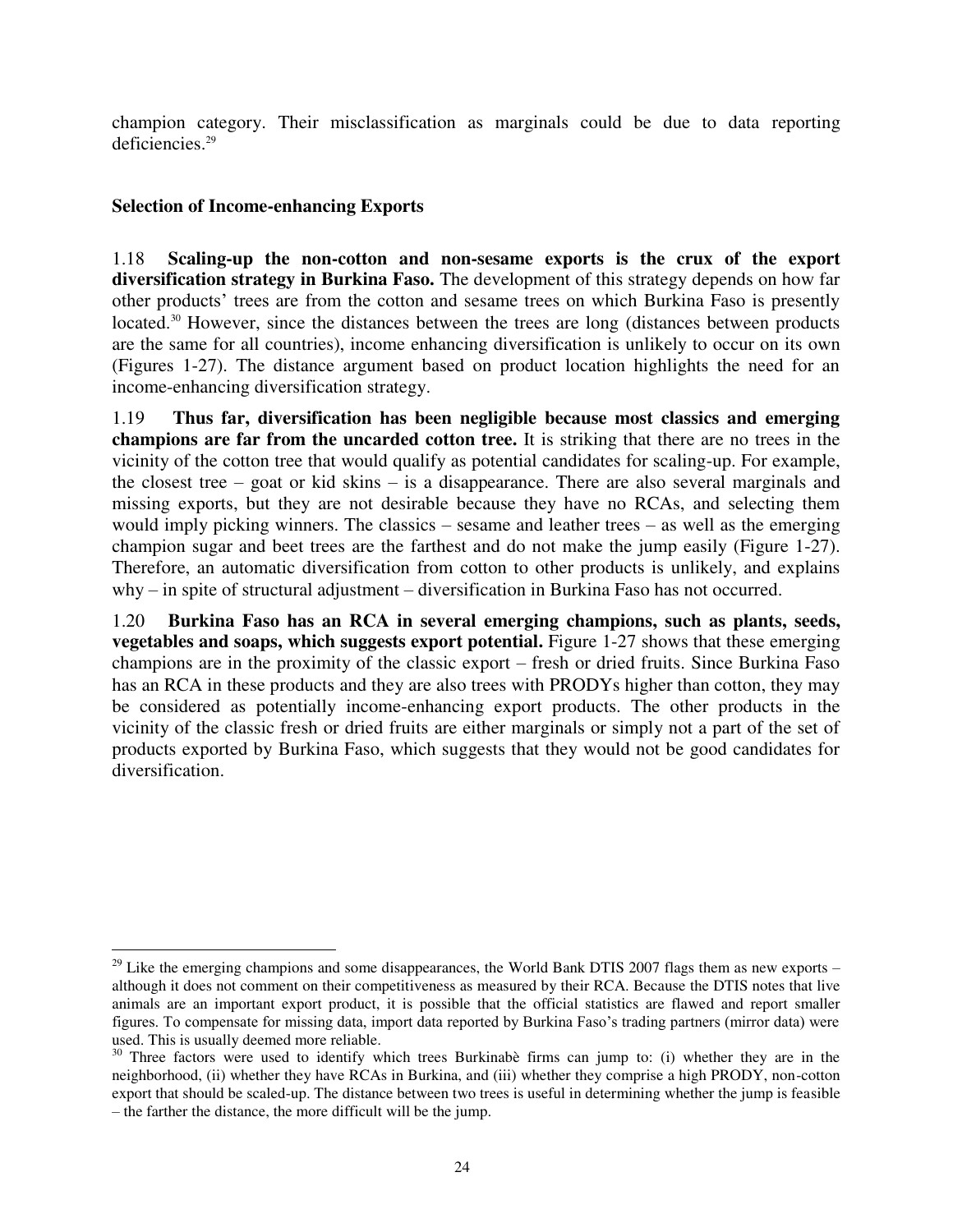champion category. Their misclassification as marginals could be due to data reporting deficiencies.<sup>29</sup>

### <span id="page-23-0"></span>**Selection of Income-enhancing Exports**

 $\overline{a}$ 

1.18 **Scaling-up the non-cotton and non-sesame exports is the crux of the export diversification strategy in Burkina Faso.** The development of this strategy depends on how far other products' trees are from the cotton and sesame trees on which Burkina Faso is presently located.<sup>30</sup> However, since the distances between the trees are long (distances between products are the same for all countries), income enhancing diversification is unlikely to occur on its own (Figures 1-27). The distance argument based on product location highlights the need for an income-enhancing diversification strategy.

1.19 **Thus far, diversification has been negligible because most classics and emerging champions are far from the uncarded cotton tree.** It is striking that there are no trees in the vicinity of the cotton tree that would qualify as potential candidates for scaling-up. For example, the closest tree – goat or kid skins – is a disappearance. There are also several marginals and missing exports, but they are not desirable because they have no RCAs, and selecting them would imply picking winners. The classics – sesame and leather trees – as well as the emerging champion sugar and beet trees are the farthest and do not make the jump easily (Figure 1-27). Therefore, an automatic diversification from cotton to other products is unlikely, and explains why – in spite of structural adjustment – diversification in Burkina Faso has not occurred.

1.20 **Burkina Faso has an RCA in several emerging champions, such as plants, seeds, vegetables and soaps, which suggests export potential.** Figure 1-27 shows that these emerging champions are in the proximity of the classic export – fresh or dried fruits. Since Burkina Faso has an RCA in these products and they are also trees with PRODYs higher than cotton, they may be considered as potentially income-enhancing export products. The other products in the vicinity of the classic fresh or dried fruits are either marginals or simply not a part of the set of products exported by Burkina Faso, which suggests that they would not be good candidates for diversification.

 $^{29}$  Like the emerging champions and some disappearances, the World Bank DTIS 2007 flags them as new exports – although it does not comment on their competitiveness as measured by their RCA. Because the DTIS notes that live animals are an important export product, it is possible that the official statistics are flawed and report smaller figures. To compensate for missing data, import data reported by Burkina Faso's trading partners (mirror data) were used. This is usually deemed more reliable.

<sup>&</sup>lt;sup>30</sup> Three factors were used to identify which trees Burkinabè firms can jump to: (i) whether they are in the neighborhood, (ii) whether they have RCAs in Burkina, and (iii) whether they comprise a high PRODY, non-cotton export that should be scaled-up. The distance between two trees is useful in determining whether the jump is feasible – the farther the distance, the more difficult will be the jump.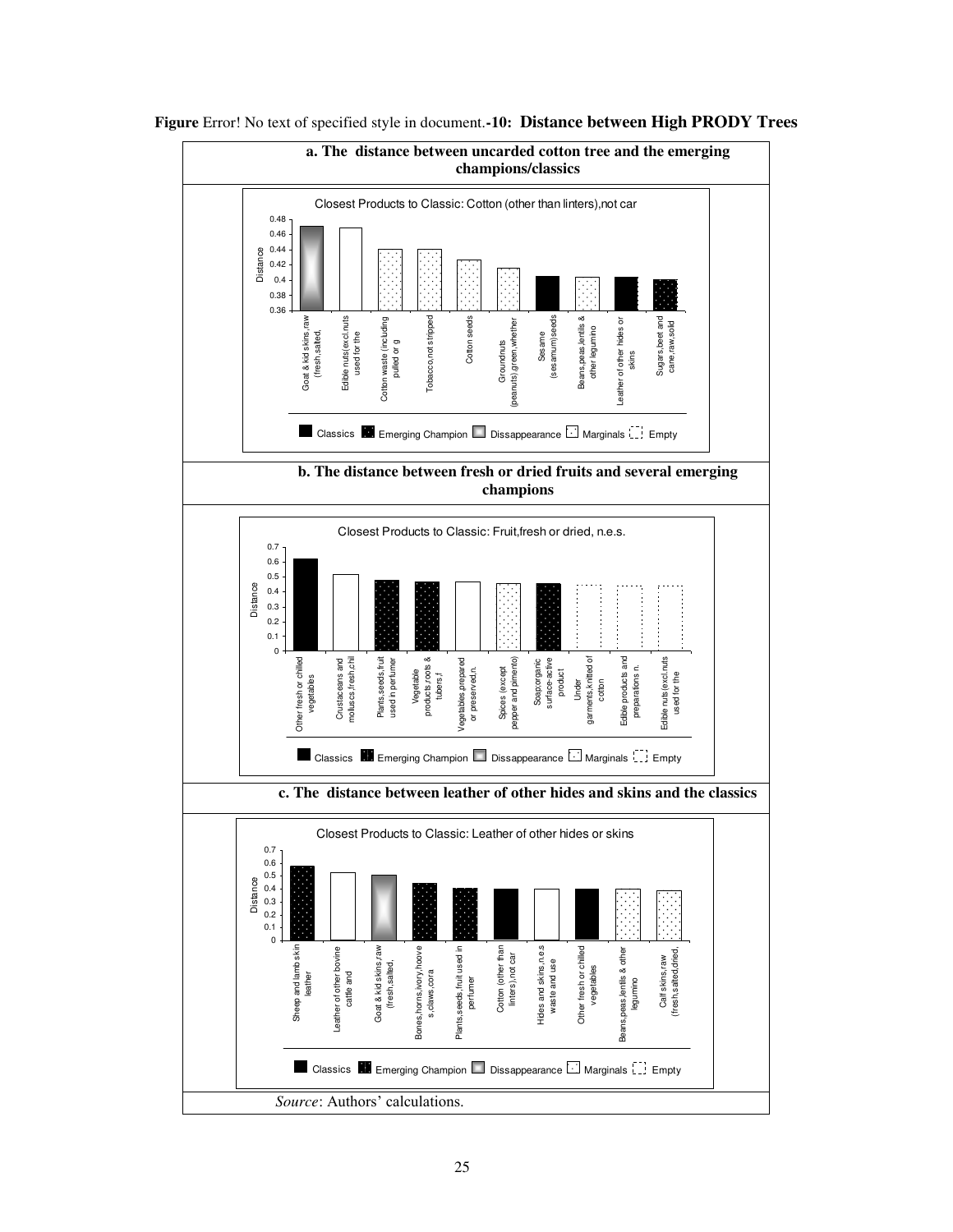

<span id="page-24-0"></span>**Figure** Error! No text of specified style in document.**-10: Distance between High PRODY Trees**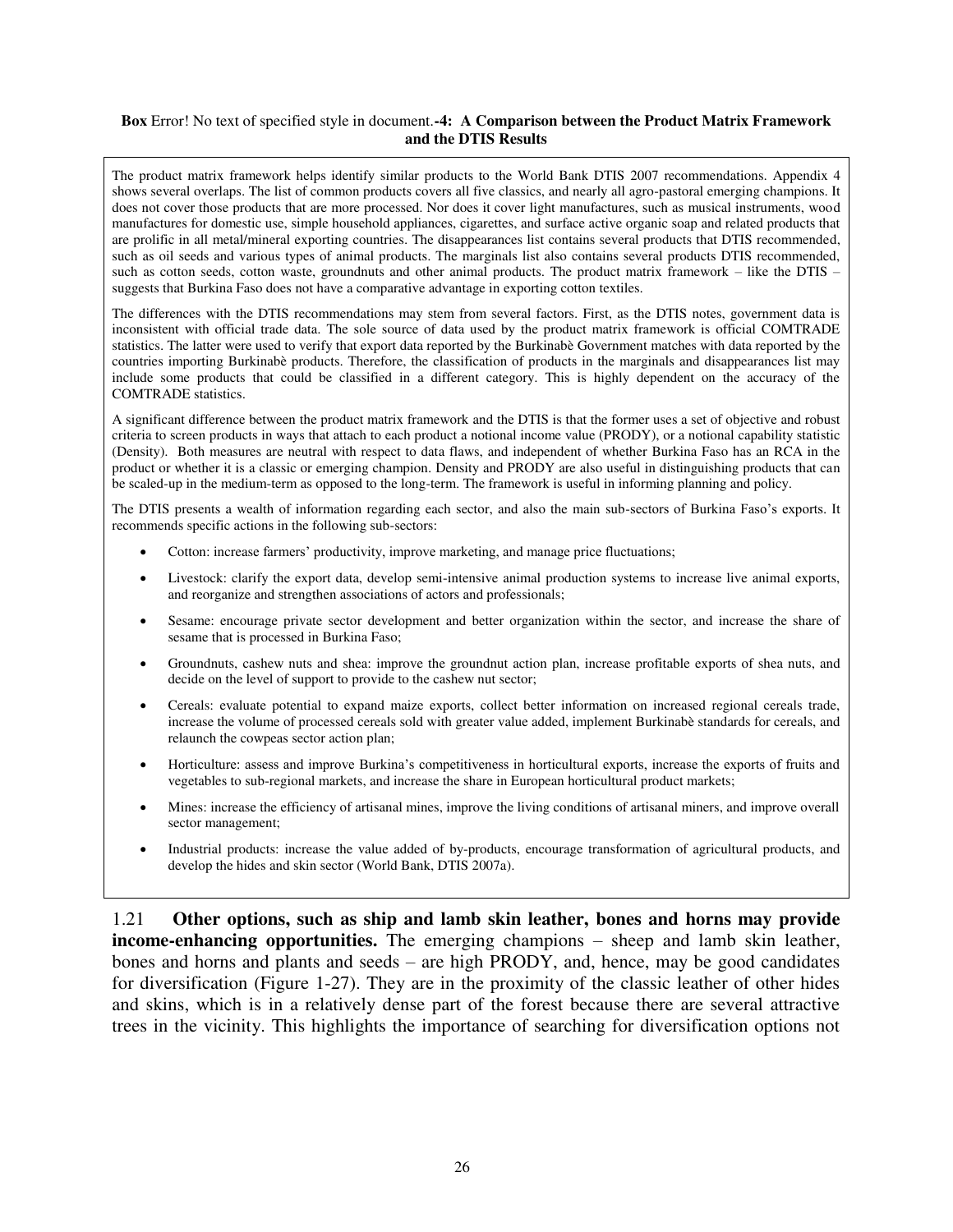#### <span id="page-25-0"></span>**Box** Error! No text of specified style in document.**-4: A Comparison between the Product Matrix Framework and the DTIS Results**

The product matrix framework helps identify similar products to the World Bank DTIS 2007 recommendations. Appendix 4 shows several overlaps. The list of common products covers all five classics, and nearly all agro-pastoral emerging champions. It does not cover those products that are more processed. Nor does it cover light manufactures, such as musical instruments, wood manufactures for domestic use, simple household appliances, cigarettes, and surface active organic soap and related products that are prolific in all metal/mineral exporting countries. The disappearances list contains several products that DTIS recommended, such as oil seeds and various types of animal products. The marginals list also contains several products DTIS recommended, such as cotton seeds, cotton waste, groundnuts and other animal products. The product matrix framework – like the DTIS – suggests that Burkina Faso does not have a comparative advantage in exporting cotton textiles.

The differences with the DTIS recommendations may stem from several factors. First, as the DTIS notes, government data is inconsistent with official trade data. The sole source of data used by the product matrix framework is official COMTRADE statistics. The latter were used to verify that export data reported by the Burkinabè Government matches with data reported by the countries importing Burkinabè products. Therefore, the classification of products in the marginals and disappearances list may include some products that could be classified in a different category. This is highly dependent on the accuracy of the COMTRADE statistics.

A significant difference between the product matrix framework and the DTIS is that the former uses a set of objective and robust criteria to screen products in ways that attach to each product a notional income value (PRODY), or a notional capability statistic (Density). Both measures are neutral with respect to data flaws, and independent of whether Burkina Faso has an RCA in the product or whether it is a classic or emerging champion. Density and PRODY are also useful in distinguishing products that can be scaled-up in the medium-term as opposed to the long-term. The framework is useful in informing planning and policy.

The DTIS presents a wealth of information regarding each sector, and also the main sub-sectors of Burkina Faso's exports. It recommends specific actions in the following sub-sectors:

- Cotton: increase farmers' productivity, improve marketing, and manage price fluctuations;
- Livestock: clarify the export data, develop semi-intensive animal production systems to increase live animal exports, and reorganize and strengthen associations of actors and professionals;
- Sesame: encourage private sector development and better organization within the sector, and increase the share of sesame that is processed in Burkina Faso;
- Groundnuts, cashew nuts and shea: improve the groundnut action plan, increase profitable exports of shea nuts, and decide on the level of support to provide to the cashew nut sector;
- Cereals: evaluate potential to expand maize exports, collect better information on increased regional cereals trade, increase the volume of processed cereals sold with greater value added, implement Burkinabè standards for cereals, and relaunch the cowpeas sector action plan;
- Horticulture: assess and improve Burkina's competitiveness in horticultural exports, increase the exports of fruits and vegetables to sub-regional markets, and increase the share in European horticultural product markets;
- Mines: increase the efficiency of artisanal mines, improve the living conditions of artisanal miners, and improve overall sector management;
- Industrial products: increase the value added of by-products, encourage transformation of agricultural products, and develop the hides and skin sector (World Bank, DTIS 2007a).

1.21 **Other options, such as ship and lamb skin leather, bones and horns may provide income-enhancing opportunities.** The emerging champions – sheep and lamb skin leather, bones and horns and plants and seeds – are high PRODY, and, hence, may be good candidates for diversification (Figure 1-27). They are in the proximity of the classic leather of other hides and skins, which is in a relatively dense part of the forest because there are several attractive trees in the vicinity. This highlights the importance of searching for diversification options not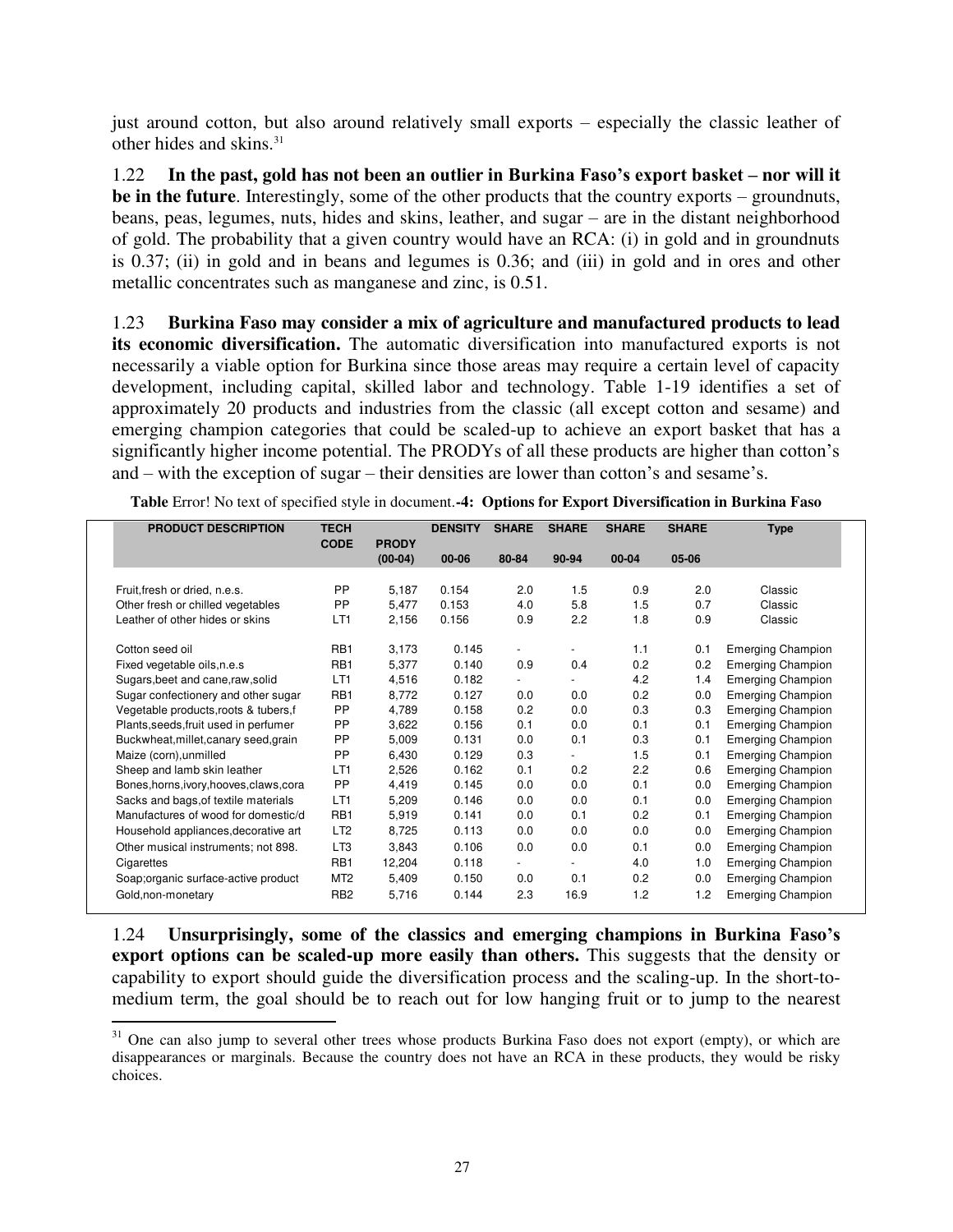just around cotton, but also around relatively small exports – especially the classic leather of other hides and skins.<sup>31</sup>

1.22 **In the past, gold has not been an outlier in Burkina Faso's export basket – nor will it be in the future**. Interestingly, some of the other products that the country exports – groundnuts, beans, peas, legumes, nuts, hides and skins, leather, and sugar – are in the distant neighborhood of gold. The probability that a given country would have an RCA: (i) in gold and in groundnuts is 0.37; (ii) in gold and in beans and legumes is 0.36; and (iii) in gold and in ores and other metallic concentrates such as manganese and zinc, is 0.51.

1.23 **Burkina Faso may consider a mix of agriculture and manufactured products to lead its economic diversification.** The automatic diversification into manufactured exports is not necessarily a viable option for Burkina since those areas may require a certain level of capacity development, including capital, skilled labor and technology. Table 1-19 identifies a set of approximately 20 products and industries from the classic (all except cotton and sesame) and emerging champion categories that could be scaled-up to achieve an export basket that has a significantly higher income potential. The PRODYs of all these products are higher than cotton's and – with the exception of sugar – their densities are lower than cotton's and sesame's.

| <b>PRODUCT DESCRIPTION</b>               | <b>TECH</b>      |              | <b>DENSITY</b> | <b>SHARE</b>             | <b>SHARE</b>             | <b>SHARE</b> | <b>SHARE</b> | <b>Type</b>              |
|------------------------------------------|------------------|--------------|----------------|--------------------------|--------------------------|--------------|--------------|--------------------------|
|                                          | <b>CODE</b>      | <b>PRODY</b> |                |                          |                          |              |              |                          |
|                                          |                  | $(00-04)$    | $00 - 06$      | 80-84                    | 90-94                    | 00-04        | 05-06        |                          |
| Fruit, fresh or dried, n.e.s.            | PP               | 5,187        | 0.154          | 2.0                      | 1.5                      | 0.9          | 2.0          | Classic                  |
| Other fresh or chilled vegetables        | <b>PP</b>        | 5,477        | 0.153          | 4.0                      | 5.8                      | 1.5          | 0.7          | Classic                  |
| Leather of other hides or skins          | LT <sub>1</sub>  | 2,156        | 0.156          | 0.9                      | 2.2                      | 1.8          | 0.9          | Classic                  |
|                                          |                  |              |                |                          |                          |              |              |                          |
| Cotton seed oil                          | RB <sub>1</sub>  | 3,173        | 0.145          | $\overline{\phantom{a}}$ | ٠                        | 1.1          | 0.1          | <b>Emerging Champion</b> |
| Fixed vegetable oils, n.e.s.             | RB <sub>1</sub>  | 5,377        | 0.140          | 0.9                      | 0.4                      | 0.2          | 0.2          | <b>Emerging Champion</b> |
| Sugars, beet and cane, raw, solid        | LT <sub>1</sub>  | 4,516        | 0.182          | $\overline{\phantom{0}}$ | $\overline{\phantom{0}}$ | 4.2          | 1.4          | <b>Emerging Champion</b> |
| Sugar confectionery and other sugar      | R <sub>B</sub> 1 | 8,772        | 0.127          | 0.0                      | 0.0                      | 0.2          | 0.0          | <b>Emerging Champion</b> |
| Vegetable products, roots & tubers, f    | <b>PP</b>        | 4,789        | 0.158          | 0.2                      | 0.0                      | 0.3          | 0.3          | <b>Emerging Champion</b> |
| Plants, seeds, fruit used in perfumer    | PP               | 3,622        | 0.156          | 0.1                      | 0.0                      | 0.1          | 0.1          | <b>Emerging Champion</b> |
| Buckwheat, millet, canary seed, grain    | PP               | 5,009        | 0.131          | 0.0                      | 0.1                      | 0.3          | 0.1          | <b>Emerging Champion</b> |
| Maize (corn), unmilled                   | <b>PP</b>        | 6,430        | 0.129          | 0.3                      | $\blacksquare$           | 1.5          | 0.1          | <b>Emerging Champion</b> |
| Sheep and lamb skin leather              | LT <sub>1</sub>  | 2,526        | 0.162          | 0.1                      | 0.2                      | 2.2          | 0.6          | <b>Emerging Champion</b> |
| Bones, horns, ivory, hooves, claws, cora | PP               | 4,419        | 0.145          | 0.0                      | 0.0                      | 0.1          | 0.0          | <b>Emerging Champion</b> |
| Sacks and bags, of textile materials     | LT1              | 5,209        | 0.146          | 0.0                      | 0.0                      | 0.1          | 0.0          | <b>Emerging Champion</b> |
| Manufactures of wood for domestic/d      | RB1              | 5,919        | 0.141          | 0.0                      | 0.1                      | 0.2          | 0.1          | <b>Emerging Champion</b> |
| Household appliances, decorative art     | LT <sub>2</sub>  | 8,725        | 0.113          | 0.0                      | 0.0                      | 0.0          | 0.0          | <b>Emerging Champion</b> |
| Other musical instruments; not 898.      | LT <sub>3</sub>  | 3,843        | 0.106          | 0.0                      | 0.0                      | 0.1          | 0.0          | <b>Emerging Champion</b> |
| Cigarettes                               | RB1              | 12,204       | 0.118          | $\overline{\phantom{a}}$ | $\overline{\phantom{a}}$ | 4.0          | 1.0          | <b>Emerging Champion</b> |
| Soap;organic surface-active product      | MT <sub>2</sub>  | 5,409        | 0.150          | 0.0                      | 0.1                      | 0.2          | 0.0          | <b>Emerging Champion</b> |
| Gold, non-monetary                       | RB <sub>2</sub>  | 5,716        | 0.144          | 2.3                      | 16.9                     | 1.2          | 1.2          | <b>Emerging Champion</b> |

<span id="page-26-0"></span>**Table** Error! No text of specified style in document.**-4: Options for Export Diversification in Burkina Faso** 

1.24 **Unsurprisingly, some of the classics and emerging champions in Burkina Faso's export options can be scaled-up more easily than others.** This suggests that the density or capability to export should guide the diversification process and the scaling-up. In the short-tomedium term, the goal should be to reach out for low hanging fruit or to jump to the nearest

 $\overline{a}$ <sup>31</sup> One can also jump to several other trees whose products Burkina Faso does not export (empty), or which are disappearances or marginals. Because the country does not have an RCA in these products, they would be risky choices.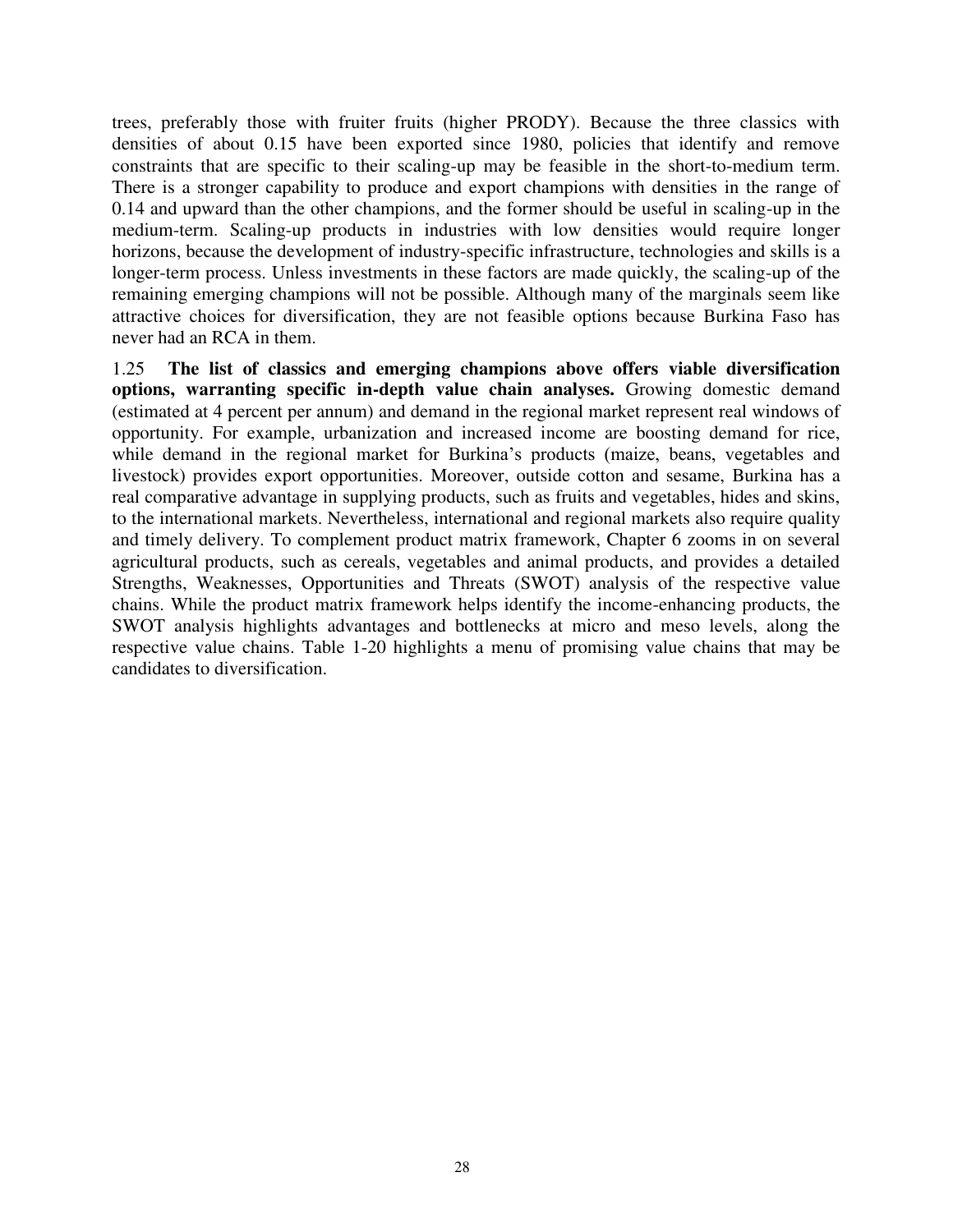trees, preferably those with fruiter fruits (higher PRODY). Because the three classics with densities of about 0.15 have been exported since 1980, policies that identify and remove constraints that are specific to their scaling-up may be feasible in the short-to-medium term. There is a stronger capability to produce and export champions with densities in the range of 0.14 and upward than the other champions, and the former should be useful in scaling-up in the medium-term. Scaling-up products in industries with low densities would require longer horizons, because the development of industry-specific infrastructure, technologies and skills is a longer-term process. Unless investments in these factors are made quickly, the scaling-up of the remaining emerging champions will not be possible. Although many of the marginals seem like attractive choices for diversification, they are not feasible options because Burkina Faso has never had an RCA in them.

1.25 **The list of classics and emerging champions above offers viable diversification options, warranting specific in-depth value chain analyses.** Growing domestic demand (estimated at 4 percent per annum) and demand in the regional market represent real windows of opportunity. For example, urbanization and increased income are boosting demand for rice, while demand in the regional market for Burkina's products (maize, beans, vegetables and livestock) provides export opportunities. Moreover, outside cotton and sesame, Burkina has a real comparative advantage in supplying products, such as fruits and vegetables, hides and skins, to the international markets. Nevertheless, international and regional markets also require quality and timely delivery. To complement product matrix framework, Chapter 6 zooms in on several agricultural products, such as cereals, vegetables and animal products, and provides a detailed Strengths, Weaknesses, Opportunities and Threats (SWOT) analysis of the respective value chains. While the product matrix framework helps identify the income-enhancing products, the SWOT analysis highlights advantages and bottlenecks at micro and meso levels, along the respective value chains. Table 1-20 highlights a menu of promising value chains that may be candidates to diversification.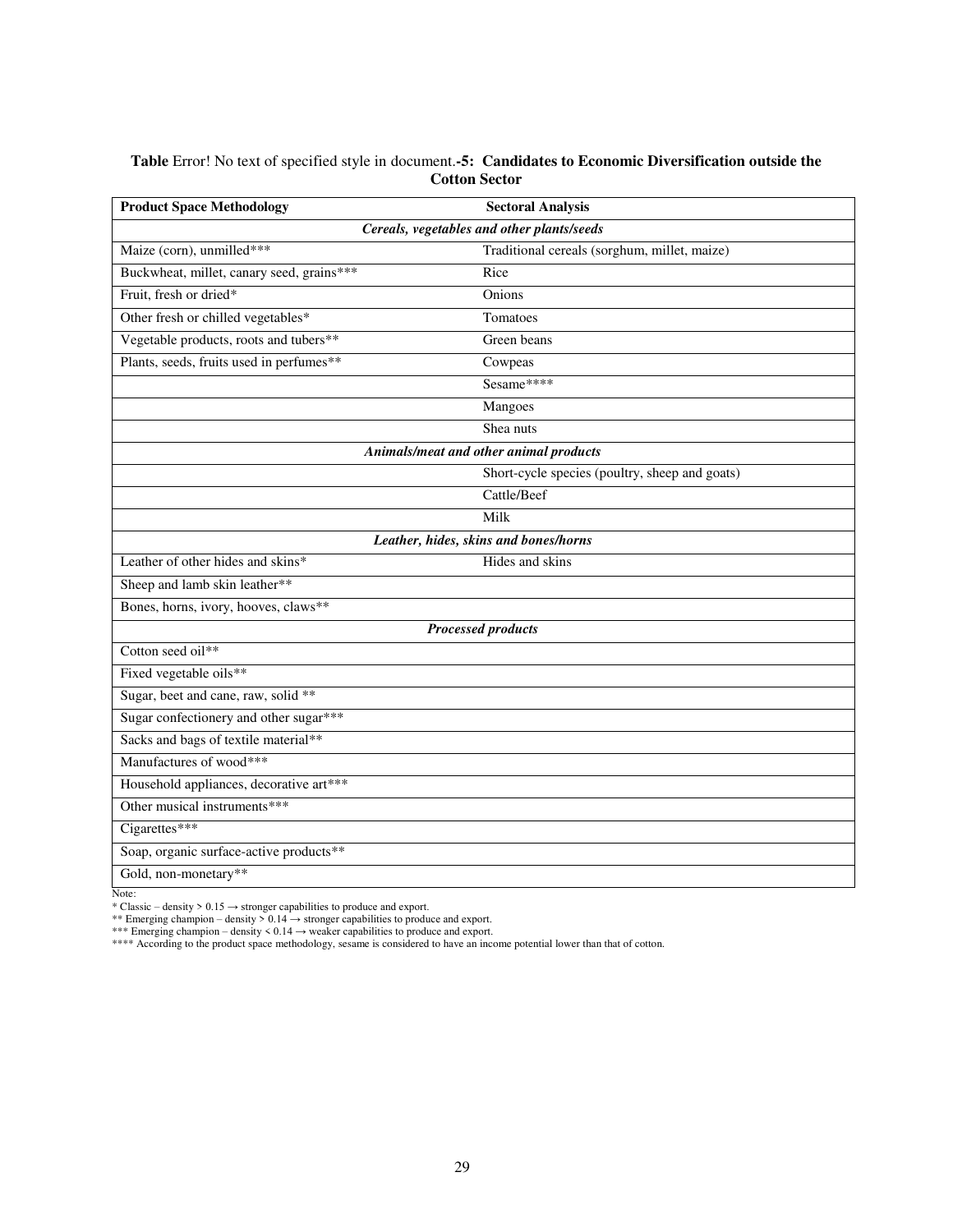#### <span id="page-28-0"></span>**Table** Error! No text of specified style in document.**-5: Candidates to Economic Diversification outside the Cotton Sector**

| <b>Product Space Methodology</b>          | <b>Sectoral Analysis</b>                       |  |  |  |  |  |  |  |  |
|-------------------------------------------|------------------------------------------------|--|--|--|--|--|--|--|--|
|                                           | Cereals, vegetables and other plants/seeds     |  |  |  |  |  |  |  |  |
| Maize (corn), unmilled***                 | Traditional cereals (sorghum, millet, maize)   |  |  |  |  |  |  |  |  |
| Buckwheat, millet, canary seed, grains*** | Rice                                           |  |  |  |  |  |  |  |  |
| Fruit, fresh or dried*                    | Onions                                         |  |  |  |  |  |  |  |  |
| Other fresh or chilled vegetables*        | Tomatoes                                       |  |  |  |  |  |  |  |  |
| Vegetable products, roots and tubers**    | Green beans                                    |  |  |  |  |  |  |  |  |
| Plants, seeds, fruits used in perfumes**  | Cowpeas                                        |  |  |  |  |  |  |  |  |
|                                           | Sesame****                                     |  |  |  |  |  |  |  |  |
|                                           | Mangoes                                        |  |  |  |  |  |  |  |  |
|                                           | Shea nuts                                      |  |  |  |  |  |  |  |  |
|                                           | Animals/meat and other animal products         |  |  |  |  |  |  |  |  |
|                                           | Short-cycle species (poultry, sheep and goats) |  |  |  |  |  |  |  |  |
|                                           | Cattle/Beef                                    |  |  |  |  |  |  |  |  |
|                                           | Milk                                           |  |  |  |  |  |  |  |  |
| Leather, hides, skins and bones/horns     |                                                |  |  |  |  |  |  |  |  |
| Leather of other hides and skins*         | Hides and skins                                |  |  |  |  |  |  |  |  |
| Sheep and lamb skin leather**             |                                                |  |  |  |  |  |  |  |  |
| Bones, horns, ivory, hooves, claws**      |                                                |  |  |  |  |  |  |  |  |
|                                           | <b>Processed products</b>                      |  |  |  |  |  |  |  |  |
| Cotton seed oil**                         |                                                |  |  |  |  |  |  |  |  |
| Fixed vegetable oils**                    |                                                |  |  |  |  |  |  |  |  |
| Sugar, beet and cane, raw, solid **       |                                                |  |  |  |  |  |  |  |  |
| Sugar confectionery and other sugar***    |                                                |  |  |  |  |  |  |  |  |
| Sacks and bags of textile material**      |                                                |  |  |  |  |  |  |  |  |
| Manufactures of wood***                   |                                                |  |  |  |  |  |  |  |  |
| Household appliances, decorative art***   |                                                |  |  |  |  |  |  |  |  |
| Other musical instruments***              |                                                |  |  |  |  |  |  |  |  |
| Cigarettes***                             |                                                |  |  |  |  |  |  |  |  |
| Soap, organic surface-active products**   |                                                |  |  |  |  |  |  |  |  |
| Gold, non-monetary**                      |                                                |  |  |  |  |  |  |  |  |

Note:

\* Classic – density >  $0.15 \rightarrow$  stronger capabilities to produce and export.

\*\* Emerging champion – density >  $0.14 \rightarrow$  stronger capabilities to produce and export.

\*\*\* Emerging champion – density < 0.14 → weaker capabilities to produce and export.<br>\*\*\*\* According to the product space methodology, sesame is considered to have an income potential lower than that of cotton.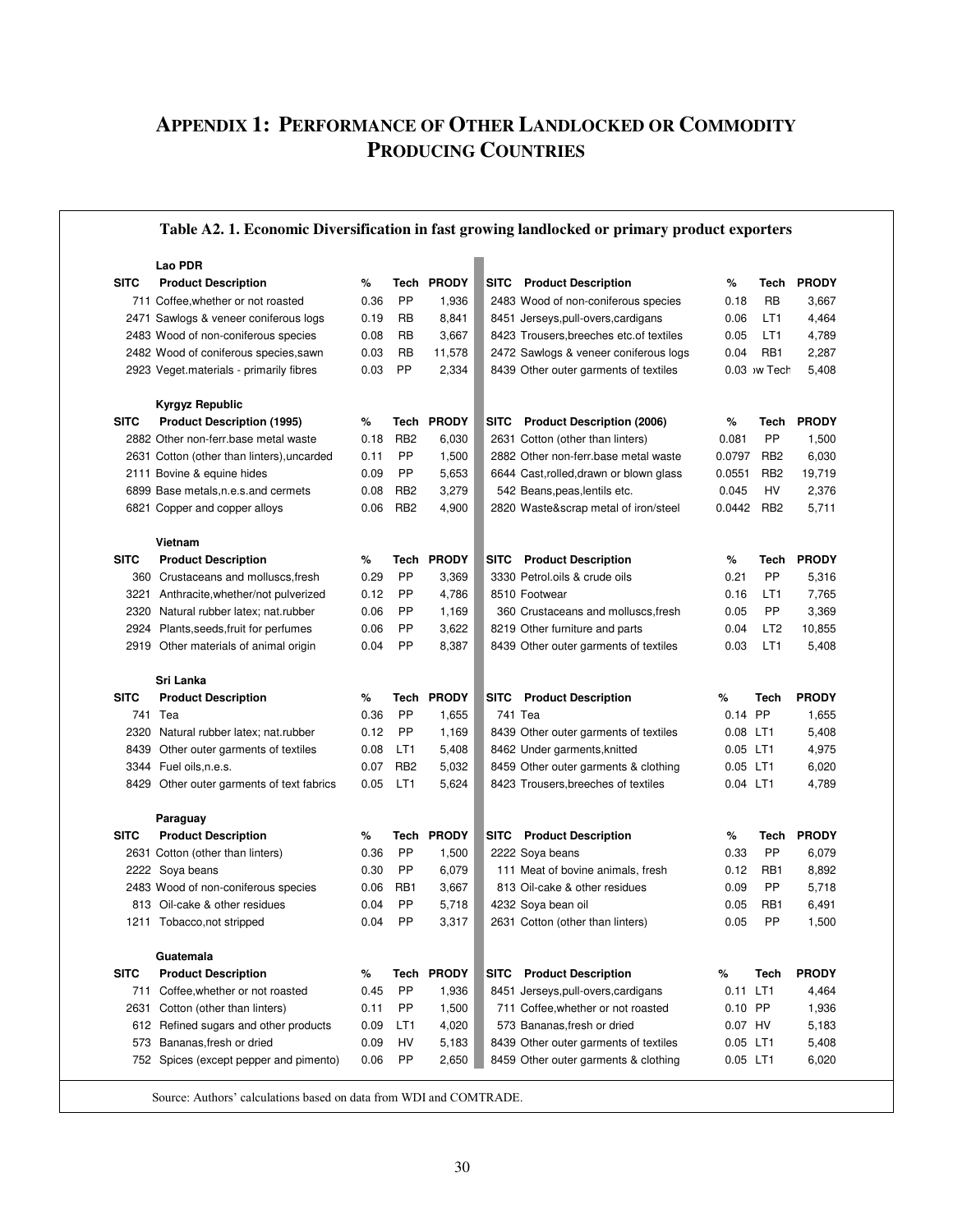## <span id="page-29-0"></span>**APPENDIX 1: PERFORMANCE OF OTHER LANDLOCKED OR COMMODITY PRODUCING COUNTRIES**

#### **Table A2. 1. Economic Diversification in fast growing landlocked or primary product exporters**

|             | Lao PDR                                    |      |                 |              |             |                                          |           |                 |              |
|-------------|--------------------------------------------|------|-----------------|--------------|-------------|------------------------------------------|-----------|-----------------|--------------|
| <b>SITC</b> | <b>Product Description</b>                 | %    | Tech            | <b>PRODY</b> |             | <b>SITC</b> Product Description          | %         | Tech            | <b>PRODY</b> |
|             | 711 Coffee, whether or not roasted         | 0.36 | PP              | 1,936        |             | 2483 Wood of non-coniferous species      | 0.18      | RB              | 3,667        |
|             | 2471 Sawlogs & veneer coniferous logs      | 0.19 | RB              | 8,841        |             | 8451 Jerseys, pull-overs, cardigans      | 0.06      | LT1             | 4,464        |
|             | 2483 Wood of non-coniferous species        | 0.08 | RB              | 3,667        |             | 8423 Trousers, breeches etc. of textiles | 0.05      | LT1             | 4,789        |
|             | 2482 Wood of coniferous species, sawn      | 0.03 | RB              | 11,578       |             | 2472 Sawlogs & veneer coniferous logs    | 0.04      | RB1             | 2,287        |
|             | 2923 Veget materials - primarily fibres    | 0.03 | PP              | 2,334        |             | 8439 Other outer garments of textiles    |           | 0.03 w Tech     | 5,408        |
|             |                                            |      |                 |              |             |                                          |           |                 |              |
|             | Kyrgyz Republic                            |      |                 |              |             |                                          |           |                 |              |
| <b>SITC</b> | <b>Product Description (1995)</b>          | %    |                 | Tech PRODY   |             | SITC Product Description (2006)          | %         | Tech            | <b>PRODY</b> |
|             | 2882 Other non-ferr base metal waste       | 0.18 | RB <sub>2</sub> | 6,030        |             | 2631 Cotton (other than linters)         | 0.081     | PP              | 1,500        |
|             | 2631 Cotton (other than linters), uncarded | 0.11 | PP              | 1,500        |             | 2882 Other non-ferr base metal waste     | 0.0797    | RB <sub>2</sub> | 6,030        |
|             | 2111 Bovine & equine hides                 | 0.09 | PP              | 5,653        |             | 6644 Cast, rolled, drawn or blown glass  | 0.0551    | RB <sub>2</sub> | 19,719       |
|             | 6899 Base metals, n.e.s. and cermets       | 0.08 | RB <sub>2</sub> | 3,279        |             | 542 Beans, peas, lentils etc.            | 0.045     | HV              | 2,376        |
|             | 6821 Copper and copper alloys              | 0.06 | RB <sub>2</sub> | 4,900        |             | 2820 Waste&scrap metal of iron/steel     | 0.0442    | RB <sub>2</sub> | 5,711        |
|             |                                            |      |                 |              |             |                                          |           |                 |              |
|             | Vietnam                                    |      |                 |              |             |                                          |           |                 |              |
| <b>SITC</b> | <b>Product Description</b>                 | %    | Tech            | <b>PRODY</b> | <b>SITC</b> | <b>Product Description</b>               | %         | Tech            | <b>PRODY</b> |
|             | 360 Crustaceans and molluscs, fresh        | 0.29 | PP              | 3,369        |             | 3330 Petrol.oils & crude oils            | 0.21      | PP              | 5,316        |
|             | 3221 Anthracite, whether/not pulverized    | 0.12 | PP              | 4,786        |             | 8510 Footwear                            | 0.16      | LT1             | 7,765        |
|             | 2320 Natural rubber latex; nat.rubber      | 0.06 | PP              | 1,169        |             | 360 Crustaceans and molluscs, fresh      | 0.05      | PP.             | 3,369        |
|             | 2924 Plants, seeds, fruit for perfumes     | 0.06 | PP              | 3,622        |             | 8219 Other furniture and parts           | 0.04      | LT <sub>2</sub> | 10,855       |
|             | 2919 Other materials of animal origin      | 0.04 | PP              | 8,387        |             | 8439 Other outer garments of textiles    | 0.03      | LT1             | 5,408        |
|             |                                            |      |                 |              |             |                                          |           |                 |              |
|             | Sri Lanka                                  |      |                 |              |             |                                          |           |                 |              |
|             |                                            |      |                 |              |             |                                          |           |                 |              |
| <b>SITC</b> | <b>Product Description</b>                 | %    | Tech            | <b>PRODY</b> | <b>SITC</b> | <b>Product Description</b>               | %         | Tech            | <b>PRODY</b> |
| 741         | Tea                                        | 0.36 | PP              | 1,655        | 741 Tea     |                                          | 0.14 PP   |                 | 1,655        |
|             | 2320 Natural rubber latex; nat.rubber      | 0.12 | PP              | 1,169        |             | 8439 Other outer garments of textiles    | 0.08 LT1  |                 | 5,408        |
| 8439        | Other outer garments of textiles           | 0.08 | LT1             | 5,408        |             | 8462 Under garments, knitted             | 0.05 LT1  |                 | 4,975        |
|             | 3344 Fuel oils, n.e.s.                     | 0.07 | RB <sub>2</sub> | 5,032        |             | 8459 Other outer garments & clothing     | 0.05 LT1  |                 | 6,020        |
|             | 8429 Other outer garments of text fabrics  | 0.05 | LT1             | 5,624        |             | 8423 Trousers, breeches of textiles      | 0.04 LT1  |                 | 4,789        |
|             |                                            |      |                 |              |             |                                          |           |                 |              |
|             | Paraguay                                   |      |                 |              |             |                                          |           |                 |              |
| <b>SITC</b> | <b>Product Description</b>                 | %    | Tech            | <b>PRODY</b> |             | <b>SITC</b> Product Description          | %         | Tech            | <b>PRODY</b> |
|             | 2631 Cotton (other than linters)           | 0.36 | PP              | 1,500        |             | 2222 Soya beans                          | 0.33      | <b>PP</b>       | 6,079        |
|             | 2222 Soya beans                            | 0.30 | PP              | 6,079        |             | 111 Meat of bovine animals, fresh        | 0.12      | RB1             | 8,892        |
|             | 2483 Wood of non-coniferous species        | 0.06 | RB1             | 3,667        |             | 813 Oil-cake & other residues            | 0.09      | PP.             | 5,718        |
|             | 813 Oil-cake & other residues              | 0.04 | PP              | 5,718        |             | 4232 Soya bean oil                       | 0.05      | RB1             | 6,491        |
|             | 1211 Tobacco, not stripped                 | 0.04 | PP              | 3,317        |             | 2631 Cotton (other than linters)         | 0.05      | PP              | 1,500        |
|             |                                            |      |                 |              |             |                                          |           |                 |              |
|             | Guatemala                                  |      |                 |              |             |                                          |           |                 |              |
| <b>SITC</b> | <b>Product Description</b>                 | ℅    | Tech            | <b>PRODY</b> |             | <b>SITC</b> Product Description          | %         | Tech            | <b>PRODY</b> |
| 711         | Coffee, whether or not roasted             | 0.45 | PP              | 1,936        |             | 8451 Jerseys, pull-overs, cardigans      | 0.11 LT1  |                 | 4,464        |
| 2631        | Cotton (other than linters)                | 0.11 | PP              | 1,500        |             | 711 Coffee, whether or not roasted       | $0.10$ PP |                 | 1,936        |
|             | 612 Refined sugars and other products      | 0.09 | LT1             | 4,020        |             | 573 Bananas, fresh or dried              | 0.07 HV   |                 | 5,183        |
|             | 573 Bananas, fresh or dried                | 0.09 | HV              | 5,183        |             | 8439 Other outer garments of textiles    | 0.05 LT1  |                 | 5,408        |
|             | 752 Spices (except pepper and pimento)     | 0.06 | PP              | 2,650        |             | 8459 Other outer garments & clothing     | 0.05 LT1  |                 | 6,020        |

Source: Authors' calculations based on data from WDI and COMTRADE.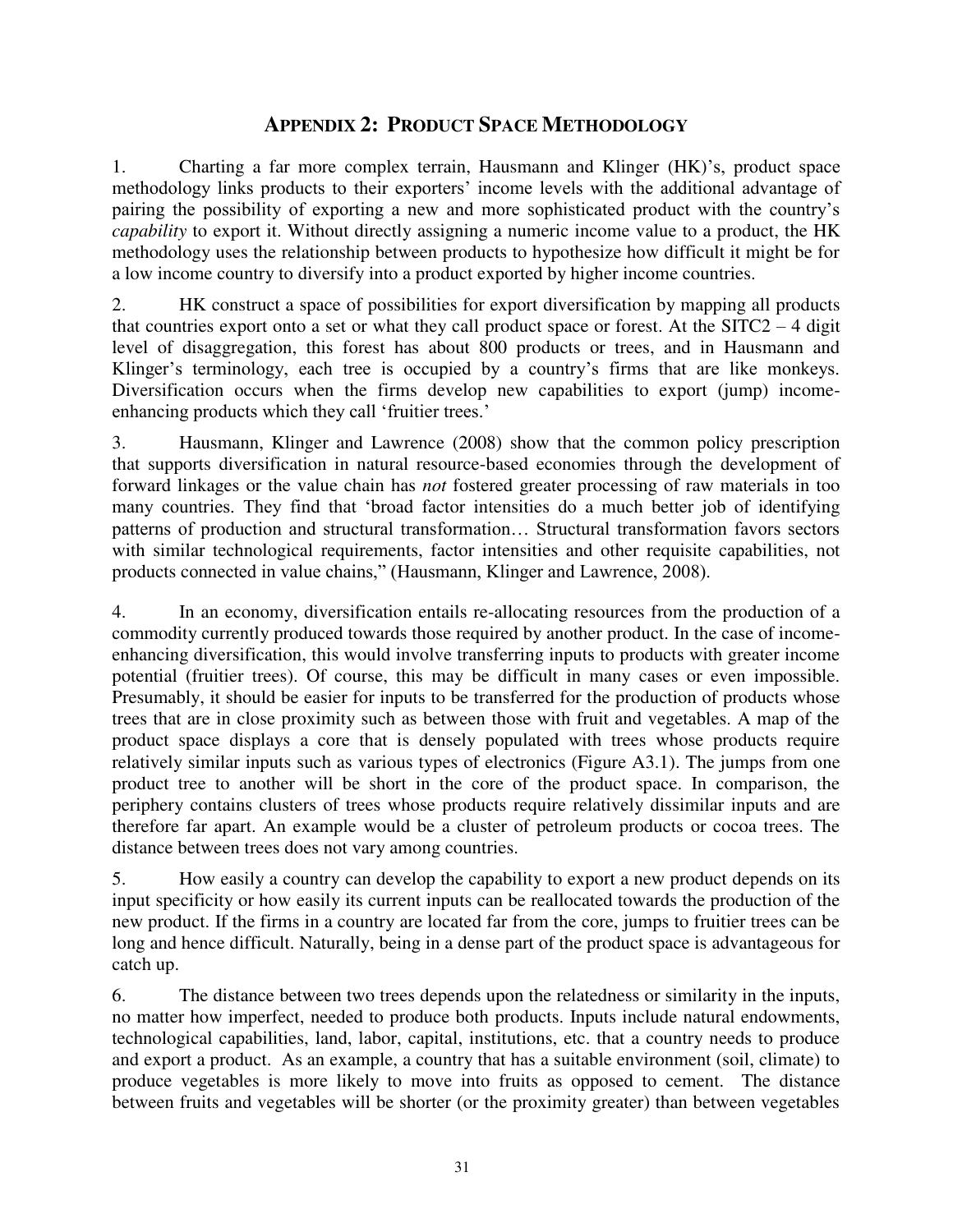## **APPENDIX 2: PRODUCT SPACE METHODOLOGY**

<span id="page-30-0"></span>1. Charting a far more complex terrain, Hausmann and Klinger (HK)'s, product space methodology links products to their exporters' income levels with the additional advantage of pairing the possibility of exporting a new and more sophisticated product with the country's *capability* to export it. Without directly assigning a numeric income value to a product, the HK methodology uses the relationship between products to hypothesize how difficult it might be for a low income country to diversify into a product exported by higher income countries.

2. HK construct a space of possibilities for export diversification by mapping all products that countries export onto a set or what they call product space or forest. At the  $SITC2 - 4$  digit level of disaggregation, this forest has about 800 products or trees, and in Hausmann and Klinger's terminology, each tree is occupied by a country's firms that are like monkeys. Diversification occurs when the firms develop new capabilities to export (jump) incomeenhancing products which they call 'fruitier trees.'

3. Hausmann, Klinger and Lawrence (2008) show that the common policy prescription that supports diversification in natural resource-based economies through the development of forward linkages or the value chain has *not* fostered greater processing of raw materials in too many countries. They find that 'broad factor intensities do a much better job of identifying patterns of production and structural transformation… Structural transformation favors sectors with similar technological requirements, factor intensities and other requisite capabilities, not products connected in value chains," (Hausmann, Klinger and Lawrence, 2008).

4. In an economy, diversification entails re-allocating resources from the production of a commodity currently produced towards those required by another product. In the case of incomeenhancing diversification, this would involve transferring inputs to products with greater income potential (fruitier trees). Of course, this may be difficult in many cases or even impossible. Presumably, it should be easier for inputs to be transferred for the production of products whose trees that are in close proximity such as between those with fruit and vegetables. A map of the product space displays a core that is densely populated with trees whose products require relatively similar inputs such as various types of electronics (Figure A3.1). The jumps from one product tree to another will be short in the core of the product space. In comparison, the periphery contains clusters of trees whose products require relatively dissimilar inputs and are therefore far apart. An example would be a cluster of petroleum products or cocoa trees. The distance between trees does not vary among countries.

5. How easily a country can develop the capability to export a new product depends on its input specificity or how easily its current inputs can be reallocated towards the production of the new product. If the firms in a country are located far from the core, jumps to fruitier trees can be long and hence difficult. Naturally, being in a dense part of the product space is advantageous for catch up.

6. The distance between two trees depends upon the relatedness or similarity in the inputs, no matter how imperfect, needed to produce both products. Inputs include natural endowments, technological capabilities, land, labor, capital, institutions, etc. that a country needs to produce and export a product. As an example, a country that has a suitable environment (soil, climate) to produce vegetables is more likely to move into fruits as opposed to cement. The distance between fruits and vegetables will be shorter (or the proximity greater) than between vegetables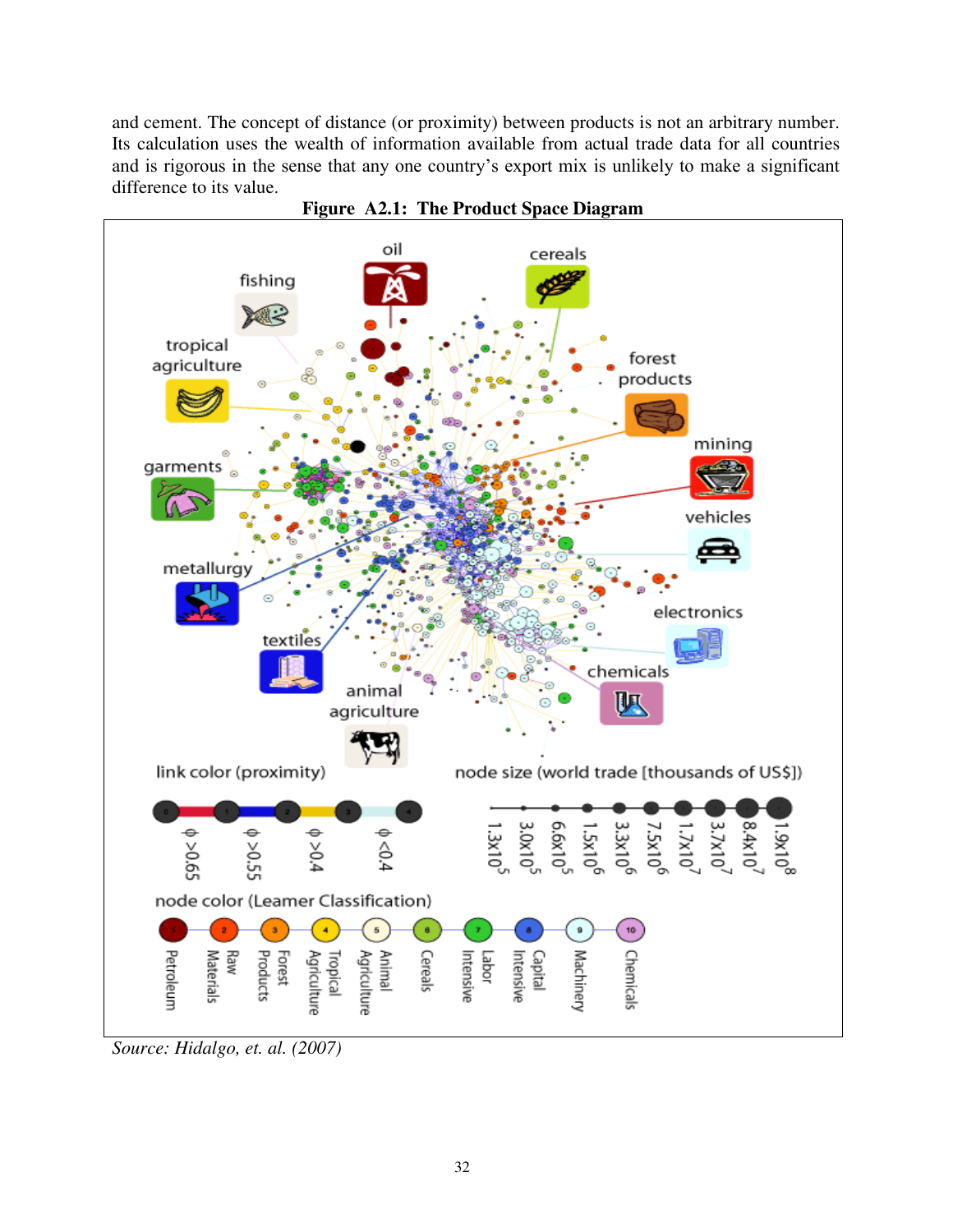and cement. The concept of distance (or proximity) between products is not an arbitrary number. Its calculation uses the wealth of information available from actual trade data for all countries and is rigorous in the sense that any one country's export mix is unlikely to make a significant difference to its value.



**Figure A2.1: The Product Space Diagram** 

*Source: Hidalgo, et. al. (2007)*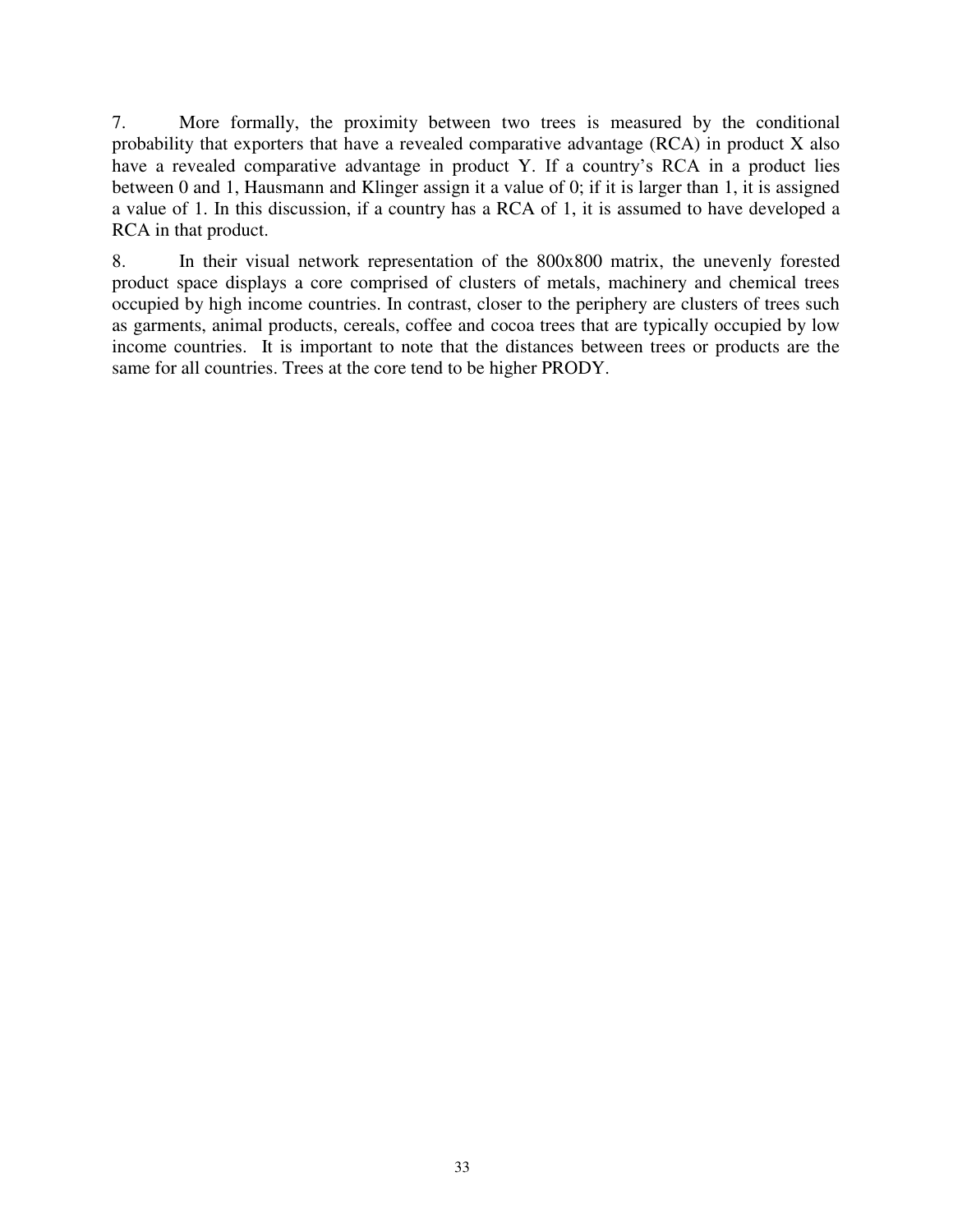7. More formally, the proximity between two trees is measured by the conditional probability that exporters that have a revealed comparative advantage (RCA) in product X also have a revealed comparative advantage in product Y. If a country's RCA in a product lies between 0 and 1, Hausmann and Klinger assign it a value of 0; if it is larger than 1, it is assigned a value of 1. In this discussion, if a country has a RCA of 1, it is assumed to have developed a RCA in that product.

8. In their visual network representation of the 800x800 matrix, the unevenly forested product space displays a core comprised of clusters of metals, machinery and chemical trees occupied by high income countries. In contrast, closer to the periphery are clusters of trees such as garments, animal products, cereals, coffee and cocoa trees that are typically occupied by low income countries. It is important to note that the distances between trees or products are the same for all countries. Trees at the core tend to be higher PRODY.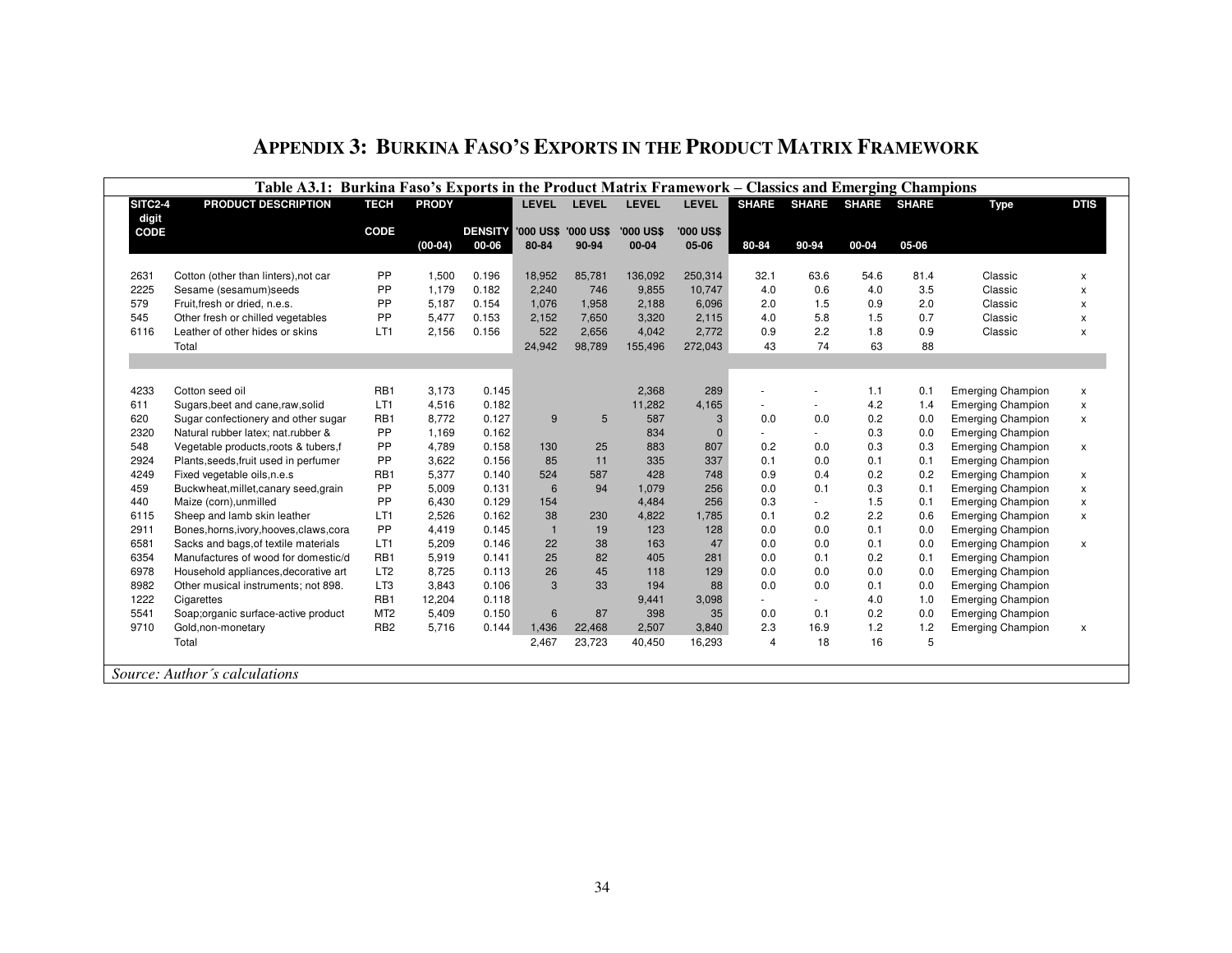<span id="page-33-0"></span>

|                | Table A3.1: Burkina Faso's Exports in the Product Matrix Framework – Classics and Emerging Champions |                 |              |                         |                              |              |                           |                           |                |                          |              |              |                          |             |
|----------------|------------------------------------------------------------------------------------------------------|-----------------|--------------|-------------------------|------------------------------|--------------|---------------------------|---------------------------|----------------|--------------------------|--------------|--------------|--------------------------|-------------|
| <b>SITC2-4</b> | PRODUCT DESCRIPTION                                                                                  | <b>TECH</b>     | <b>PRODY</b> |                         | <b>LEVEL</b>                 | <b>LEVEL</b> | <b>LEVEL</b>              | <b>LEVEL</b>              | <b>SHARE</b>   | <b>SHARE</b>             | <b>SHARE</b> | <b>SHARE</b> | <b>Type</b>              | <b>DTIS</b> |
| digit          |                                                                                                      |                 |              |                         |                              |              |                           |                           |                |                          |              |              |                          |             |
| CODE           |                                                                                                      | CODE            | $(00-04)$    | <b>DENSITY</b><br>00-06 | '000 US\$ '000 US\$<br>80-84 | 90-94        | <b>'000 US\$</b><br>00-04 | <b>'000 US\$</b><br>05-06 | 80-84          | 90-94                    | 00-04        | 05-06        |                          |             |
|                |                                                                                                      |                 |              |                         |                              |              |                           |                           |                |                          |              |              |                          |             |
| 2631           | Cotton (other than linters), not car                                                                 | PP              | 1,500        | 0.196                   | 18,952                       | 85,781       | 136,092                   | 250,314                   | 32.1           | 63.6                     | 54.6         | 81.4         | Classic                  | x           |
| 2225           | Sesame (sesamum)seeds                                                                                | PP              | 1.179        | 0.182                   | 2,240                        | 746          | 9,855                     | 10.747                    | 4.0            | 0.6                      | 4.0          | 3.5          | Classic                  | X           |
| 579            | Fruit, fresh or dried, n.e.s.                                                                        | PP              | 5,187        | 0.154                   | 1,076                        | 1,958        | 2,188                     | 6,096                     | 2.0            | 1.5                      | 0.9          | 2.0          | Classic                  | x           |
| 545            | Other fresh or chilled vegetables                                                                    | PP              | 5,477        | 0.153                   | 2,152                        | 7,650        | 3,320                     | 2,115                     | 4.0            | 5.8                      | 1.5          | 0.7          | Classic                  | X           |
| 6116           | Leather of other hides or skins                                                                      | LT1             | 2,156        | 0.156                   | 522                          | 2,656        | 4,042                     | 2,772                     | 0.9            | 2.2                      | 1.8          | 0.9          | Classic                  | x           |
|                | Total                                                                                                |                 |              |                         | 24,942                       | 98,789       | 155,496                   | 272,043                   | 43             | 74                       | 63           | 88           |                          |             |
|                |                                                                                                      |                 |              |                         |                              |              |                           |                           |                |                          |              |              |                          |             |
|                |                                                                                                      |                 |              |                         |                              |              |                           |                           |                |                          |              |              |                          |             |
| 4233           | Cotton seed oil                                                                                      | RB1             | 3,173        | 0.145                   |                              |              | 2,368                     | 289                       |                | ۰                        | 1.1          | 0.1          | <b>Emerging Champion</b> | x           |
| 611            | Sugars, beet and cane, raw, solid                                                                    | LT1             | 4,516        | 0.182                   |                              |              | 11,282                    | 4,165                     | ٠              | $\sim$                   | 4.2          | 1.4          | <b>Emerging Champion</b> | x           |
| 620            | Sugar confectionery and other sugar                                                                  | RB1             | 8,772        | 0.127                   | 9                            | 5            | 587                       | 3                         | 0.0            | 0.0                      | 0.2          | 0.0          | <b>Emerging Champion</b> | x           |
| 2320           | Natural rubber latex; nat.rubber &                                                                   | PP              | 1,169        | 0.162                   |                              |              | 834                       | $\mathbf{0}$              |                |                          | 0.3          | 0.0          | <b>Emerging Champion</b> |             |
| 548            | Vegetable products, roots & tubers, f                                                                | PP              | 4,789        | 0.158                   | 130                          | 25           | 883                       | 807                       | 0.2            | 0.0                      | 0.3          | 0.3          | <b>Emerging Champion</b> | X           |
| 2924           | Plants, seeds, fruit used in perfumer                                                                | PP              | 3,622        | 0.156                   | 85                           | 11           | 335                       | 337                       | 0.1            | 0.0                      | 0.1          | 0.1          | <b>Emerging Champion</b> |             |
| 4249           | Fixed vegetable oils, n.e.s                                                                          | RB1             | 5,377        | 0.140                   | 524                          | 587          | 428                       | 748                       | 0.9            | 0.4                      | 0.2          | 0.2          | <b>Emerging Champion</b> | x           |
| 459            | Buckwheat, millet, canary seed, grain                                                                | PP              | 5,009        | 0.131                   | 6                            | 94           | 1,079                     | 256                       | 0.0            | 0.1                      | 0.3          | 0.1          | <b>Emerging Champion</b> | x           |
| 440            | Maize (corn), unmilled                                                                               | PP              | 6,430        | 0.129                   | 154                          |              | 4,484                     | 256                       | 0.3            | $\overline{\phantom{a}}$ | 1.5          | 0.1          | <b>Emerging Champion</b> | x           |
| 6115           | Sheep and lamb skin leather                                                                          | LT1             | 2,526        | 0.162                   | 38                           | 230          | 4,822                     | 1,785                     | 0.1            | 0.2                      | 2.2          | 0.6          | <b>Emerging Champion</b> | x           |
| 2911           | Bones, horns, ivory, hooves, claws, cora                                                             | PP              | 4,419        | 0.145                   | $\overline{1}$               | 19           | 123                       | 128                       | 0.0            | 0.0                      | 0.1          | 0.0          | <b>Emerging Champion</b> |             |
| 6581           | Sacks and bags, of textile materials                                                                 | LT1             | 5,209        | 0.146                   | 22                           | 38           | 163                       | 47                        | 0.0            | 0.0                      | 0.1          | 0.0          | <b>Emerging Champion</b> | X           |
| 6354           | Manufactures of wood for domestic/d                                                                  | RB1             | 5,919        | 0.141                   | 25                           | 82           | 405                       | 281                       | 0.0            | 0.1                      | 0.2          | 0.1          | <b>Emerging Champion</b> |             |
| 6978           | Household appliances, decorative art                                                                 | LT <sub>2</sub> | 8,725        | 0.113                   | 26                           | 45           | 118                       | 129                       | 0.0            | 0.0                      | 0.0          | 0.0          | <b>Emerging Champion</b> |             |
| 8982           | Other musical instruments; not 898.                                                                  | LT3             | 3,843        | 0.106                   | 3                            | 33           | 194                       | 88                        | 0.0            | 0.0                      | 0.1          | 0.0          | <b>Emerging Champion</b> |             |
| 1222           | Cigarettes                                                                                           | RB1             | 12,204       | 0.118                   |                              |              | 9,441                     | 3,098                     | $\overline{a}$ | $\sim$                   | 4.0          | 1.0          | <b>Emerging Champion</b> |             |
| 5541           | Soap;organic surface-active product                                                                  | MT <sub>2</sub> | 5,409        | 0.150                   | $6\phantom{1}$               | 87           | 398                       | 35                        | 0.0            | 0.1                      | 0.2          | 0.0          | <b>Emerging Champion</b> |             |
| 9710           | Gold, non-monetary                                                                                   | RB <sub>2</sub> | 5,716        | 0.144                   | 1,436                        | 22,468       | 2,507                     | 3,840                     | 2.3            | 16.9                     | 1.2          | 1.2          | <b>Emerging Champion</b> | X           |
|                | Total                                                                                                |                 |              |                         | 2,467                        | 23,723       | 40,450                    | 16,293                    | 4              | 18                       | 16           | 5            |                          |             |
|                |                                                                                                      |                 |              |                         |                              |              |                           |                           |                |                          |              |              |                          |             |
|                | Source: Author's calculations                                                                        |                 |              |                         |                              |              |                           |                           |                |                          |              |              |                          |             |

## **APPENDIX 3: BURKINA FASO'S EXPORTS IN THE PRODUCT MATRIX FRAMEWORK**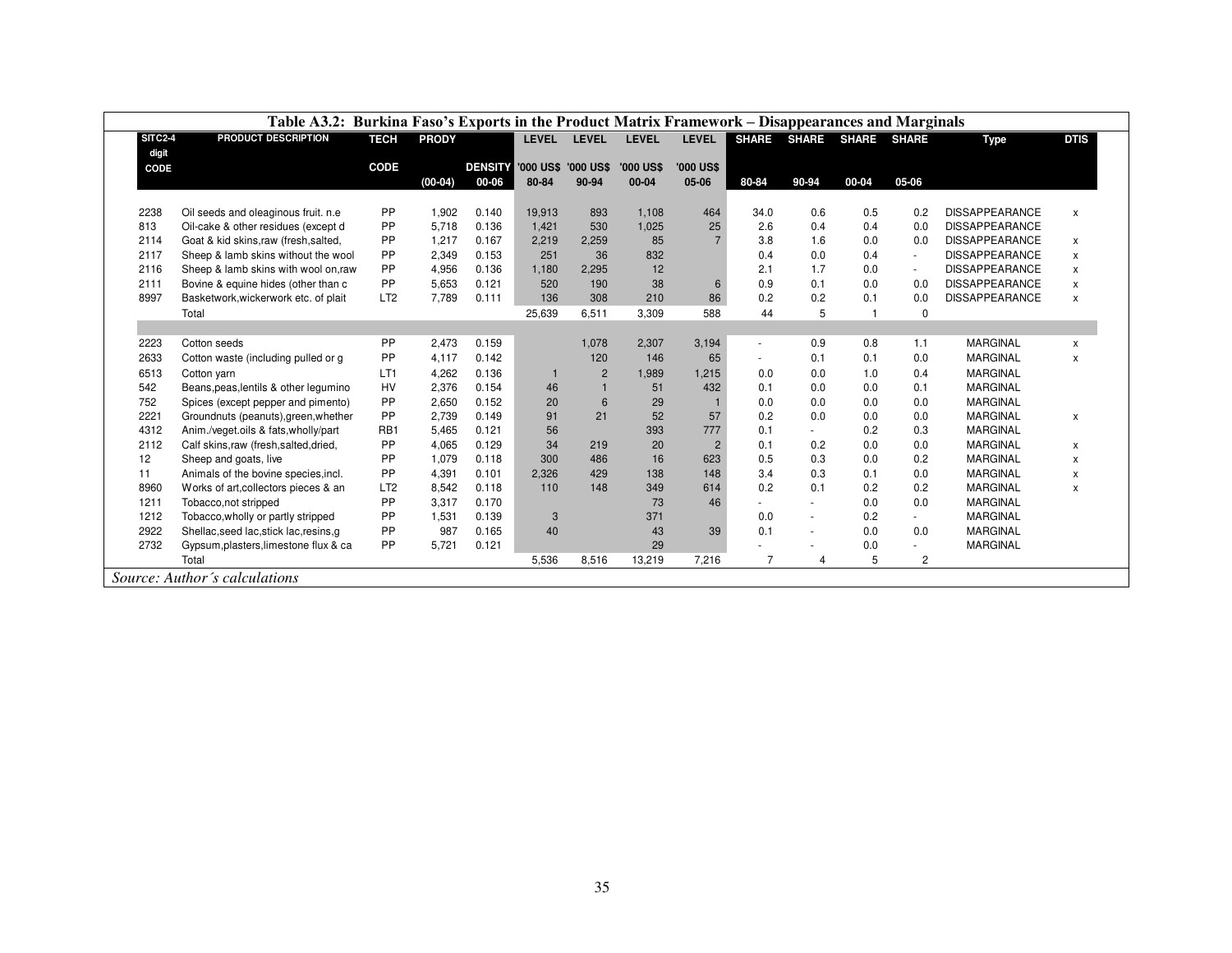|                | Table A3.2: Burkina Faso's Exports in the Product Matrix Framework – Disappearances and Marginals |                 |              |                |              |                     |                  |                  |                          |                |                |                |                       |              |
|----------------|---------------------------------------------------------------------------------------------------|-----------------|--------------|----------------|--------------|---------------------|------------------|------------------|--------------------------|----------------|----------------|----------------|-----------------------|--------------|
| <b>SITC2-4</b> | PRODUCT DESCRIPTION                                                                               | <b>TECH</b>     | <b>PRODY</b> |                | <b>LEVEL</b> | <b>LEVEL</b>        | <b>LEVEL</b>     | <b>LEVEL</b>     | <b>SHARE</b>             | <b>SHARE</b>   | <b>SHARE</b>   | <b>SHARE</b>   | <b>Type</b>           | <b>DTIS</b>  |
| digit          |                                                                                                   |                 |              |                |              |                     |                  |                  |                          |                |                |                |                       |              |
| CODE           |                                                                                                   | <b>CODE</b>     |              | <b>DENSITY</b> |              | '000 US\$ '000 US\$ | <b>'000 US\$</b> | <b>'000 US\$</b> |                          |                |                |                |                       |              |
|                |                                                                                                   |                 | $(00-04)$    | 00-06          | 80-84        | 90-94               | $00 - 04$        | 05-06            | 80-84                    | 90-94          | 00-04          | 05-06          |                       |              |
|                |                                                                                                   |                 |              |                |              |                     |                  |                  |                          |                |                |                |                       |              |
| 2238           | Oil seeds and oleaginous fruit. n.e.                                                              | PP              | 1.902        | 0.140          | 19,913       | 893                 | 1,108            | 464              | 34.0                     | 0.6            | 0.5            | 0.2            | <b>DISSAPPEARANCE</b> | $\mathsf{x}$ |
| 813            | Oil-cake & other residues (except d                                                               | PP              | 5.718        | 0.136          | 1,421        | 530                 | 1,025            | 25               | 2.6                      | 0.4            | 0.4            | 0.0            | <b>DISSAPPEARANCE</b> |              |
| 2114           | Goat & kid skins, raw (fresh, salted,                                                             | PP              | 1,217        | 0.167          | 2,219        | 2,259               | 85               |                  | 3.8                      | 1.6            | 0.0            | 0.0            | <b>DISSAPPEARANCE</b> | $\mathsf{x}$ |
| 2117           | Sheep & lamb skins without the wool                                                               | PP              | 2,349        | 0.153          | 251          | 36                  | 832              |                  | 0.4                      | 0.0            | 0.4            | $\sim$         | <b>DISSAPPEARANCE</b> | $\mathsf{x}$ |
| 2116           | Sheep & lamb skins with wool on, raw                                                              | PP              | 4.956        | 0.136          | 1,180        | 2,295               | 12               |                  | 2.1                      | 1.7            | 0.0            | $\sim$         | <b>DISSAPPEARANCE</b> | $\mathsf{x}$ |
| 2111           | Bovine & equine hides (other than c                                                               | PP              | 5,653        | 0.121          | 520          | 190                 | 38               | 6                | 0.9                      | 0.1            | 0.0            | 0.0            | <b>DISSAPPEARANCE</b> | $\mathsf{x}$ |
| 8997           | Basketwork, wickerwork etc. of plait                                                              | LT <sub>2</sub> | 7,789        | 0.111          | 136          | 308                 | 210              | 86               | 0.2                      | 0.2            | 0.1            | 0.0            | <b>DISSAPPEARANCE</b> | $\mathsf{x}$ |
|                | Total                                                                                             |                 |              |                | 25,639       | 6,511               | 3,309            | 588              | 44                       | 5              | $\overline{1}$ | $\mathbf 0$    |                       |              |
|                |                                                                                                   |                 |              |                |              |                     |                  |                  |                          |                |                |                |                       |              |
| 2223           | Cotton seeds                                                                                      | <b>PP</b>       | 2,473        | 0.159          |              | 1,078               | 2,307            | 3,194            | $\overline{\phantom{a}}$ | 0.9            | 0.8            | 1.1            | <b>MARGINAL</b>       | X            |
| 2633           | Cotton waste (including pulled or g                                                               | PP              | 4,117        | 0.142          |              | 120                 | 146              | 65               | $\sim$                   | 0.1            | 0.1            | 0.0            | <b>MARGINAL</b>       | $\mathsf{x}$ |
| 6513           | Cotton yarn                                                                                       | LT1             | 4,262        | 0.136          |              | $\overline{2}$      | 1,989            | 1,215            | 0.0                      | 0.0            | 1.0            | 0.4            | <b>MARGINAL</b>       |              |
| 542            | Beans, peas, lentils & other legumino                                                             | HV              | 2,376        | 0.154          | 46           | $\overline{1}$      | 51               | 432              | 0.1                      | 0.0            | 0.0            | 0.1            | <b>MARGINAL</b>       |              |
| 752            | Spices (except pepper and pimento)                                                                | PP              | 2,650        | 0.152          | 20           | 6                   | 29               |                  | 0.0                      | 0.0            | 0.0            | 0.0            | <b>MARGINAL</b>       |              |
| 2221           | Groundnuts (peanuts), green, whether                                                              | PP              | 2.739        | 0.149          | 91           | 21                  | 52               | 57               | 0.2                      | 0.0            | 0.0            | 0.0            | <b>MARGINAL</b>       | $\pmb{\chi}$ |
| 4312           | Anim./veget.oils & fats.wholly/part                                                               | RB1             | 5,465        | 0.121          | 56           |                     | 393              | 777              | 0.1                      | $\sim$         | 0.2            | 0.3            | <b>MARGINAL</b>       |              |
| 2112           | Calf skins,raw (fresh,salted,dried,                                                               | PP              | 4,065        | 0.129          | 34           | 219                 | 20               | $\overline{2}$   | 0.1                      | 0.2            | 0.0            | 0.0            | <b>MARGINAL</b>       | X            |
| 12             | Sheep and goats, live                                                                             | PP              | 1.079        | 0.118          | 300          | 486                 | 16               | 623              | 0.5                      | 0.3            | 0.0            | 0.2            | <b>MARGINAL</b>       | $\mathsf{x}$ |
| 11             | Animals of the bovine species, incl.                                                              | PP              | 4,391        | 0.101          | 2,326        | 429                 | 138              | 148              | 3.4                      | 0.3            | 0.1            | 0.0            | <b>MARGINAL</b>       | $\mathsf{x}$ |
| 8960           | Works of art, collectors pieces & an                                                              | LT <sub>2</sub> | 8,542        | 0.118          | 110          | 148                 | 349              | 614              | 0.2                      | 0.1            | 0.2            | 0.2            | <b>MARGINAL</b>       | $\mathsf{x}$ |
| 1211           | Tobacco, not stripped                                                                             | PP              | 3.317        | 0.170          |              |                     | 73               | 46               |                          | $\sim$         | 0.0            | 0.0            | <b>MARGINAL</b>       |              |
| 1212           | Tobacco, wholly or partly stripped                                                                | PP              | 1.531        | 0.139          | 3            |                     | 371              |                  | 0.0                      | $\sim$         | 0.2            | $\mathbf{r}$   | <b>MARGINAL</b>       |              |
| 2922           | Shellac, seed lac, stick lac, resins, g                                                           | PP              | 987          | 0.165          | 40           |                     | 43               | 39               | 0.1                      | $\sim$         | 0.0            | 0.0            | <b>MARGINAL</b>       |              |
| 2732           | Gypsum, plasters, limestone flux & ca                                                             | PP              | 5,721        | 0.121          |              |                     | 29               |                  |                          |                | 0.0            |                | <b>MARGINAL</b>       |              |
|                | Total                                                                                             |                 |              |                | 5,536        | 8,516               | 13,219           | 7.216            | $\overline{7}$           | $\overline{4}$ | 5              | $\overline{c}$ |                       |              |
|                | Source: Author's calculations                                                                     |                 |              |                |              |                     |                  |                  |                          |                |                |                |                       |              |
|                |                                                                                                   |                 |              |                |              |                     |                  |                  |                          |                |                |                |                       |              |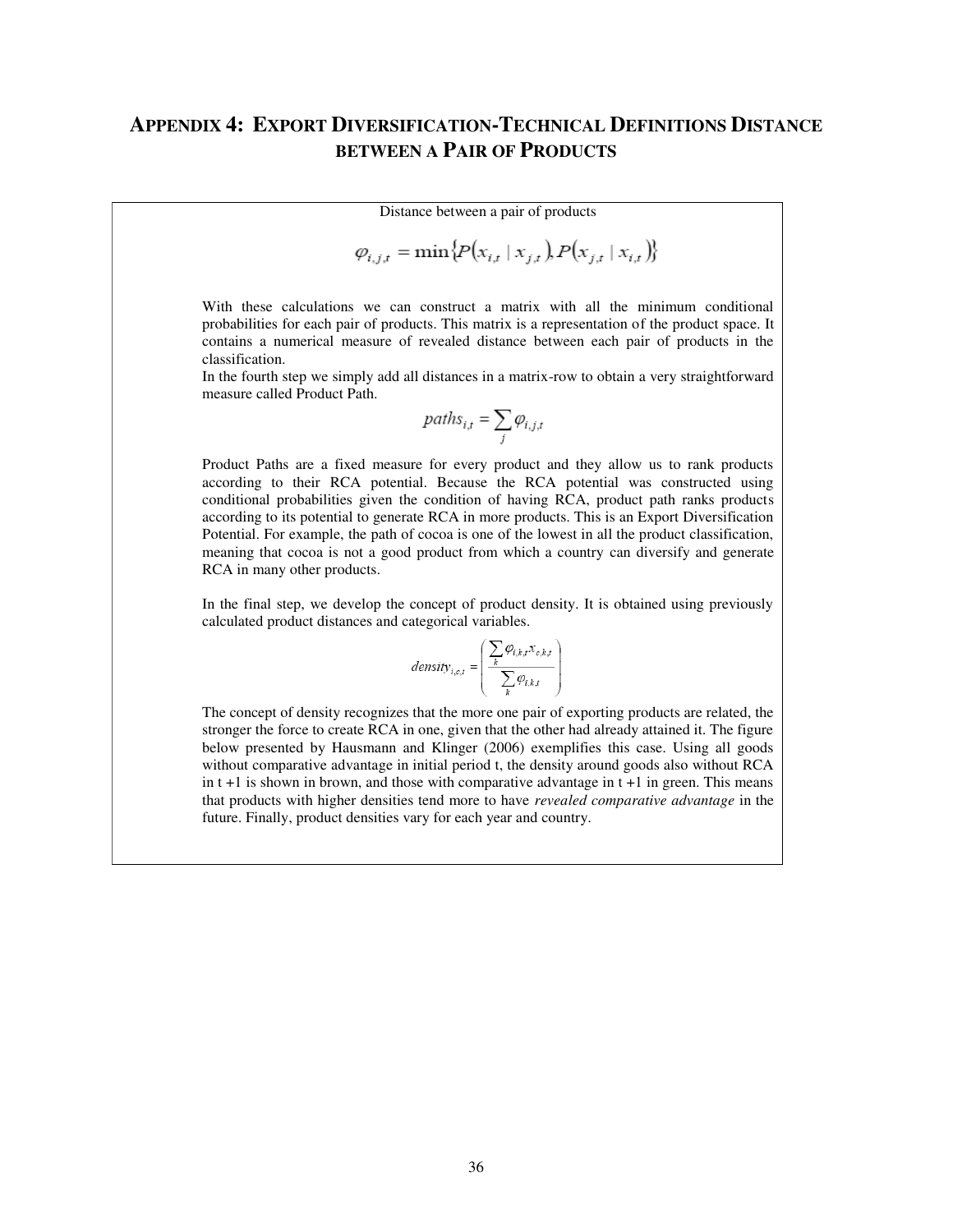## <span id="page-35-0"></span>**APPENDIX 4: EXPORT DIVERSIFICATION-TECHNICAL DEFINITIONS DISTANCE BETWEEN A PAIR OF PRODUCTS**

Distance between a pair of products

$$
\varphi_{i,j,t} = \min\{P(x_{i,t} \mid x_{j,t}), P(x_{j,t} \mid x_{i,t})\}
$$

With these calculations we can construct a matrix with all the minimum conditional probabilities for each pair of products. This matrix is a representation of the product space. It contains a numerical measure of revealed distance between each pair of products in the classification.

In the fourth step we simply add all distances in a matrix-row to obtain a very straightforward measure called Product Path.

$$
paths_{i,t} = \sum_{j} \varphi_{i,j,t}
$$

Product Paths are a fixed measure for every product and they allow us to rank products according to their RCA potential. Because the RCA potential was constructed using conditional probabilities given the condition of having RCA, product path ranks products according to its potential to generate RCA in more products. This is an Export Diversification Potential. For example, the path of cocoa is one of the lowest in all the product classification, meaning that cocoa is not a good product from which a country can diversify and generate RCA in many other products.

In the final step, we develop the concept of product density. It is obtained using previously calculated product distances and categorical variables.

$$
density_{i,c,t} = \left(\frac{\sum_{k} \varphi_{i,k,t} x_{c,k,t}}{\sum_{k} \varphi_{i,k,t}}\right)
$$

The concept of density recognizes that the more one pair of exporting products are related, the stronger the force to create RCA in one, given that the other had already attained it. The figure below presented by Hausmann and Klinger (2006) exemplifies this case. Using all goods without comparative advantage in initial period t, the density around goods also without RCA in  $t + 1$  is shown in brown, and those with comparative advantage in  $t + 1$  in green. This means that products with higher densities tend more to have *revealed comparative advantage* in the future. Finally, product densities vary for each year and country.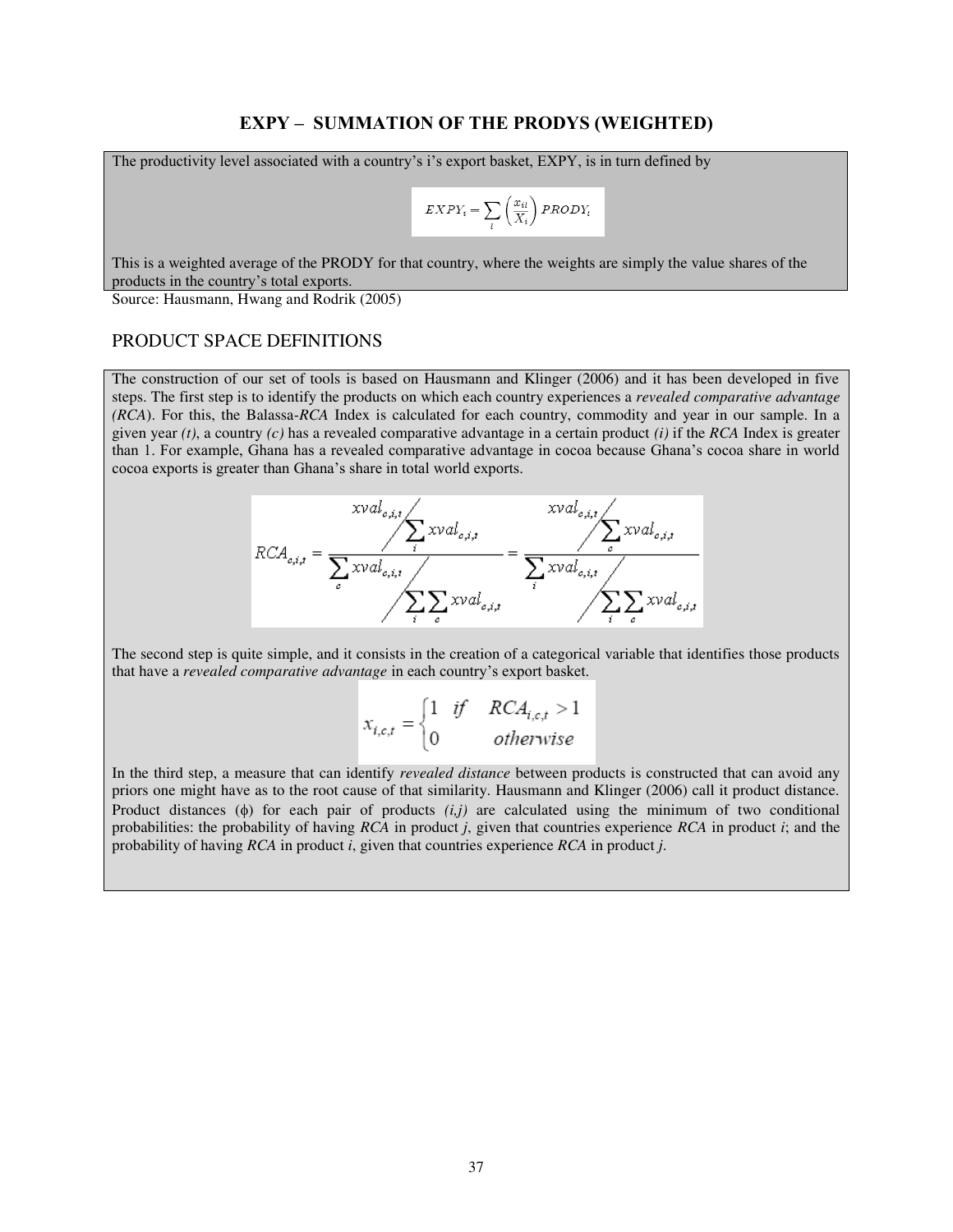#### **EXPY – SUMMATION OF THE PRODYS (WEIGHTED)**

The productivity level associated with a country's i's export basket, EXPY, is in turn defined by

$$
EXPY_i = \sum_{l} \left(\frac{x_{il}}{X_i}\right) PRODY_l
$$

This is a weighted average of the PRODY for that country, where the weights are simply the value shares of the products in the country's total exports.

Source: Hausmann, Hwang and Rodrik (2005)

#### PRODUCT SPACE DEFINITIONS

The construction of our set of tools is based on Hausmann and Klinger (2006) and it has been developed in five steps. The first step is to identify the products on which each country experiences a *revealed comparative advantage (RCA*). For this, the Balassa-*RCA* Index is calculated for each country, commodity and year in our sample. In a given year *(t)*, a country *(c)* has a revealed comparative advantage in a certain product *(i)* if the *RCA* Index is greater than 1. For example, Ghana has a revealed comparative advantage in cocoa because Ghana's cocoa share in world cocoa exports is greater than Ghana's share in total world exports.



The second step is quite simple, and it consists in the creation of a categorical variable that identifies those products that have a *revealed comparative advantage* in each country's export basket.

$$
x_{i,c,t} = \begin{cases} 1 & \text{if } RCA_{i,c,t} > 1 \\ 0 & \text{otherwise} \end{cases}
$$

In the third step, a measure that can identify *revealed distance* between products is constructed that can avoid any priors one might have as to the root cause of that similarity. Hausmann and Klinger (2006) call it product distance. Product distances  $(\phi)$  for each pair of products  $(i,j)$  are calculated using the minimum of two conditional probabilities: the probability of having *RCA* in product *j*, given that countries experience *RCA* in product *i*; and the probability of having *RCA* in product *i*, given that countries experience *RCA* in product *j*.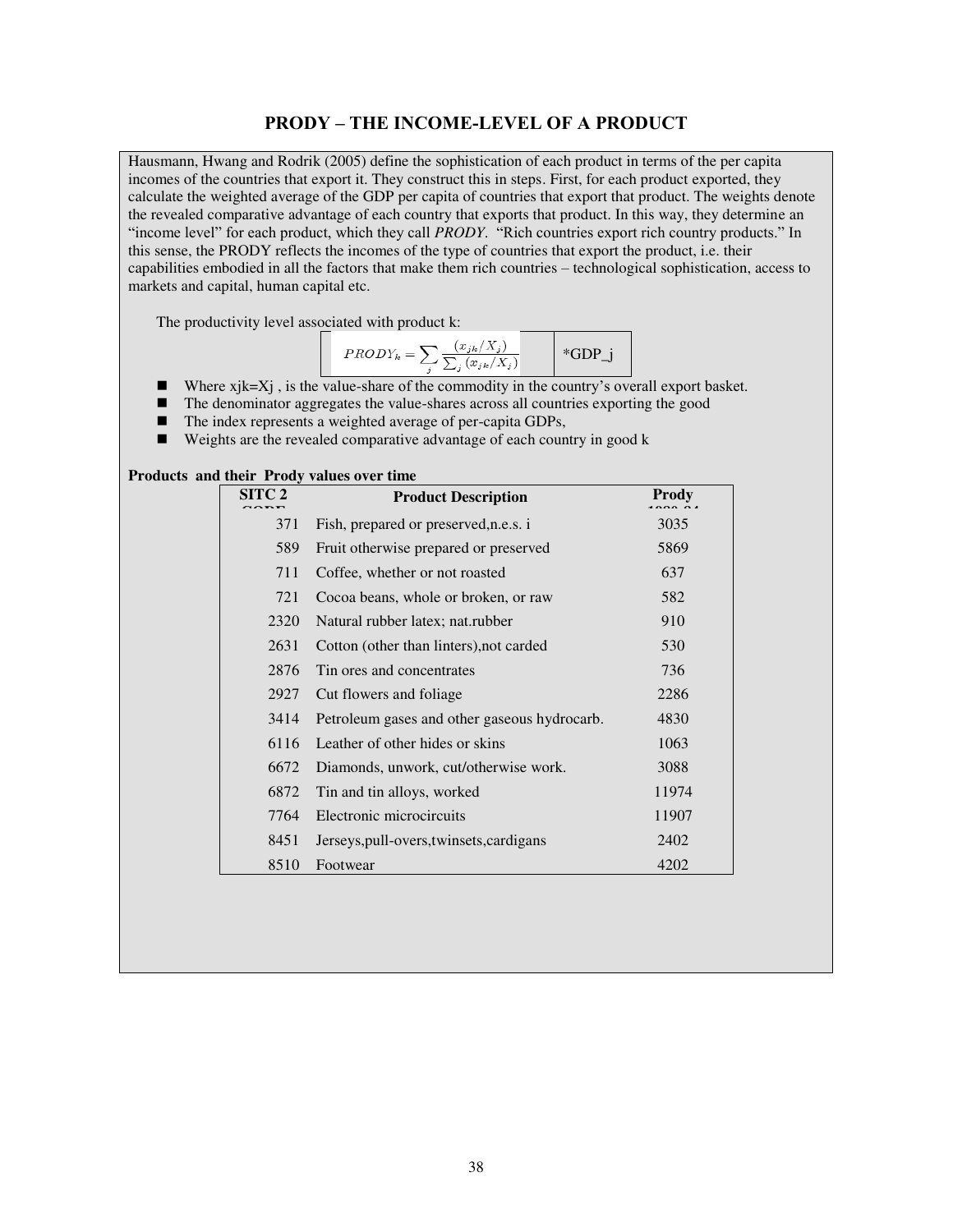#### **PRODY – THE INCOME-LEVEL OF A PRODUCT**

Hausmann, Hwang and Rodrik (2005) define the sophistication of each product in terms of the per capita incomes of the countries that export it. They construct this in steps. First, for each product exported, they calculate the weighted average of the GDP per capita of countries that export that product. The weights denote the revealed comparative advantage of each country that exports that product. In this way, they determine an "income level" for each product, which they call *PRODY*. "Rich countries export rich country products." In this sense, the PRODY reflects the incomes of the type of countries that export the product, i.e. their capabilities embodied in all the factors that make them rich countries – technological sophistication, access to markets and capital, human capital etc.

The productivity level associated with product k:

$$
PRODY_k = \sum_{j} \frac{(x_{jk}/X_j)}{\sum_{j} (x_{jk}/X_j)}
$$
 \*GDP\_j

- Where  $xjk=Xj$ , is the value-share of the commodity in the country's overall export basket.
- The denominator aggregates the value-shares across all countries exporting the good
- The index represents a weighted average of per-capita GDPs,
- $\blacksquare$  Weights are the revealed comparative advantage of each country in good k

#### **Products and their Prody values over time**

| SITC <sub>2</sub> | <b>Product Description</b>                   | Prody |
|-------------------|----------------------------------------------|-------|
| 371               | Fish, prepared or preserved, n.e.s. i        | 3035  |
| 589               | Fruit otherwise prepared or preserved        | 5869  |
| 711               | Coffee, whether or not roasted               | 637   |
| 721               | Cocoa beans, whole or broken, or raw         | 582   |
| 2320              | Natural rubber latex; nat.rubber             | 910   |
| 2631              | Cotton (other than linters), not carded      | 530   |
| 2876              | Tin ores and concentrates                    | 736   |
| 2927              | Cut flowers and foliage                      | 2286  |
| 3414              | Petroleum gases and other gaseous hydrocarb. | 4830  |
| 6116              | Leather of other hides or skins              | 1063  |
| 6672              | Diamonds, unwork, cut/otherwise work.        | 3088  |
| 6872              | Tin and tin alloys, worked                   | 11974 |
| 7764              | Electronic microcircuits                     | 11907 |
| 8451              | Jerseys, pull-overs, twinsets, cardigans     | 2402  |
| 8510              | Footwear                                     | 4202  |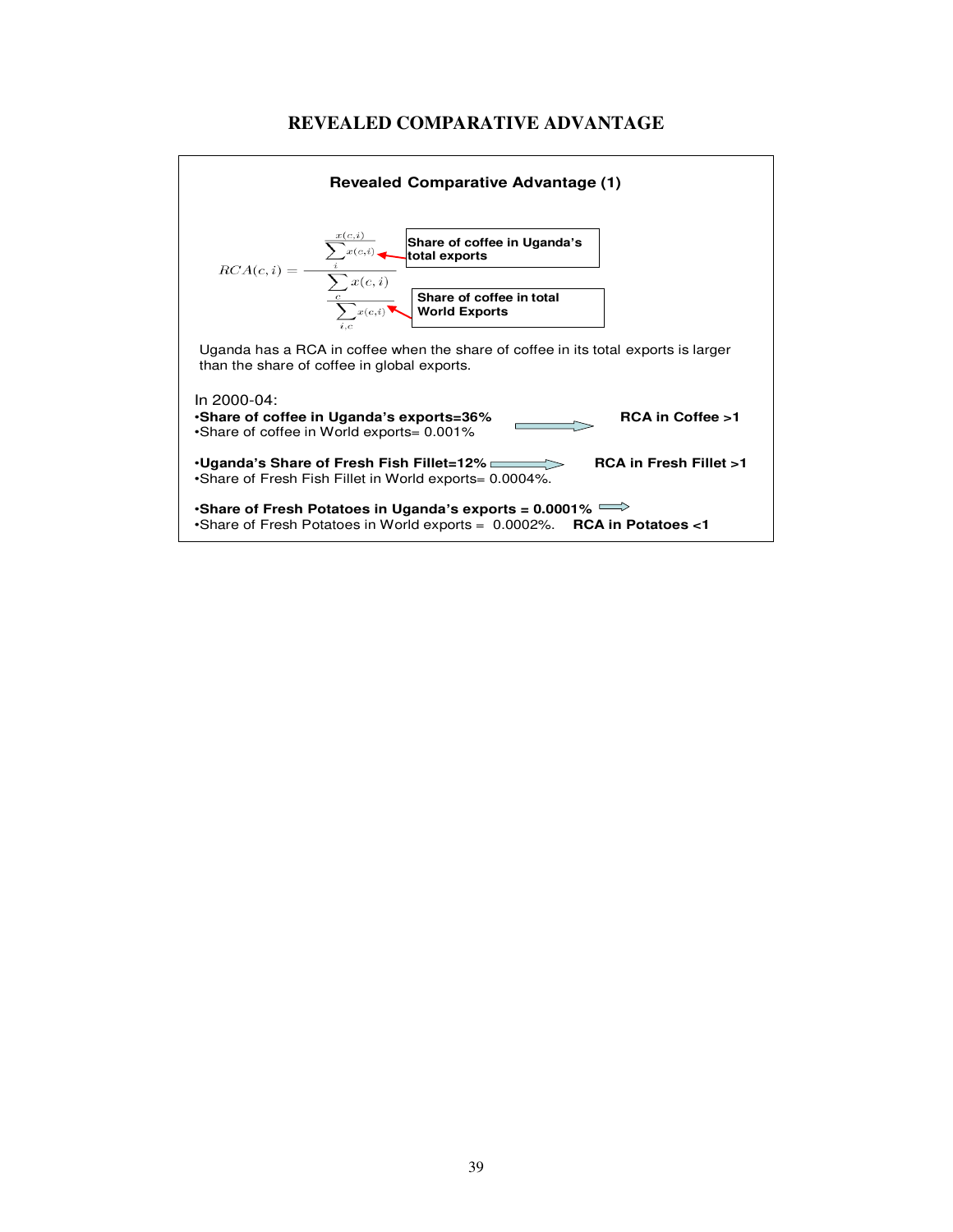

### **REVEALED COMPARATIVE ADVANTAGE**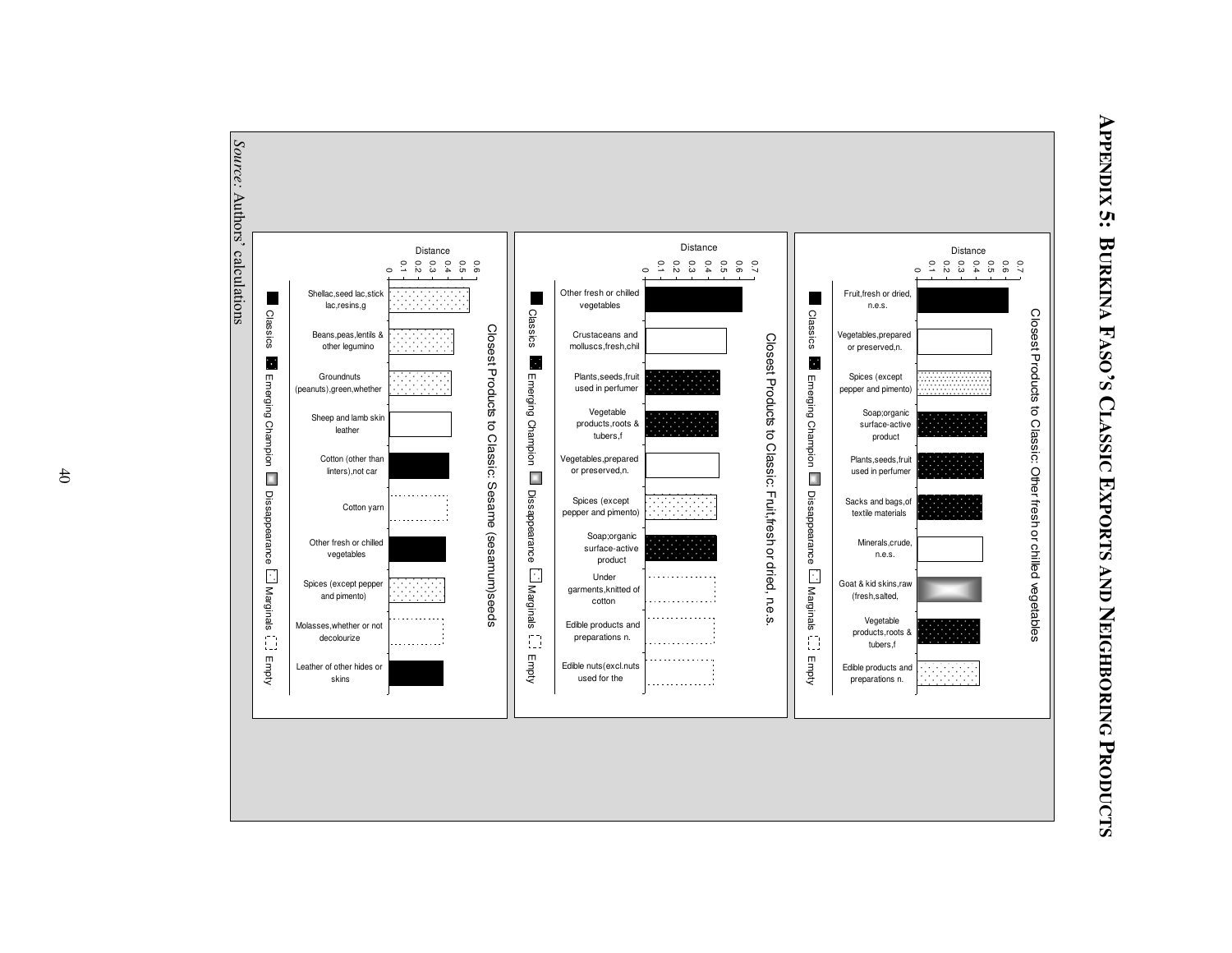<span id="page-39-0"></span>

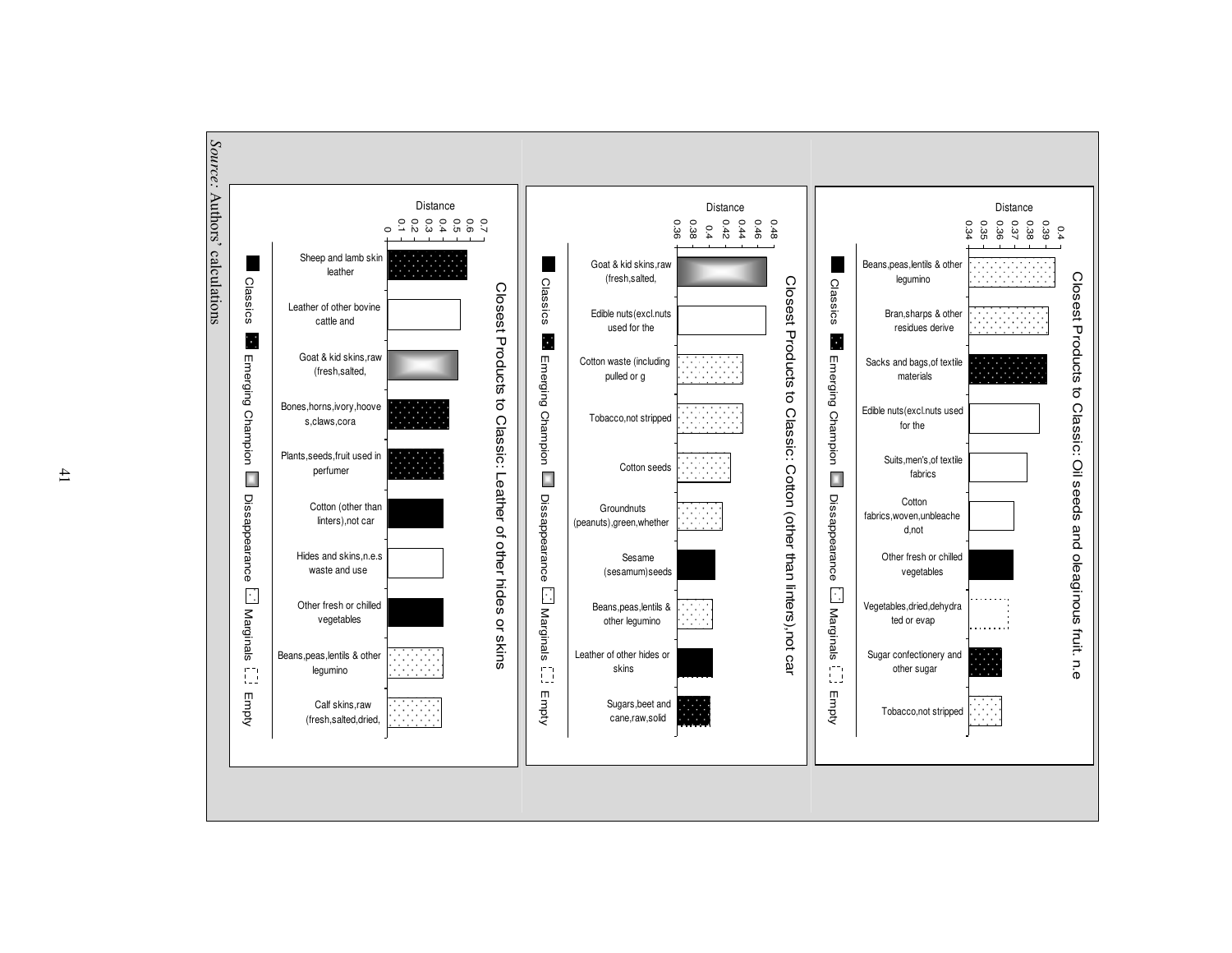

41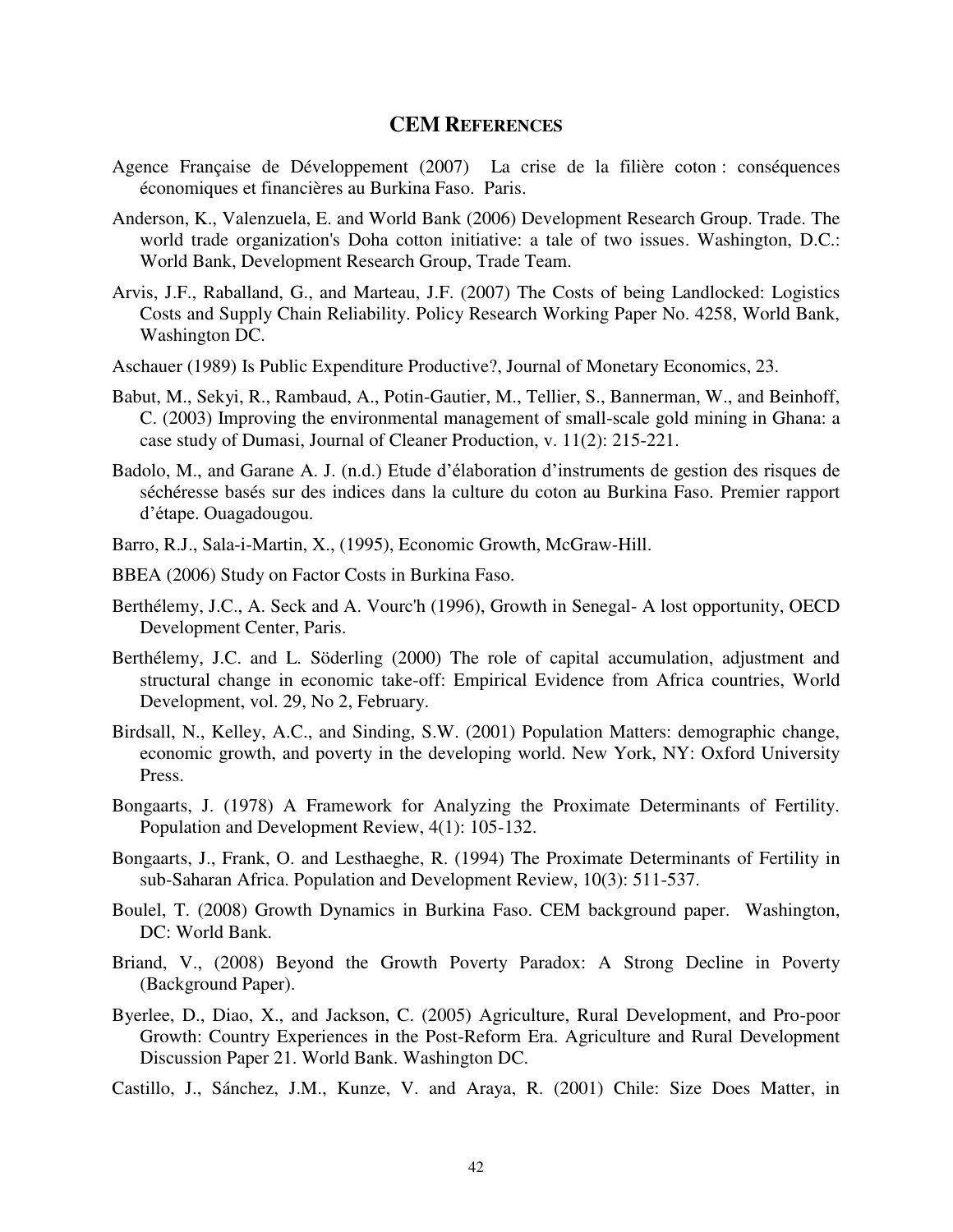#### **CEM REFERENCES**

- <span id="page-41-0"></span>Agence Française de Développement (2007) La crise de la filière coton : conséquences économiques et financières au Burkina Faso. Paris.
- Anderson, K., Valenzuela, E. and World Bank (2006) Development Research Group. Trade. The world trade organization's Doha cotton initiative: a tale of two issues. Washington, D.C.: World Bank, Development Research Group, Trade Team.
- Arvis, J.F., Raballand, G., and Marteau, J.F. (2007) The Costs of being Landlocked: Logistics Costs and Supply Chain Reliability. Policy Research Working Paper No. 4258, World Bank, Washington DC.
- Aschauer (1989) Is Public Expenditure Productive?, Journal of Monetary Economics, 23.
- Babut, M., Sekyi, R., Rambaud, A., Potin-Gautier, M., Tellier, S., Bannerman, W., and Beinhoff, C. (2003) Improving the environmental management of small-scale gold mining in Ghana: a case study of Dumasi, Journal of Cleaner Production, v. 11(2): 215-221.
- Badolo, M., and Garane A. J. (n.d.) Etude d'élaboration d'instruments de gestion des risques de séchéresse basés sur des indices dans la culture du coton au Burkina Faso. Premier rapport d'étape. Ouagadougou.
- Barro, R.J., Sala-i-Martin, X., (1995), Economic Growth, McGraw-Hill.
- BBEA (2006) Study on Factor Costs in Burkina Faso.
- Berthélemy, J.C., A. Seck and A. Vourc'h (1996), Growth in Senegal- A lost opportunity, OECD Development Center, Paris.
- Berthélemy, J.C. and L. Söderling (2000) The role of capital accumulation, adjustment and structural change in economic take-off: Empirical Evidence from Africa countries, World Development, vol. 29, No 2, February.
- Birdsall, N., Kelley, A.C., and Sinding, S.W. (2001) Population Matters: demographic change, economic growth, and poverty in the developing world. New York, NY: Oxford University Press.
- Bongaarts, J. (1978) A Framework for Analyzing the Proximate Determinants of Fertility. Population and Development Review, 4(1): 105-132.
- Bongaarts, J., Frank, O. and Lesthaeghe, R. (1994) The Proximate Determinants of Fertility in sub-Saharan Africa. Population and Development Review, 10(3): 511-537.
- Boulel, T. (2008) Growth Dynamics in Burkina Faso. CEM background paper. Washington, DC: World Bank.
- Briand, V., (2008) Beyond the Growth Poverty Paradox: A Strong Decline in Poverty (Background Paper).
- Byerlee, D., Diao, X., and Jackson, C. (2005) Agriculture, Rural Development, and Pro-poor Growth: Country Experiences in the Post-Reform Era. Agriculture and Rural Development Discussion Paper 21. World Bank. Washington DC.
- Castillo, J., Sánchez, J.M., Kunze, V. and Araya, R. (2001) Chile: Size Does Matter, in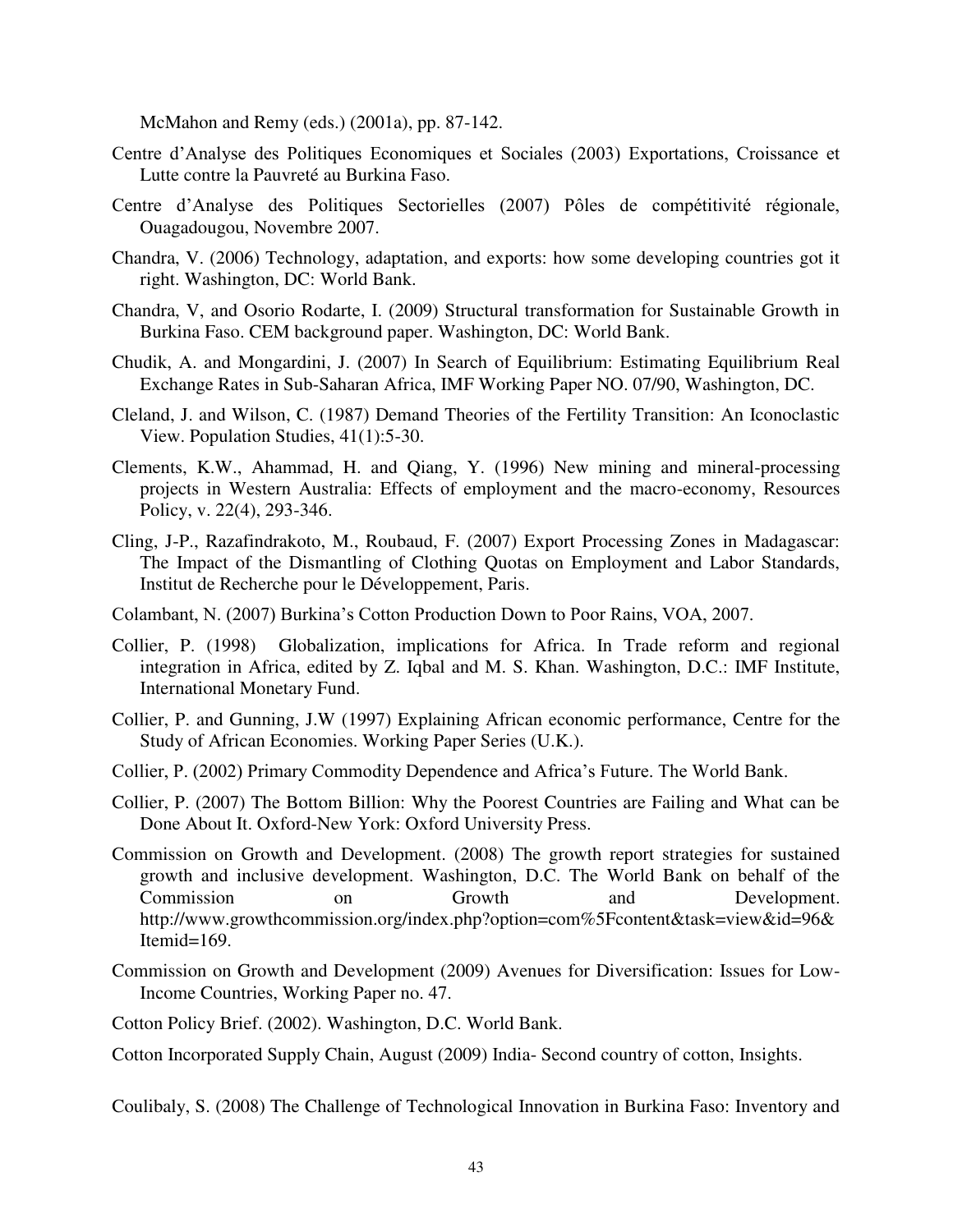McMahon and Remy (eds.) (2001a), pp. 87-142.

- Centre d'Analyse des Politiques Economiques et Sociales (2003) Exportations, Croissance et Lutte contre la Pauvreté au Burkina Faso.
- Centre d'Analyse des Politiques Sectorielles (2007) Pôles de compétitivité régionale, Ouagadougou, Novembre 2007.
- Chandra, V. (2006) Technology, adaptation, and exports: how some developing countries got it right. Washington, DC: World Bank.
- Chandra, V, and Osorio Rodarte, I. (2009) Structural transformation for Sustainable Growth in Burkina Faso. CEM background paper. Washington, DC: World Bank.
- Chudik, A. and Mongardini, J. (2007) In Search of Equilibrium: Estimating Equilibrium Real Exchange Rates in Sub-Saharan Africa, IMF Working Paper NO. 07/90, Washington, DC.
- Cleland, J. and Wilson, C. (1987) Demand Theories of the Fertility Transition: An Iconoclastic View. Population Studies, 41(1):5-30.
- Clements, K.W., Ahammad, H. and Qiang, Y. (1996) New mining and mineral-processing projects in Western Australia: Effects of employment and the macro-economy, Resources Policy, v. 22(4), 293-346.
- Cling, J-P., Razafindrakoto, M., Roubaud, F. (2007) Export Processing Zones in Madagascar: The Impact of the Dismantling of Clothing Quotas on Employment and Labor Standards, Institut de Recherche pour le Développement, Paris.
- Colambant, N. (2007) Burkina's Cotton Production Down to Poor Rains, VOA, 2007.
- Collier, P. (1998) Globalization, implications for Africa. In Trade reform and regional integration in Africa, edited by Z. Iqbal and M. S. Khan. Washington, D.C.: IMF Institute, International Monetary Fund.
- Collier, P. and Gunning, J.W (1997) Explaining African economic performance, Centre for the Study of African Economies. Working Paper Series (U.K.).
- Collier, P. (2002) Primary Commodity Dependence and Africa's Future. The World Bank.
- Collier, P. (2007) The Bottom Billion: Why the Poorest Countries are Failing and What can be Done About It. Oxford-New York: Oxford University Press.
- Commission on Growth and Development. (2008) The growth report strategies for sustained growth and inclusive development. Washington, D.C. The World Bank on behalf of the Commission on Growth and Development. http://www.growthcommission.org/index.php?option=com%5Fcontent&task=view&id=96& Itemid $=169$ .
- Commission on Growth and Development (2009) Avenues for Diversification: Issues for Low-Income Countries, Working Paper no. 47.
- Cotton Policy Brief. (2002). Washington, D.C. World Bank.

Cotton Incorporated Supply Chain, August (2009) India- Second country of cotton, Insights.

Coulibaly, S. (2008) The Challenge of Technological Innovation in Burkina Faso: Inventory and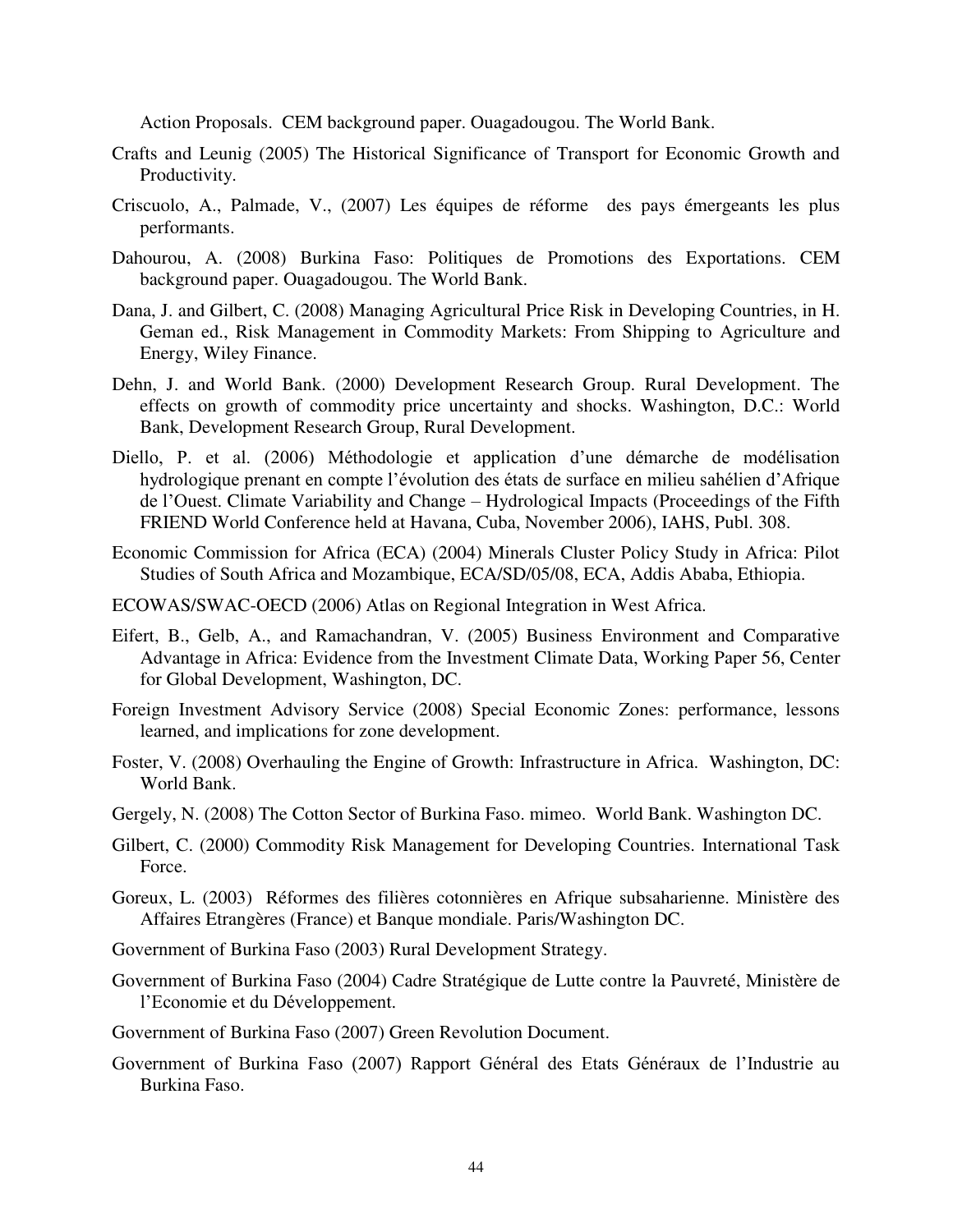Action Proposals. CEM background paper. Ouagadougou. The World Bank.

- Crafts and Leunig (2005) The Historical Significance of Transport for Economic Growth and Productivity.
- Criscuolo, A., Palmade, V., (2007) Les équipes de réforme des pays émergeants les plus performants.
- Dahourou, A. (2008) Burkina Faso: Politiques de Promotions des Exportations. CEM background paper. Ouagadougou. The World Bank.
- Dana, J. and Gilbert, C. (2008) Managing Agricultural Price Risk in Developing Countries, in H. Geman ed., Risk Management in Commodity Markets: From Shipping to Agriculture and Energy, Wiley Finance.
- Dehn, J. and World Bank. (2000) Development Research Group. Rural Development. The effects on growth of commodity price uncertainty and shocks. Washington, D.C.: World Bank, Development Research Group, Rural Development.
- Diello, P. et al. (2006) Méthodologie et application d'une démarche de modélisation hydrologique prenant en compte l'évolution des états de surface en milieu sahélien d'Afrique de l'Ouest. Climate Variability and Change – Hydrological Impacts (Proceedings of the Fifth FRIEND World Conference held at Havana, Cuba, November 2006), IAHS, Publ. 308.
- Economic Commission for Africa (ECA) (2004) Minerals Cluster Policy Study in Africa: Pilot Studies of South Africa and Mozambique, ECA/SD/05/08, ECA, Addis Ababa, Ethiopia.
- ECOWAS/SWAC-OECD (2006) Atlas on Regional Integration in West Africa.
- Eifert, B., Gelb, A., and Ramachandran, V. (2005) Business Environment and Comparative Advantage in Africa: Evidence from the Investment Climate Data, Working Paper 56, Center for Global Development, Washington, DC.
- Foreign Investment Advisory Service (2008) Special Economic Zones: performance, lessons learned, and implications for zone development.
- Foster, V. (2008) Overhauling the Engine of Growth: Infrastructure in Africa. Washington, DC: World Bank.
- Gergely, N. (2008) The Cotton Sector of Burkina Faso. mimeo. World Bank. Washington DC.
- Gilbert, C. (2000) Commodity Risk Management for Developing Countries. International Task Force.
- Goreux, L. (2003) Réformes des filières cotonnières en Afrique subsaharienne. Ministère des Affaires Etrangères (France) et Banque mondiale. Paris/Washington DC.
- Government of Burkina Faso (2003) Rural Development Strategy.
- Government of Burkina Faso (2004) Cadre Stratégique de Lutte contre la Pauvreté, Ministère de l'Economie et du Développement.
- Government of Burkina Faso (2007) Green Revolution Document.
- Government of Burkina Faso (2007) Rapport Général des Etats Généraux de l'Industrie au Burkina Faso.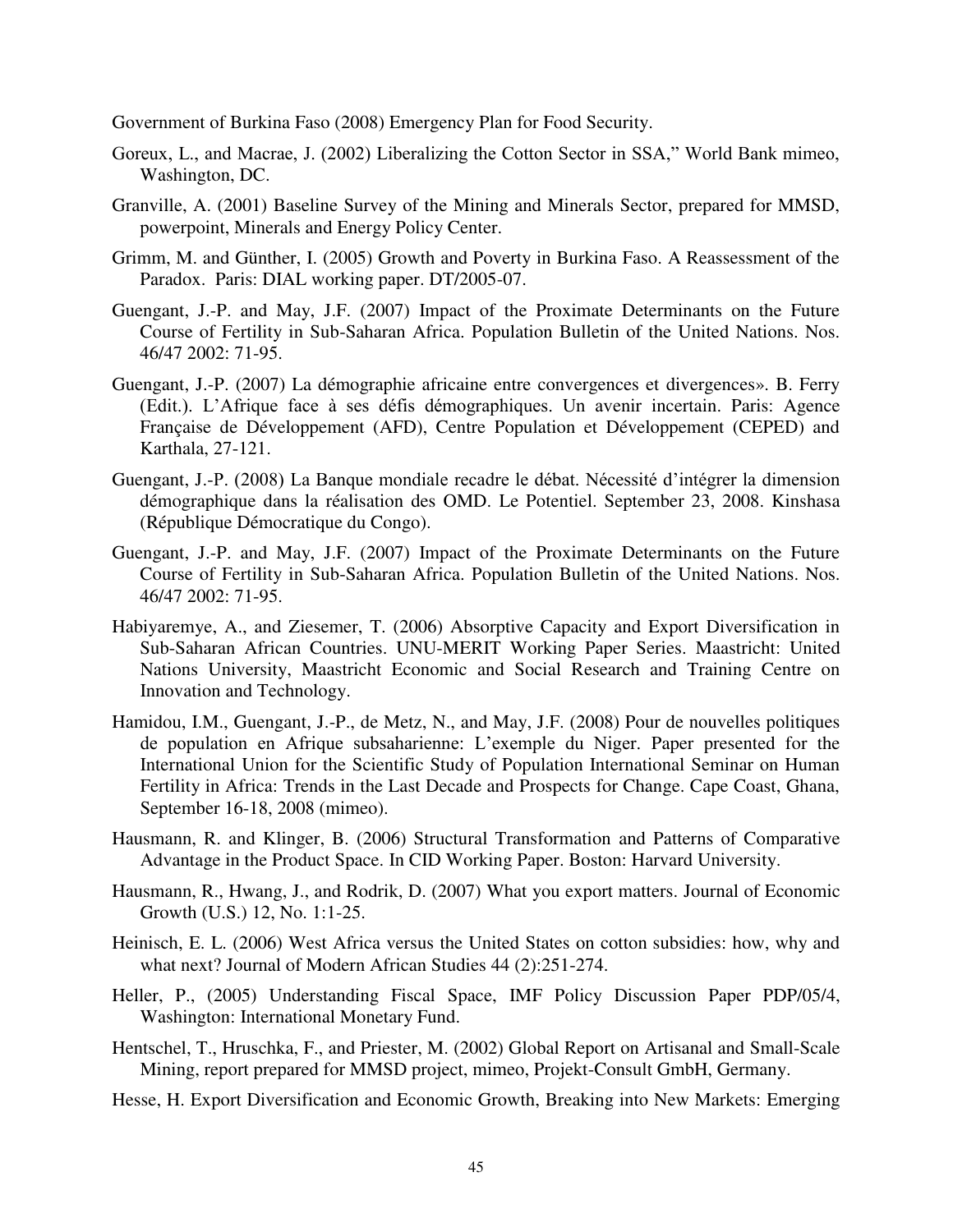Government of Burkina Faso (2008) Emergency Plan for Food Security.

- Goreux, L., and Macrae, J. (2002) Liberalizing the Cotton Sector in SSA," World Bank mimeo, Washington, DC.
- Granville, A. (2001) Baseline Survey of the Mining and Minerals Sector, prepared for MMSD, powerpoint, Minerals and Energy Policy Center.
- Grimm, M. and Günther, I. (2005) Growth and Poverty in Burkina Faso. A Reassessment of the Paradox. Paris: DIAL working paper. DT/2005-07.
- Guengant, J.-P. and May, J.F. (2007) Impact of the Proximate Determinants on the Future Course of Fertility in Sub-Saharan Africa. Population Bulletin of the United Nations. Nos. 46/47 2002: 71-95.
- Guengant, J.-P. (2007) La démographie africaine entre convergences et divergences». B. Ferry (Edit.). L'Afrique face à ses défis démographiques. Un avenir incertain. Paris: Agence Française de Développement (AFD), Centre Population et Développement (CEPED) and Karthala, 27-121.
- Guengant, J.-P. (2008) La Banque mondiale recadre le débat. Nécessité d'intégrer la dimension démographique dans la réalisation des OMD. Le Potentiel. September 23, 2008. Kinshasa (République Démocratique du Congo).
- Guengant, J.-P. and May, J.F. (2007) Impact of the Proximate Determinants on the Future Course of Fertility in Sub-Saharan Africa. Population Bulletin of the United Nations. Nos. 46/47 2002: 71-95.
- Habiyaremye, A., and Ziesemer, T. (2006) Absorptive Capacity and Export Diversification in Sub-Saharan African Countries. UNU-MERIT Working Paper Series. Maastricht: United Nations University, Maastricht Economic and Social Research and Training Centre on Innovation and Technology.
- Hamidou, I.M., Guengant, J.-P., de Metz, N., and May, J.F. (2008) Pour de nouvelles politiques de population en Afrique subsaharienne: L'exemple du Niger. Paper presented for the International Union for the Scientific Study of Population International Seminar on Human Fertility in Africa: Trends in the Last Decade and Prospects for Change. Cape Coast, Ghana, September 16-18, 2008 (mimeo).
- Hausmann, R. and Klinger, B. (2006) Structural Transformation and Patterns of Comparative Advantage in the Product Space. In CID Working Paper. Boston: Harvard University.
- Hausmann, R., Hwang, J., and Rodrik, D. (2007) What you export matters. Journal of Economic Growth (U.S.) 12, No. 1:1-25.
- Heinisch, E. L. (2006) West Africa versus the United States on cotton subsidies: how, why and what next? Journal of Modern African Studies 44 (2):251-274.
- Heller, P., (2005) Understanding Fiscal Space, IMF Policy Discussion Paper PDP/05/4, Washington: International Monetary Fund.
- Hentschel, T., Hruschka, F., and Priester, M. (2002) Global Report on Artisanal and Small-Scale Mining, report prepared for MMSD project, mimeo, Projekt-Consult GmbH, Germany.
- Hesse, H. Export Diversification and Economic Growth, Breaking into New Markets: Emerging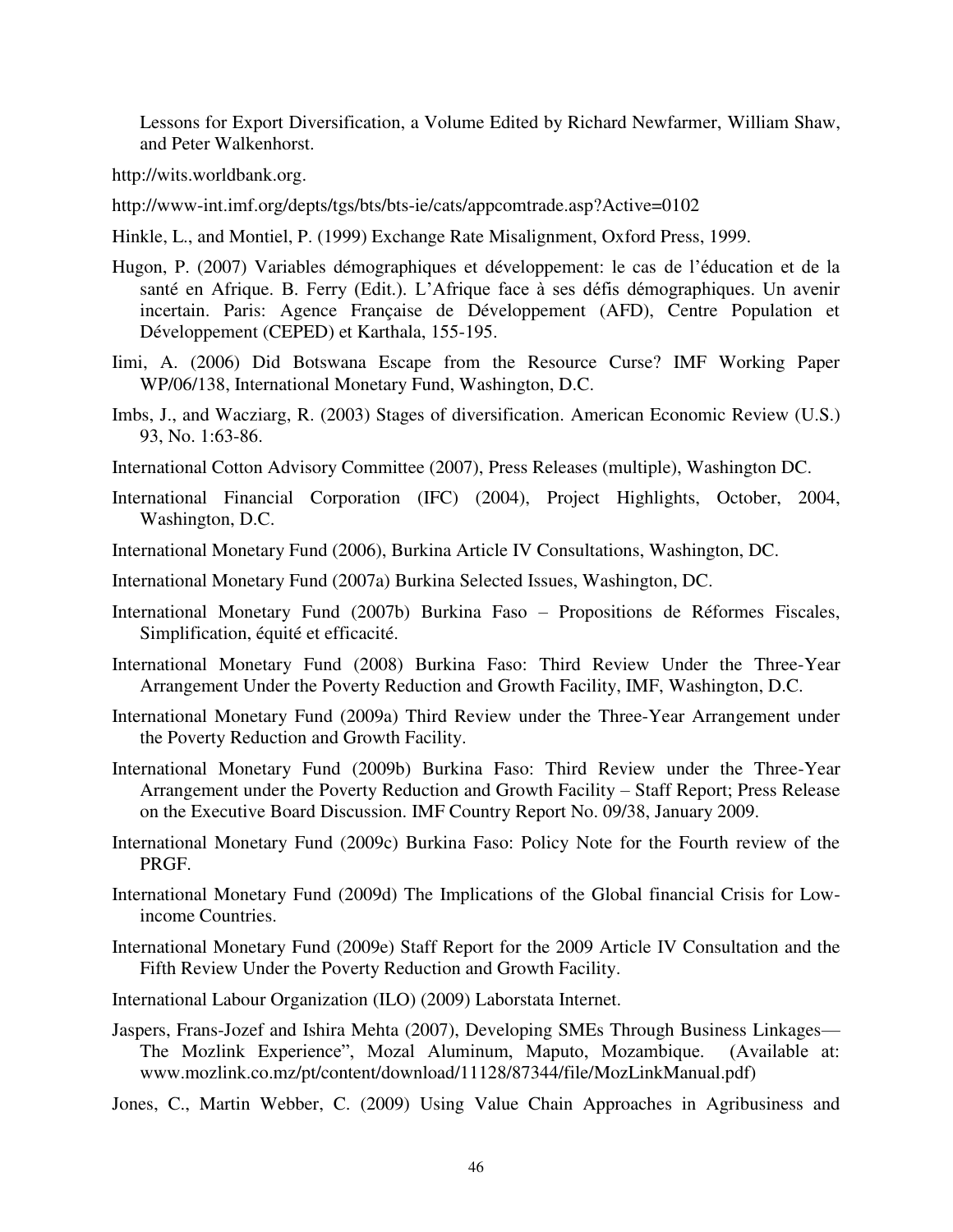Lessons for Export Diversification, a Volume Edited by Richard Newfarmer, William Shaw, and Peter Walkenhorst.

[http://wits.worldbank.org.](http://wits.worldbank.org/)

<http://www-int.imf.org/depts/tgs/bts/bts-ie/cats/appcomtrade.asp?Active=0102>

- Hinkle, L., and Montiel, P. (1999) Exchange Rate Misalignment, Oxford Press, 1999.
- Hugon, P. (2007) Variables démographiques et développement: le cas de l'éducation et de la santé en Afrique. B. Ferry (Edit.). L'Afrique face à ses défis démographiques. Un avenir incertain. Paris: Agence Française de Développement (AFD), Centre Population et Développement (CEPED) et Karthala, 155-195.
- Iimi, A. (2006) Did Botswana Escape from the Resource Curse? IMF Working Paper WP/06/138, International Monetary Fund, Washington, D.C.
- Imbs, J., and Wacziarg, R. (2003) Stages of diversification. American Economic Review (U.S.) 93, No. 1:63-86.
- International Cotton Advisory Committee (2007), Press Releases (multiple), Washington DC.
- International Financial Corporation (IFC) (2004), Project Highlights, October, 2004, Washington, D.C.
- International Monetary Fund (2006), Burkina Article IV Consultations, Washington, DC.
- International Monetary Fund (2007a) Burkina Selected Issues, Washington, DC.
- International Monetary Fund (2007b) Burkina Faso Propositions de Réformes Fiscales, Simplification, équité et efficacité.
- International Monetary Fund (2008) Burkina Faso: Third Review Under the Three-Year Arrangement Under the Poverty Reduction and Growth Facility, IMF, Washington, D.C.
- International Monetary Fund (2009a) Third Review under the Three-Year Arrangement under the Poverty Reduction and Growth Facility.
- International Monetary Fund (2009b) Burkina Faso: Third Review under the Three-Year Arrangement under the Poverty Reduction and Growth Facility – Staff Report; Press Release on the Executive Board Discussion. IMF Country Report No. 09/38, January 2009.
- International Monetary Fund (2009c) Burkina Faso: Policy Note for the Fourth review of the PRGF.
- International Monetary Fund (2009d) The Implications of the Global financial Crisis for Lowincome Countries.
- International Monetary Fund (2009e) Staff Report for the 2009 Article IV Consultation and the Fifth Review Under the Poverty Reduction and Growth Facility.
- International Labour Organization (ILO) (2009) Laborstata Internet.
- Jaspers, Frans-Jozef and Ishira Mehta (2007), Developing SMEs Through Business Linkages— The Mozlink Experience", Mozal Aluminum, Maputo, Mozambique. (Available at: [www.mozlink.co.mz/pt/content/download/11128/87344/file/MozLinkManual.pdf\)](http://www.mozlink.co.mz/pt/content/download/11128/87344/file/MozLinkManual.pdf)
- Jones, C., Martin Webber, C. (2009) Using Value Chain Approaches in Agribusiness and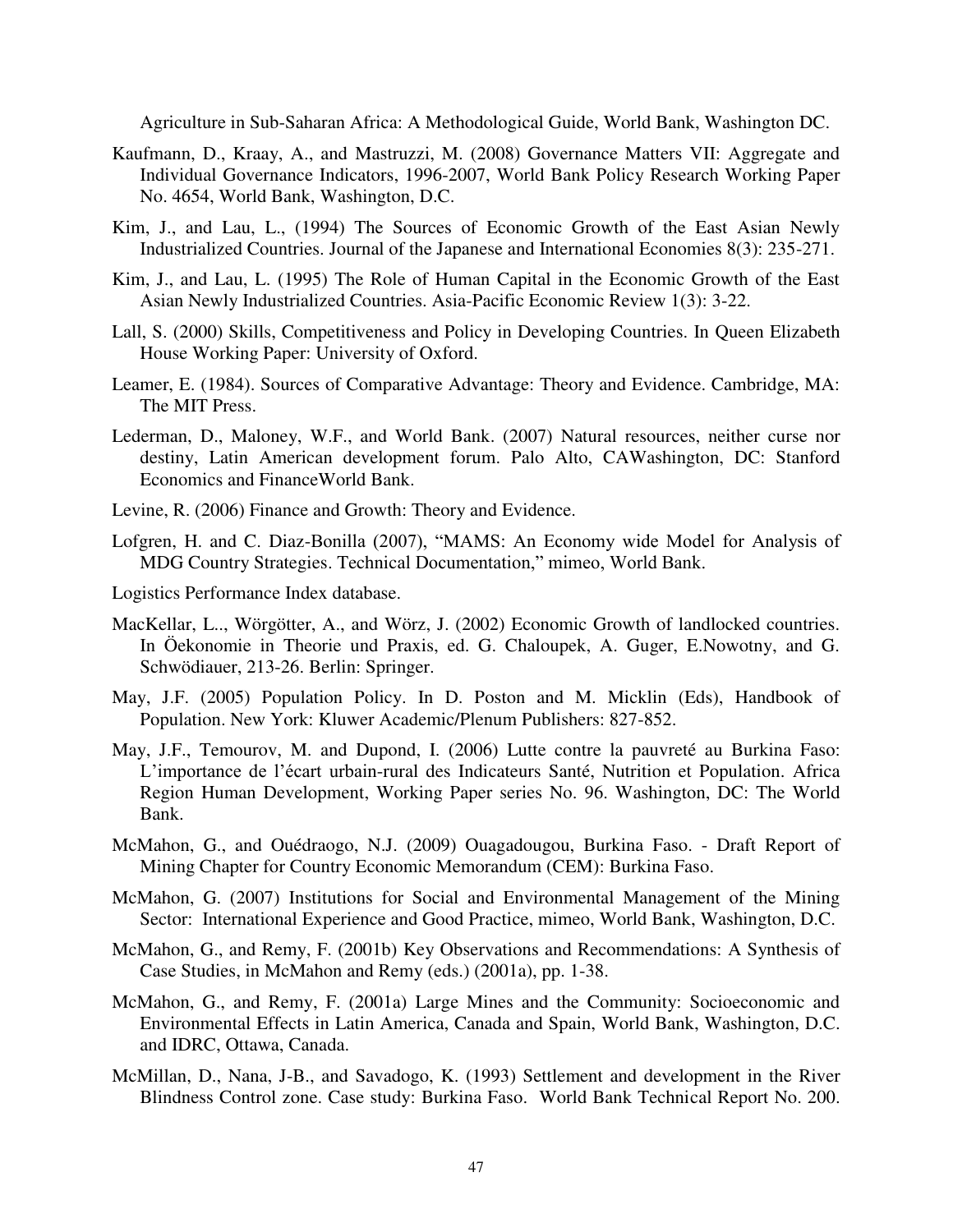Agriculture in Sub-Saharan Africa: A Methodological Guide, World Bank, Washington DC.

- Kaufmann, D., Kraay, A., and [Mastruzzi, M. \(](http://papers.ssrn.com/sol3/cf_dev/AbsByAuth.cfm?per_id=332182)2008) Governance Matters VII: Aggregate and Individual Governance Indicators, 1996-2007, [World Bank Policy Research Working Paper](http://papers.ssrn.com/sol3/papers.cfm?abstract_id=1148386)  [No. 4654,](http://papers.ssrn.com/sol3/papers.cfm?abstract_id=1148386) World Bank, Washington, D.C.
- Kim, J., and Lau, L., (1994) The Sources of Economic Growth of the East Asian Newly Industrialized Countries. Journal of the Japanese and International Economies 8(3): 235-271.
- Kim, J., and Lau, L. (1995) The Role of Human Capital in the Economic Growth of the East Asian Newly Industrialized Countries. Asia-Pacific Economic Review 1(3): 3-22.
- Lall, S. (2000) Skills, Competitiveness and Policy in Developing Countries. In Queen Elizabeth House Working Paper: University of Oxford.
- Leamer, E. (1984). Sources of Comparative Advantage: Theory and Evidence. Cambridge, MA: The MIT Press.
- Lederman, D., Maloney, W.F., and World Bank. (2007) Natural resources, neither curse nor destiny, Latin American development forum. Palo Alto, CAWashington, DC: Stanford Economics and FinanceWorld Bank.
- Levine, R. (2006) Finance and Growth: Theory and Evidence.
- Lofgren, H. and C. Diaz-Bonilla (2007), "MAMS: An Economy wide Model for Analysis of MDG Country Strategies. Technical Documentation," mimeo, World Bank.
- Logistics Performance Index database.
- MacKellar, L.., Wörgötter, A., and Wörz, J. (2002) Economic Growth of landlocked countries. In Öekonomie in Theorie und Praxis, ed. G. Chaloupek, A. Guger, E.Nowotny, and G. Schwödiauer, 213-26. Berlin: Springer.
- May, J.F. (2005) Population Policy. In D. Poston and M. Micklin (Eds), Handbook of Population. New York: Kluwer Academic/Plenum Publishers: 827-852.
- May, J.F., Temourov, M. and Dupond, I. (2006) Lutte contre la pauvreté au Burkina Faso: L'importance de l'écart urbain-rural des Indicateurs Santé, Nutrition et Population. Africa Region Human Development, Working Paper series No. 96. Washington, DC: The World Bank.
- McMahon, G., and Ouédraogo, N.J. (2009) Ouagadougou, Burkina Faso. Draft Report of Mining Chapter for Country Economic Memorandum (CEM): Burkina Faso.
- McMahon, G. (2007) Institutions for Social and Environmental Management of the Mining Sector: International Experience and Good Practice, mimeo, World Bank, Washington, D.C.
- McMahon, G., and Remy, F. (2001b) Key Observations and Recommendations: A Synthesis of Case Studies, in McMahon and Remy (eds.) (2001a), pp. 1-38.
- McMahon, G., and Remy, F. (2001a) Large Mines and the Community: Socioeconomic and Environmental Effects in Latin America, Canada and Spain, World Bank, Washington, D.C. and IDRC, Ottawa, Canada.
- McMillan, D., Nana, J-B., and Savadogo, K. (1993) Settlement and development in the River Blindness Control zone. Case study: Burkina Faso. World Bank Technical Report No. 200.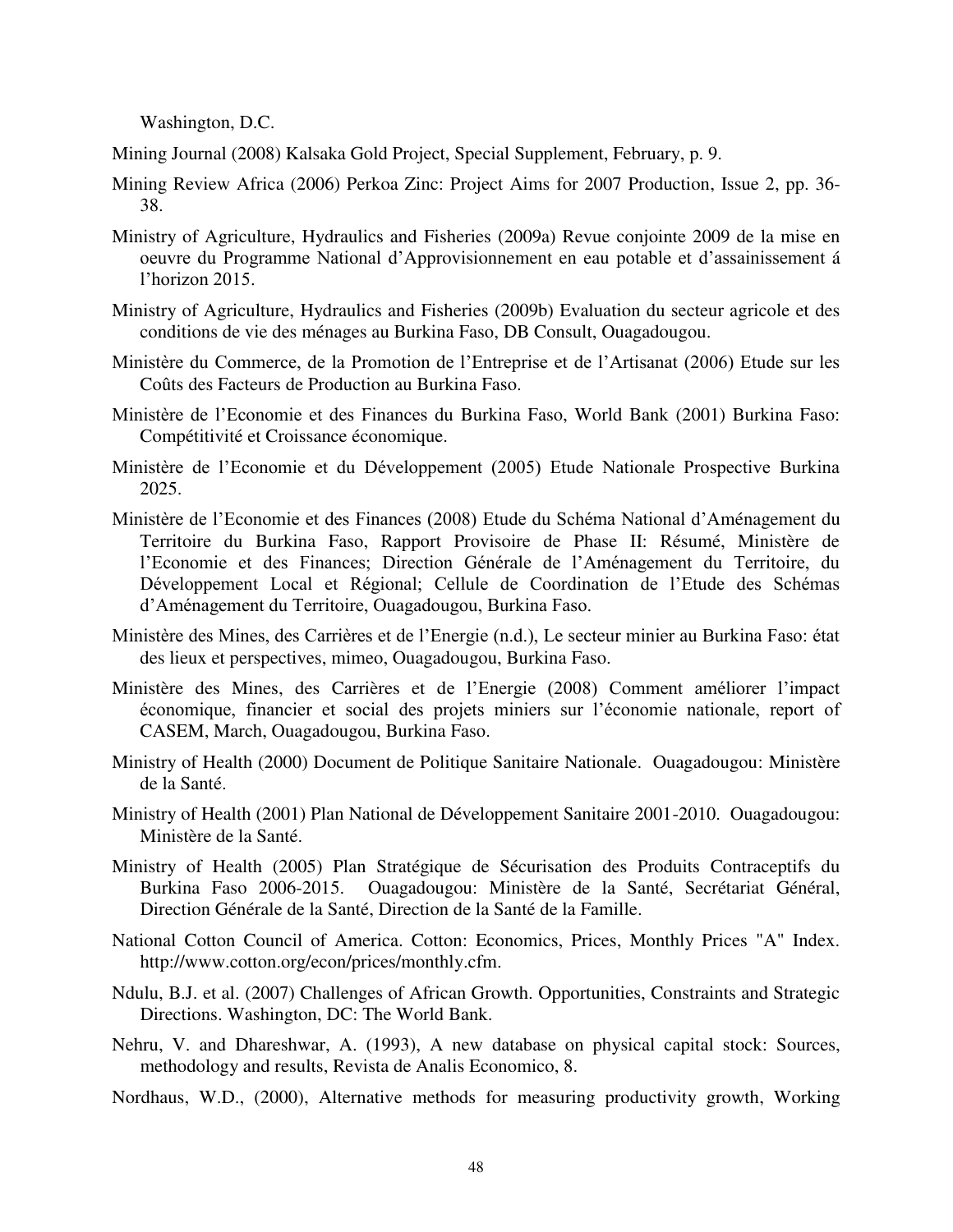Washington, D.C.

Mining Journal (2008) Kalsaka Gold Project, Special Supplement, February, p. 9.

- Mining Review Africa (2006) Perkoa Zinc: Project Aims for 2007 Production, Issue 2, pp. 36- 38.
- Ministry of Agriculture, Hydraulics and Fisheries (2009a) Revue conjointe 2009 de la mise en oeuvre du Programme National d'Approvisionnement en eau potable et d'assainissement á l'horizon 2015.
- Ministry of Agriculture, Hydraulics and Fisheries (2009b) Evaluation du secteur agricole et des conditions de vie des ménages au Burkina Faso, DB Consult, Ouagadougou.
- Ministère du Commerce, de la Promotion de l'Entreprise et de l'Artisanat (2006) Etude sur les Coûts des Facteurs de Production au Burkina Faso.
- Ministère de l'Economie et des Finances du Burkina Faso, World Bank (2001) Burkina Faso: Compétitivité et Croissance économique.
- Ministère de l'Economie et du Développement (2005) Etude Nationale Prospective Burkina 2025.
- Ministère de l'Economie et des Finances (2008) Etude du Schéma National d'Aménagement du Territoire du Burkina Faso, Rapport Provisoire de Phase II: Résumé, Ministère de l'Economie et des Finances; Direction Générale de l'Aménagement du Territoire, du Développement Local et Régional; Cellule de Coordination de l'Etude des Schémas d'Aménagement du Territoire, Ouagadougou, Burkina Faso.
- Ministère des Mines, des Carrières et de l'Energie (n.d.), Le secteur minier au Burkina Faso: état des lieux et perspectives, mimeo, Ouagadougou, Burkina Faso.
- Ministère des Mines, des Carrières et de l'Energie (2008) Comment améliorer l'impact économique, financier et social des projets miniers sur l'économie nationale, report of CASEM, March, Ouagadougou, Burkina Faso.
- Ministry of Health (2000) Document de Politique Sanitaire Nationale. Ouagadougou: Ministère de la Santé.
- Ministry of Health (2001) Plan National de Développement Sanitaire 2001-2010. Ouagadougou: Ministère de la Santé.
- Ministry of Health (2005) Plan Stratégique de Sécurisation des Produits Contraceptifs du Burkina Faso 2006-2015. Ouagadougou: Ministère de la Santé, Secrétariat Général, Direction Générale de la Santé, Direction de la Santé de la Famille.
- National Cotton Council of America. Cotton: Economics, Prices, Monthly Prices "A" Index. http://www.cotton.org/econ/prices/monthly.cfm.
- Ndulu, B.J. et al. (2007) Challenges of African Growth. Opportunities, Constraints and Strategic Directions. Washington, DC: The World Bank.
- Nehru, V. and Dhareshwar, A. (1993), A new database on physical capital stock: Sources, methodology and results, Revista de Analis Economico, 8.
- Nordhaus, W.D., (2000), Alternative methods for measuring productivity growth, Working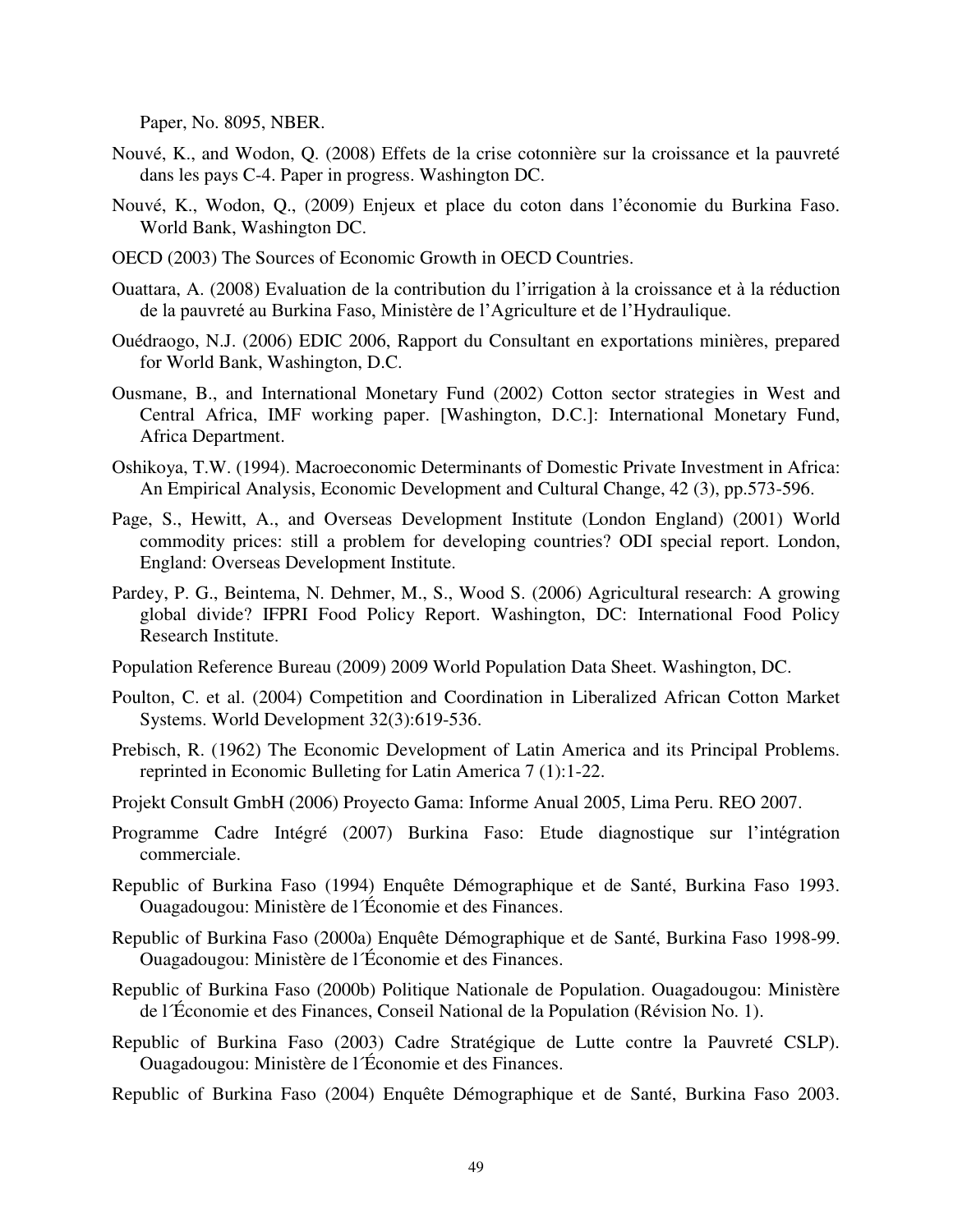Paper, No. 8095, NBER.

- Nouvé, K., and Wodon, Q. (2008) Effets de la crise cotonnière sur la croissance et la pauvreté dans les pays C-4. Paper in progress. Washington DC.
- Nouvé, K., Wodon, Q., (2009) Enjeux et place du coton dans l'économie du Burkina Faso. World Bank, Washington DC.
- OECD (2003) The Sources of Economic Growth in OECD Countries.
- Ouattara, A. (2008) Evaluation de la contribution du l'irrigation à la croissance et à la réduction de la pauvreté au Burkina Faso, Ministère de l'Agriculture et de l'Hydraulique.
- Ouédraogo, N.J. (2006) EDIC 2006, Rapport du Consultant en exportations minières, prepared for World Bank, Washington, D.C.
- Ousmane, B., and International Monetary Fund (2002) Cotton sector strategies in West and Central Africa, IMF working paper. [Washington, D.C.]: International Monetary Fund, Africa Department.
- Oshikoya, T.W. (1994). Macroeconomic Determinants of Domestic Private Investment in Africa: An Empirical Analysis, Economic Development and Cultural Change, 42 (3), pp.573-596.
- Page, S., Hewitt, A., and Overseas Development Institute (London England) (2001) World commodity prices: still a problem for developing countries? ODI special report. London, England: Overseas Development Institute.
- Pardey, P. G., Beintema, N. Dehmer, M., S., Wood S. (2006) Agricultural research: A growing global divide? IFPRI Food Policy Report. Washington, DC: International Food Policy Research Institute.
- Population Reference Bureau (2009) 2009 World Population Data Sheet. Washington, DC.
- Poulton, C. et al. (2004) Competition and Coordination in Liberalized African Cotton Market Systems. World Development 32(3):619-536.
- Prebisch, R. (1962) The Economic Development of Latin America and its Principal Problems. reprinted in Economic Bulleting for Latin America 7 (1):1-22.
- Projekt Consult GmbH (2006) Proyecto Gama: Informe Anual 2005, Lima Peru. REO 2007.
- Programme Cadre Intégré (2007) Burkina Faso: Etude diagnostique sur l'intégration commerciale.
- Republic of Burkina Faso (1994) Enquête Démographique et de Santé, Burkina Faso 1993. Ouagadougou: Ministère de l´Économie et des Finances.
- Republic of Burkina Faso (2000a) Enquête Démographique et de Santé, Burkina Faso 1998-99. Ouagadougou: Ministère de l´Économie et des Finances.
- Republic of Burkina Faso (2000b) Politique Nationale de Population. Ouagadougou: Ministère de l´Économie et des Finances, Conseil National de la Population (Révision No. 1).
- Republic of Burkina Faso (2003) Cadre Stratégique de Lutte contre la Pauvreté CSLP). Ouagadougou: Ministère de l´Économie et des Finances.
- Republic of Burkina Faso (2004) Enquête Démographique et de Santé, Burkina Faso 2003.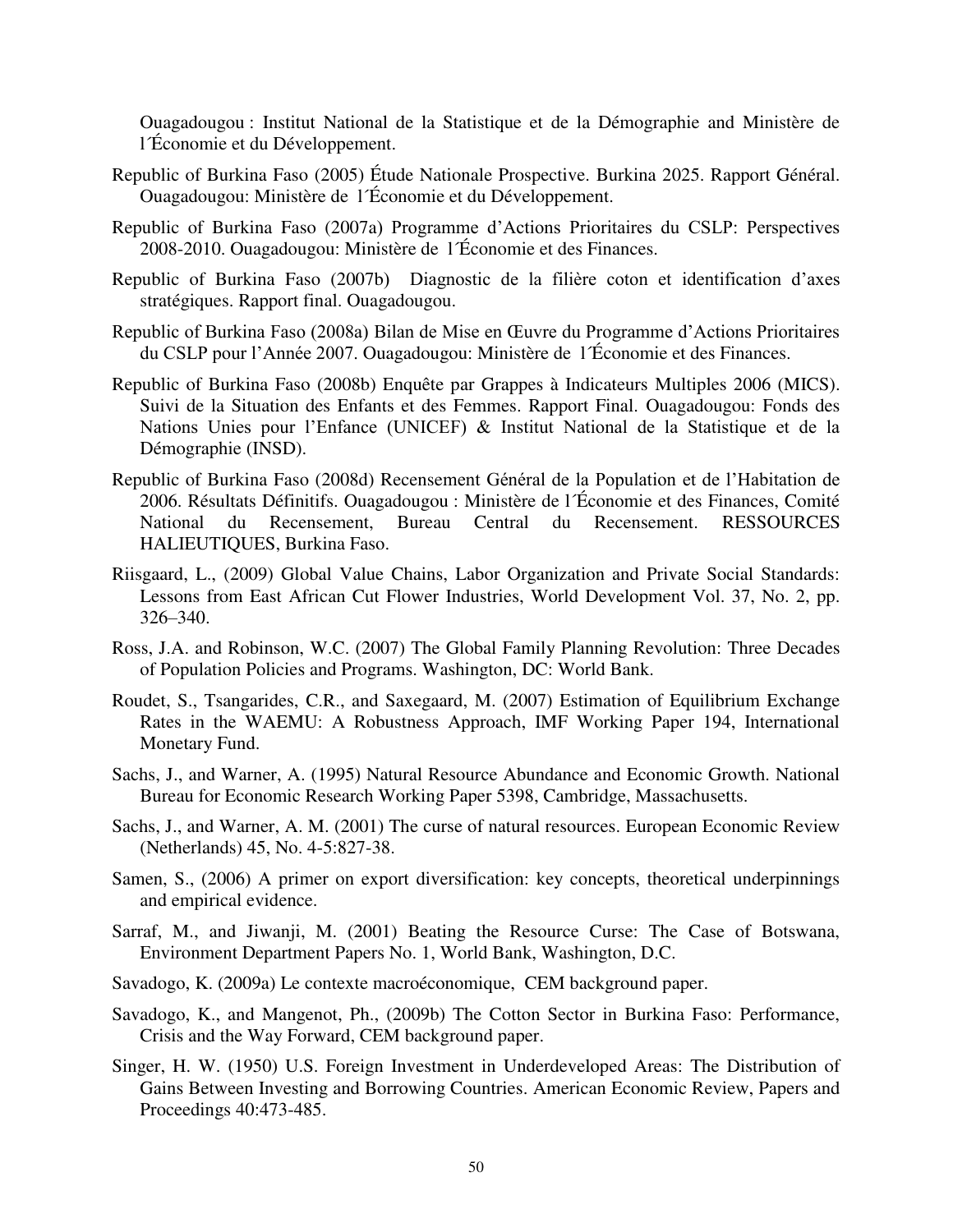Ouagadougou : Institut National de la Statistique et de la Démographie and Ministère de l´Économie et du Développement.

- Republic of Burkina Faso (2005) Étude Nationale Prospective. Burkina 2025. Rapport Général. Ouagadougou: Ministère de l´Économie et du Développement.
- Republic of Burkina Faso (2007a) Programme d'Actions Prioritaires du CSLP: Perspectives 2008-2010. Ouagadougou: Ministère de l´Économie et des Finances.
- Republic of Burkina Faso (2007b) Diagnostic de la filière coton et identification d'axes stratégiques. Rapport final. Ouagadougou.
- Republic of Burkina Faso (2008a) Bilan de Mise en Œuvre du Programme d'Actions Prioritaires du CSLP pour l'Année 2007. Ouagadougou: Ministère de l´Économie et des Finances.
- Republic of Burkina Faso (2008b) Enquête par Grappes à Indicateurs Multiples 2006 (MICS). Suivi de la Situation des Enfants et des Femmes. Rapport Final. Ouagadougou: Fonds des Nations Unies pour l'Enfance (UNICEF) & Institut National de la Statistique et de la Démographie (INSD).
- Republic of Burkina Faso (2008d) Recensement Général de la Population et de l'Habitation de 2006. Résultats Définitifs. Ouagadougou : Ministère de l´Économie et des Finances, Comité National du Recensement, Bureau Central du Recensement. RESSOURCES HALIEUTIQUES, Burkina Faso.
- Riisgaard, L., (2009) Global Value Chains, Labor Organization and Private Social Standards: Lessons from East African Cut Flower Industries, World Development Vol. 37, No. 2, pp. 326–340.
- Ross, J.A. and Robinson, W.C. (2007) The Global Family Planning Revolution: Three Decades of Population Policies and Programs. Washington, DC: World Bank.
- Roudet, S., Tsangarides, C.R., and Saxegaard, M. (2007) Estimation of Equilibrium Exchange Rates in the WAEMU: A Robustness Approach, IMF Working Paper 194, International Monetary Fund.
- Sachs, J., and Warner, A. (1995) Natural Resource Abundance and Economic Growth. National Bureau for Economic Research Working Paper 5398, Cambridge, Massachusetts.
- Sachs, J., and Warner, A. M. (2001) The curse of natural resources. European Economic Review (Netherlands) 45, No. 4-5:827-38.
- Samen, S., (2006) A primer on export diversification: key concepts, theoretical underpinnings and empirical evidence.
- Sarraf, M., and Jiwanji, M. (2001) Beating the Resource Curse: The Case of Botswana, Environment Department Papers No. 1, World Bank, Washington, D.C.
- Savadogo, K. (2009a) Le contexte macroéconomique, CEM background paper.
- Savadogo, K., and Mangenot, Ph., (2009b) The Cotton Sector in Burkina Faso: Performance, Crisis and the Way Forward, CEM background paper.
- Singer, H. W. (1950) U.S. Foreign Investment in Underdeveloped Areas: The Distribution of Gains Between Investing and Borrowing Countries. American Economic Review, Papers and Proceedings 40:473-485.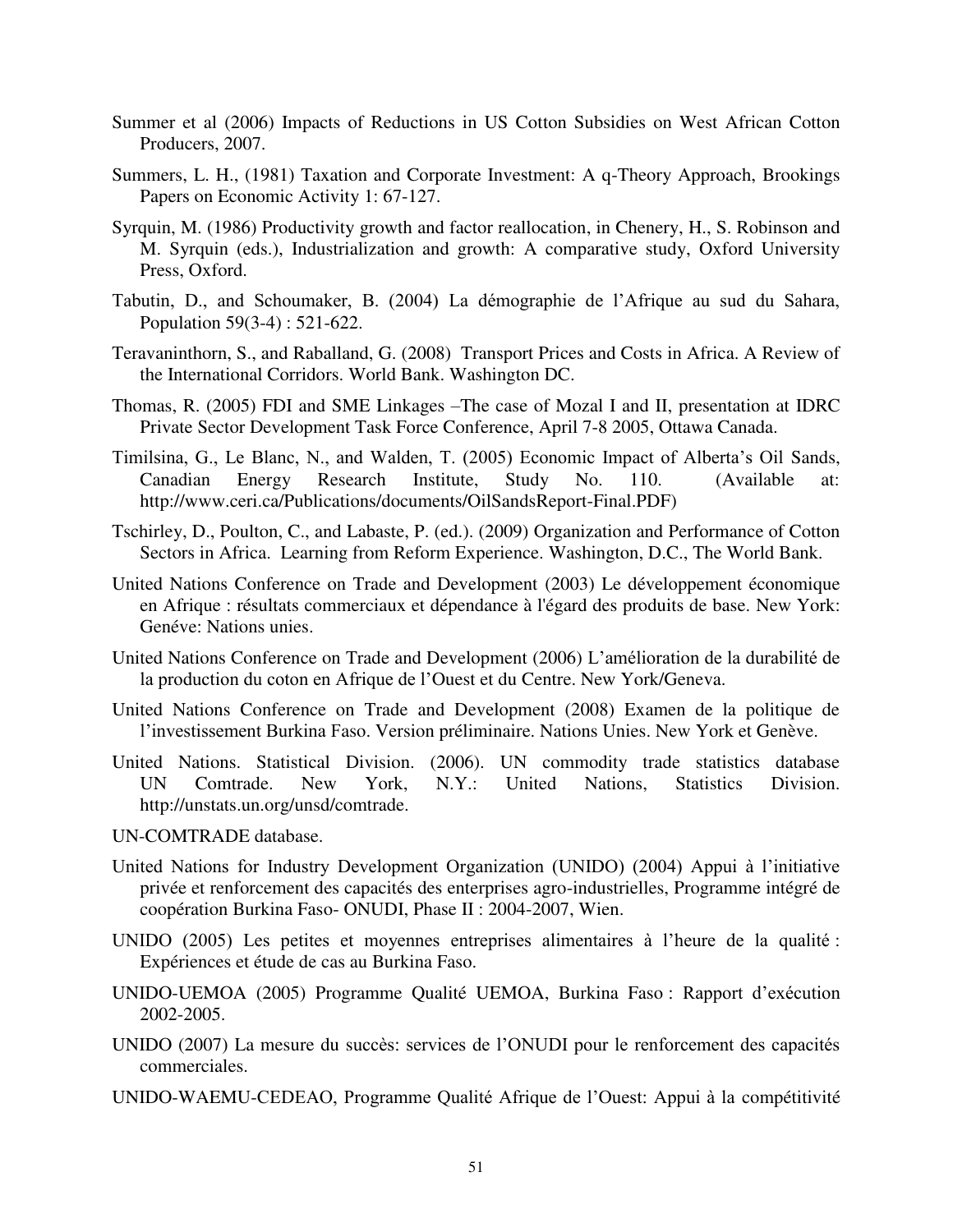- Summer et al (2006) Impacts of Reductions in US Cotton Subsidies on West African Cotton Producers, 2007.
- Summers, L. H., (1981) Taxation and Corporate Investment: A q-Theory Approach, Brookings Papers on Economic Activity 1: 67-127.
- Syrquin, M. (1986) Productivity growth and factor reallocation, in Chenery, H., S. Robinson and M. Syrquin (eds.), Industrialization and growth: A comparative study, Oxford University Press, Oxford.
- Tabutin, D., and Schoumaker, B. (2004) La démographie de l'Afrique au sud du Sahara, Population 59(3-4) : 521-622.
- Teravaninthorn, S., and Raballand, G. (2008) Transport Prices and Costs in Africa. A Review of the International Corridors. World Bank. Washington DC.
- Thomas, R. (2005) FDI and SME Linkages –The case of Mozal I and II, presentation at IDRC Private Sector Development Task Force Conference, April 7-8 2005, Ottawa Canada.
- Timilsina, G., Le Blanc, N., and Walden, T. (2005) Economic Impact of Alberta's Oil Sands, Canadian Energy Research Institute, Study No. 110. (Available at: [http://www.ceri.ca/Publications/documents/OilSandsReport-Final.PDF\)](http://www.ceri.ca/Publications/documents/OilSandsReport-Final.PDF)
- Tschirley, D., Poulton, C., and Labaste, P. (ed.). (2009) Organization and Performance of Cotton Sectors in Africa. Learning from Reform Experience. Washington, D.C., The World Bank.
- United Nations Conference on Trade and Development (2003) Le développement économique en Afrique : résultats commerciaux et dépendance à l'égard des produits de base. New York: Genéve: Nations unies.
- United Nations Conference on Trade and Development (2006) L'amélioration de la durabilité de la production du coton en Afrique de l'Ouest et du Centre. New York/Geneva.
- United Nations Conference on Trade and Development (2008) Examen de la politique de l'investissement Burkina Faso. Version préliminaire. Nations Unies. New York et Genève.
- United Nations. Statistical Division. (2006). UN commodity trade statistics database UN Comtrade. New York, N.Y.: United Nations, Statistics Division. http://unstats.un.org/unsd/comtrade.
- UN-COMTRADE database.
- United Nations for Industry Development Organization (UNIDO) (2004) Appui à l'initiative privée et renforcement des capacités des enterprises agro-industrielles, Programme intégré de coopération Burkina Faso- ONUDI, Phase II : 2004-2007, Wien.
- UNIDO (2005) Les petites et moyennes entreprises alimentaires à l'heure de la qualité : Expériences et étude de cas au Burkina Faso.
- UNIDO-UEMOA (2005) Programme Qualité UEMOA, Burkina Faso : Rapport d'exécution 2002-2005.
- UNIDO (2007) La mesure du succès: services de l'ONUDI pour le renforcement des capacités commerciales.
- UNIDO-WAEMU-CEDEAO, Programme Qualité Afrique de l'Ouest: Appui à la compétitivité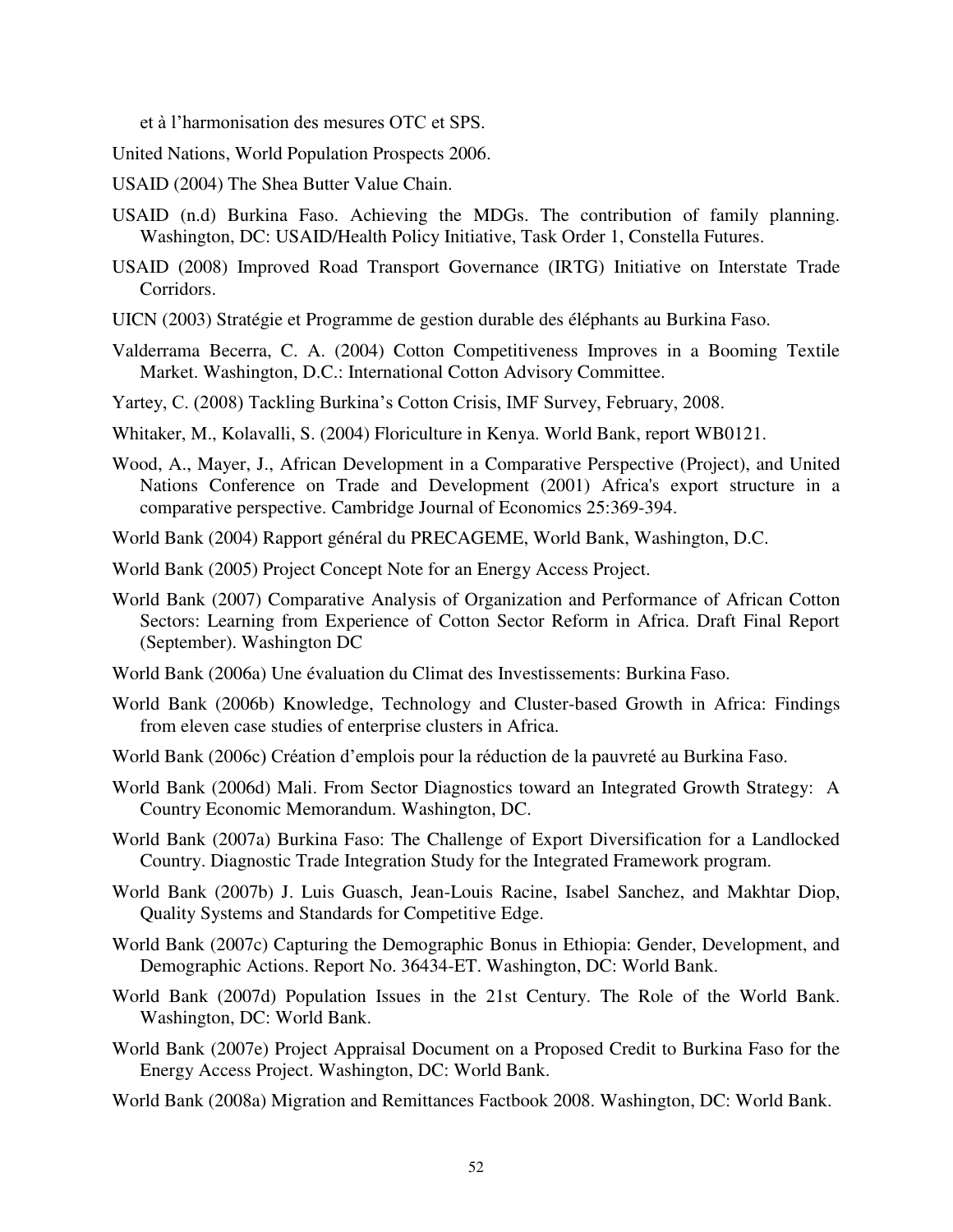et à l'harmonisation des mesures OTC et SPS.

United Nations, World Population Prospects 2006.

USAID (2004) The Shea Butter Value Chain.

- USAID (n.d) Burkina Faso. Achieving the MDGs. The contribution of family planning. Washington, DC: USAID/Health Policy Initiative, Task Order 1, Constella Futures.
- USAID (2008) Improved Road Transport Governance (IRTG) Initiative on Interstate Trade Corridors.
- UICN (2003) Stratégie et Programme de gestion durable des éléphants au Burkina Faso.
- Valderrama Becerra, C. A. (2004) Cotton Competitiveness Improves in a Booming Textile Market. Washington, D.C.: International Cotton Advisory Committee.
- Yartey, C. (2008) Tackling Burkina's Cotton Crisis, IMF Survey, February, 2008.
- Whitaker, M., Kolavalli, S. (2004) Floriculture in Kenya. World Bank, report WB0121.
- Wood, A., Mayer, J., African Development in a Comparative Perspective (Project), and United Nations Conference on Trade and Development (2001) Africa's export structure in a comparative perspective. Cambridge Journal of Economics 25:369-394.
- World Bank (2004) Rapport général du PRECAGEME, World Bank, Washington, D.C.
- World Bank (2005) Project Concept Note for an Energy Access Project.
- World Bank (2007) Comparative Analysis of Organization and Performance of African Cotton Sectors: Learning from Experience of Cotton Sector Reform in Africa. Draft Final Report (September). Washington DC
- World Bank (2006a) Une évaluation du Climat des Investissements: Burkina Faso.
- World Bank (2006b) Knowledge, Technology and Cluster-based Growth in Africa: Findings from eleven case studies of enterprise clusters in Africa.
- World Bank (2006c) Création d'emplois pour la réduction de la pauvreté au Burkina Faso.
- World Bank (2006d) Mali. From Sector Diagnostics toward an Integrated Growth Strategy: A Country Economic Memorandum. Washington, DC.
- World Bank (2007a) Burkina Faso: The Challenge of Export Diversification for a Landlocked Country. Diagnostic Trade Integration Study for the Integrated Framework program.
- World Bank (2007b) J. Luis Guasch, Jean-Louis Racine, Isabel Sanchez, and Makhtar Diop, Quality Systems and Standards for Competitive Edge.
- World Bank (2007c) Capturing the Demographic Bonus in Ethiopia: Gender, Development, and Demographic Actions. Report No. 36434-ET. Washington, DC: World Bank.
- World Bank (2007d) Population Issues in the 21st Century. The Role of the World Bank. Washington, DC: World Bank.
- World Bank (2007e) Project Appraisal Document on a Proposed Credit to Burkina Faso for the Energy Access Project. Washington, DC: World Bank.
- World Bank (2008a) Migration and Remittances Factbook 2008. Washington, DC: World Bank.